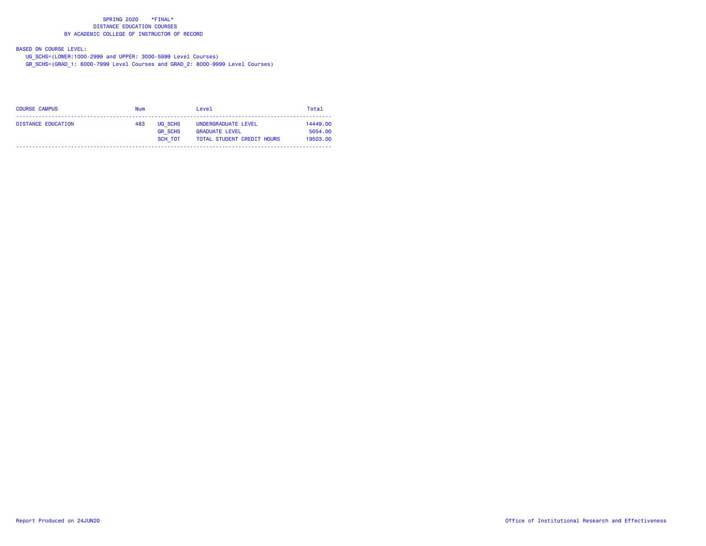### BASED ON COURSE LEVEL:

UG\_SCHS=(LOWER:1000-2999 and UPPER: 3000-5999 Level Courses)

GR\_SCHS=(GRAD\_1: 6000-7999 Level Courses and GRAD\_2: 8000-9999 Level Courses)

| <b>COURSE CAMPUS</b> | <b>Num</b> |                                      | Level                                                                             | Total                           |
|----------------------|------------|--------------------------------------|-----------------------------------------------------------------------------------|---------------------------------|
| DISTANCE EDUCATION   | 483        | UG SCHS<br><b>GR SCHS</b><br>SCH TOT | UNDERGRADUATE LEVEL<br><b>GRADUATE LEVEL</b><br><b>TOTAL STUDENT CREDIT HOURS</b> | 14449.00<br>5054.00<br>19503.00 |
|                      |            |                                      |                                                                                   |                                 |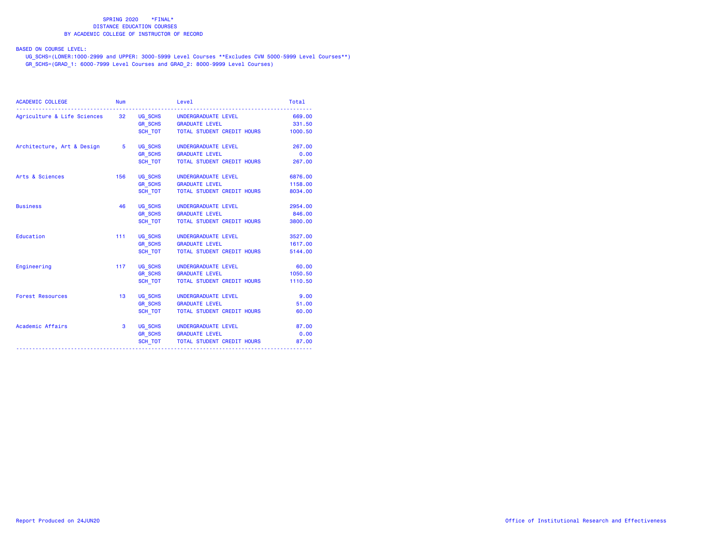BASED ON COURSE LEVEL:

 UG\_SCHS=(LOWER:1000-2999 and UPPER: 3000-5999 Level Courses \*\*Excludes CVM 5000-5999 Level Courses\*\*) GR\_SCHS=(GRAD\_1: 6000-7999 Level Courses and GRAD\_2: 8000-9999 Level Courses)

| <b>ACADEMIC COLLEGE</b>                                    | <b>Num</b> |         | Level                              | Total   |
|------------------------------------------------------------|------------|---------|------------------------------------|---------|
| Agriculture & Life Sciences 32 UG_SCHS UNDERGRADUATE LEVEL |            |         |                                    | 669.00  |
|                                                            |            |         | GR_SCHS GRADUATE LEVEL             | 331.50  |
|                                                            |            | SCH TOT | TOTAL STUDENT CREDIT HOURS         | 1000.50 |
| Architecture, Art & Design 5                               |            | UG_SCHS | UNDERGRADUATE LEVEL                | 267.00  |
|                                                            |            | GR_SCHS | <b>GRADUATE LEVEL</b>              | 0.00    |
|                                                            |            | SCH TOT | TOTAL STUDENT CREDIT HOURS         | 267.00  |
| Arts & Sciences                                            | 156        | UG SCHS | UNDERGRADUATE LEVEL                | 6876.00 |
|                                                            |            |         | GR_SCHS GRADUATE LEVEL             | 1158.00 |
|                                                            |            | SCH TOT | TOTAL STUDENT CREDIT HOURS         | 8034.00 |
| <b>Business</b>                                            | 46         | UG_SCHS | UNDERGRADUATE LEVEL                | 2954.00 |
|                                                            |            | GR_SCHS | <b>GRADUATE LEVEL</b>              | 846.00  |
|                                                            |            | SCH TOT | TOTAL STUDENT CREDIT HOURS         | 3800.00 |
| Education                                                  | $111 -$    | UG_SCHS | UNDERGRADUATE LEVEL                | 3527.00 |
|                                                            |            |         | GR_SCHS GRADUATE LEVEL             | 1617.00 |
|                                                            |            | SCH TOT | TOTAL STUDENT CREDIT HOURS         | 5144.00 |
| Engineering                                                | 117        |         | UG_SCHS UNDERGRADUATE LEVEL        | 60.00   |
|                                                            |            | GR_SCHS | <b>GRADUATE LEVEL</b>              | 1050.50 |
|                                                            |            | SCH TOT | TOTAL STUDENT CREDIT HOURS         | 1110.50 |
| <b>Forest Resources</b>                                    | 13         | UG SCHS | UNDERGRADUATE LEVEL                | 9.00    |
|                                                            |            |         | GR_SCHS GRADUATE LEVEL             | 51.00   |
|                                                            |            | SCH TOT | TOTAL STUDENT CREDIT HOURS         | 60.00   |
| Academic Affairs                                           | 3          |         | UG SCHS UNDERGRADUATE LEVEL        | 87.00   |
|                                                            |            |         | GR_SCHS GRADUATE LEVEL             | 0.00    |
|                                                            |            |         | SCH_TOT TOTAL STUDENT CREDIT HOURS | 87.00   |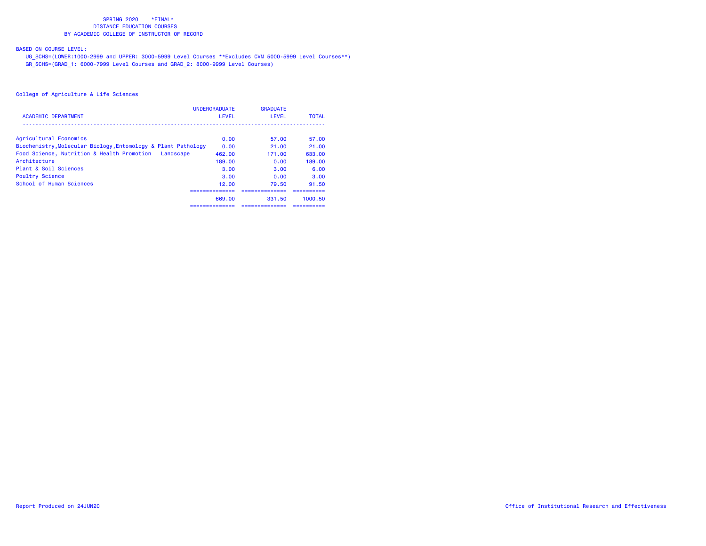# BASED ON COURSE LEVEL:

 UG\_SCHS=(LOWER:1000-2999 and UPPER: 3000-5999 Level Courses \*\*Excludes CVM 5000-5999 Level Courses\*\*) GR\_SCHS=(GRAD\_1: 6000-7999 Level Courses and GRAD\_2: 8000-9999 Level Courses)

|                                                               | <b>UNDERGRADUATE</b> | <b>GRADUATE</b> |              |
|---------------------------------------------------------------|----------------------|-----------------|--------------|
| <b>ACADEMIC DEPARTMENT</b>                                    | LEVEL                | LEVEL           | <b>TOTAL</b> |
| Agricultural Economics                                        | 0.00                 | 57.00           | 57.00        |
| Biochemistry, Molecular Biology, Entomology & Plant Pathology | 0.00                 | 21.00           | 21.00        |
| Food Science, Nutrition & Health Promotion Landscape          | 462.00               | 171.00          | 633.00       |
| Architecture                                                  | 189.00               | 0.00            | 189.00       |
| Plant & Soil Sciences                                         | 3.00                 | 3.00            | 6.00         |
| Poultry Science                                               | 3.00                 | 0.00            | 3.00         |
| School of Human Sciences                                      | 12.00                | 79.50           | 91.50        |
|                                                               | 669.00               | 331.50          | 1000.50      |
|                                                               | ============         | --------------- | --------     |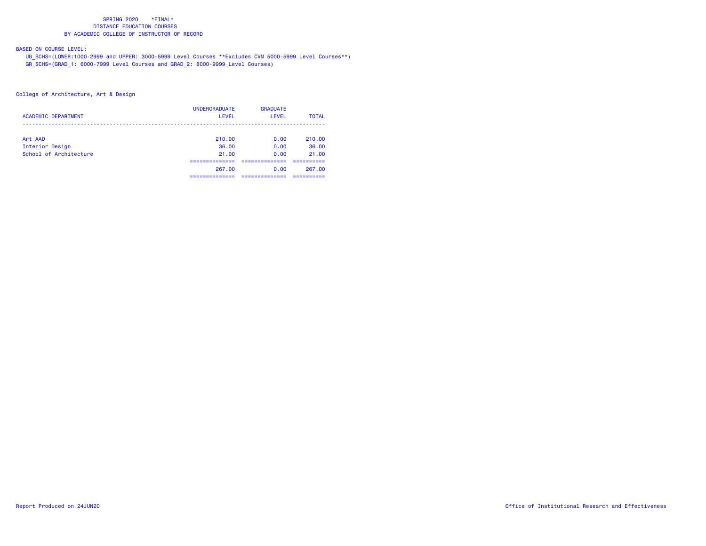# BASED ON COURSE LEVEL:

 UG\_SCHS=(LOWER:1000-2999 and UPPER: 3000-5999 Level Courses \*\*Excludes CVM 5000-5999 Level Courses\*\*) GR\_SCHS=(GRAD\_1: 6000-7999 Level Courses and GRAD\_2: 8000-9999 Level Courses)

| <b>ACADEMIC DEPARTMENT</b> | <b>UNDERGRADUATE</b><br><b>LEVEL</b> | <b>GRADUATE</b><br><b>LEVEL</b> | <b>TOTAL</b> |
|----------------------------|--------------------------------------|---------------------------------|--------------|
| Art AAD                    | 210.00                               | 0.00                            | 210.00       |
| Interior Design            | 36.00                                | 0.00                            | 36.00        |
| School of Architecture     | 21.00                                | 0.00                            | 21.00        |
|                            |                                      |                                 |              |
|                            | 267.00                               | 0.00                            | 267.00       |
|                            |                                      |                                 |              |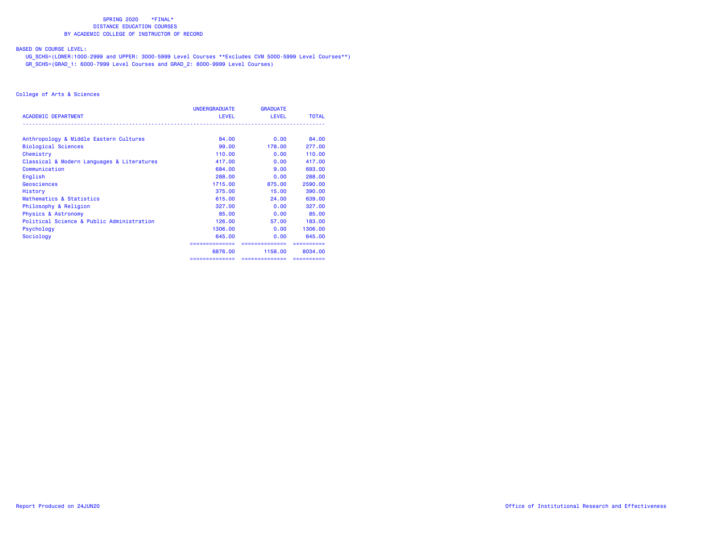## BASED ON COURSE LEVEL:

 UG\_SCHS=(LOWER:1000-2999 and UPPER: 3000-5999 Level Courses \*\*Excludes CVM 5000-5999 Level Courses\*\*) GR\_SCHS=(GRAD\_1: 6000-7999 Level Courses and GRAD\_2: 8000-9999 Level Courses)

|                                            | UNDERGRADUATE  | <b>GRADUATE</b> |              |
|--------------------------------------------|----------------|-----------------|--------------|
| <b>ACADEMIC DEPARTMENT</b>                 | <b>LEVEL</b>   | <b>LEVEL</b>    | <b>TOTAL</b> |
| Anthropology & Middle Eastern Cultures     | 84,00          | 0.00            | 84.00        |
| <b>Biological Sciences</b>                 | 99.00          | 178.00          | 277.00       |
| Chemistry                                  | 110.00         | 0.00            | 110.00       |
| Classical & Modern Languages & Literatures | 417,00         | 0.00            | 417.00       |
| Communication                              | 684,00         | 9.00            | 693,00       |
| English                                    | 288.00         | 0.00            | 288.00       |
| Geosciences                                | 1715.00        | 875.00          | 2590.00      |
| History                                    | 375.00         | 15,00           | 390,00       |
| Mathematics & Statistics                   | 615,00         | 24.00           | 639,00       |
| Philosophy & Religion                      | 327,00         | 0.00            | 327,00       |
| <b>Physics &amp; Astronomy</b>             | 85,00          | 0.00            | 85.00        |
| Political Science & Public Administration  | 126,00         | 57.00           | 183,00       |
| Psychology                                 | 1306.00        | 0.00            | 1306.00      |
| Sociology                                  | 645.00         | 0.00            | 645.00       |
|                                            | ============== | ==============  |              |
|                                            | 6876.00        | 1158.00         | 8034.00      |
|                                            | ============== | ==============  | ==========   |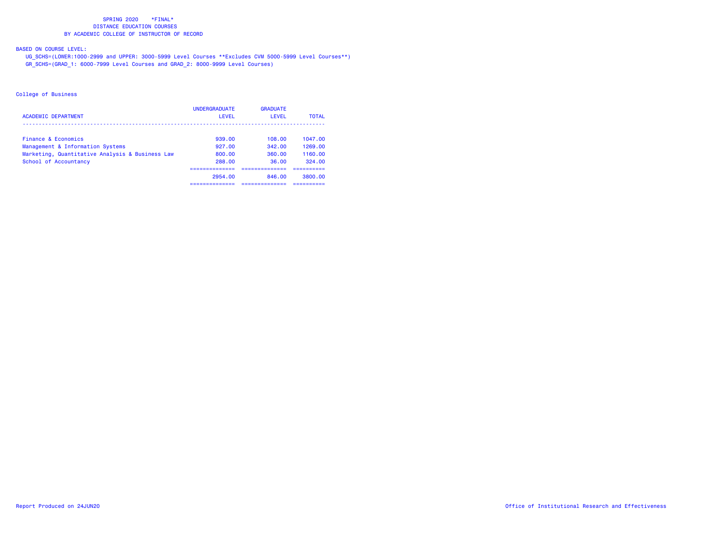# BASED ON COURSE LEVEL:

 UG\_SCHS=(LOWER:1000-2999 and UPPER: 3000-5999 Level Courses \*\*Excludes CVM 5000-5999 Level Courses\*\*) GR\_SCHS=(GRAD\_1: 6000-7999 Level Courses and GRAD\_2: 8000-9999 Level Courses)

| <b>ACADEMIC DEPARTMENT</b>                              | <b>UNDERGRADUATE</b><br>LEVEL | <b>GRADUATE</b><br>LEVEL | <b>TOTAL</b>          |
|---------------------------------------------------------|-------------------------------|--------------------------|-----------------------|
|                                                         |                               |                          |                       |
| Finance & Economics<br>Management & Information Systems | 939.00<br>927.00              | 108.00<br>342.00         | 1047.00<br>1269.00    |
| Marketing, Quantitative Analysis & Business Law         | 800.00                        | 360.00                   | 1160.00               |
| School of Accountancy                                   | 288.00                        | 36.00                    | 324.00                |
|                                                         |                               |                          |                       |
|                                                         | 2954.00<br>------------       | 846.00<br>------------   | 3800.00<br>---------- |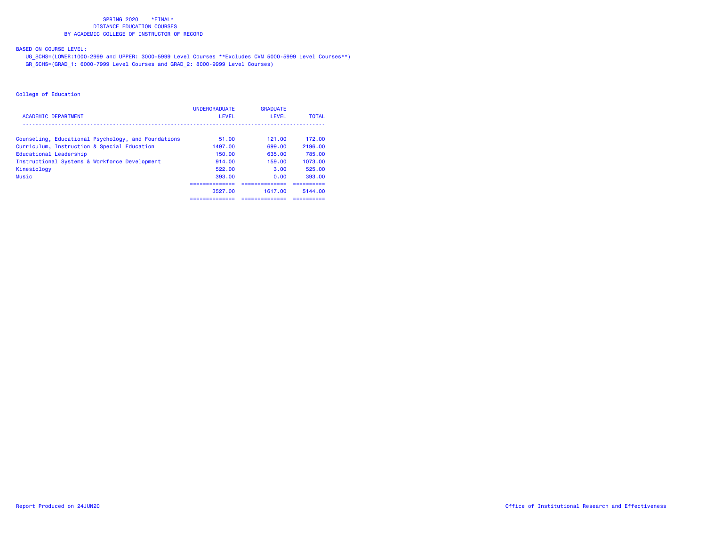## BASED ON COURSE LEVEL:

 UG\_SCHS=(LOWER:1000-2999 and UPPER: 3000-5999 Level Courses \*\*Excludes CVM 5000-5999 Level Courses\*\*) GR\_SCHS=(GRAD\_1: 6000-7999 Level Courses and GRAD\_2: 8000-9999 Level Courses)

|                                                     | <b>UNDERGRADUATE</b> | <b>GRADUATE</b> |              |
|-----------------------------------------------------|----------------------|-----------------|--------------|
| <b>ACADEMIC DEPARTMENT</b>                          | LEVEL                | LEVEL           | <b>TOTAL</b> |
|                                                     | 51.00                | 121.00          | 172.00       |
| Counseling, Educational Psychology, and Foundations |                      |                 |              |
| Curriculum, Instruction & Special Education         | 1497.00              | 699.00          | 2196.00      |
| Educational Leadership                              | 150.00               | 635.00          | 785.00       |
| Instructional Systems & Workforce Development       | 914.00               | 159.00          | 1073.00      |
| Kinesiology                                         | 522.00               | 3.00            | 525.00       |
| Music                                               | 393.00               | 0.00            | 393.00       |
|                                                     |                      |                 |              |
|                                                     | 3527.00              | 1617.00         | 5144.00      |
|                                                     | -------------        | ------------    | ---------    |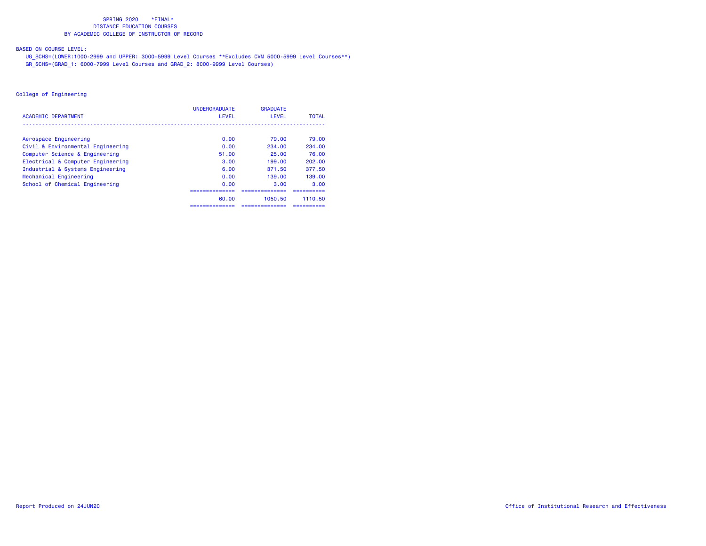## BASED ON COURSE LEVEL:

 UG\_SCHS=(LOWER:1000-2999 and UPPER: 3000-5999 Level Courses \*\*Excludes CVM 5000-5999 Level Courses\*\*) GR\_SCHS=(GRAD\_1: 6000-7999 Level Courses and GRAD\_2: 8000-9999 Level Courses)

|                                   | <b>UNDERGRADUATE</b> | <b>GRADUATE</b> |              |
|-----------------------------------|----------------------|-----------------|--------------|
| <b>ACADEMIC DEPARTMENT</b>        | <b>LEVEL</b>         | LEVEL           | <b>TOTAL</b> |
|                                   |                      |                 |              |
| Aerospace Engineering             | 0.00                 | 79.00           | 79.00        |
| Civil & Environmental Engineering | 0.00                 | 234.00          | 234.00       |
| Computer Science & Engineering    | 51.00                | 25.00           | 76.00        |
| Electrical & Computer Engineering | 3.00                 | 199.00          | 202.00       |
| Industrial & Systems Engineering  | 6.00                 | 371.50          | 377.50       |
| Mechanical Engineering            | 0.00                 | 139.00          | 139.00       |
| School of Chemical Engineering    | 0.00                 | 3.00            | 3.00         |
|                                   |                      |                 |              |
|                                   | 60.00                | 1050.50         | 1110.50      |
|                                   | =============        | ,=============  | ---------    |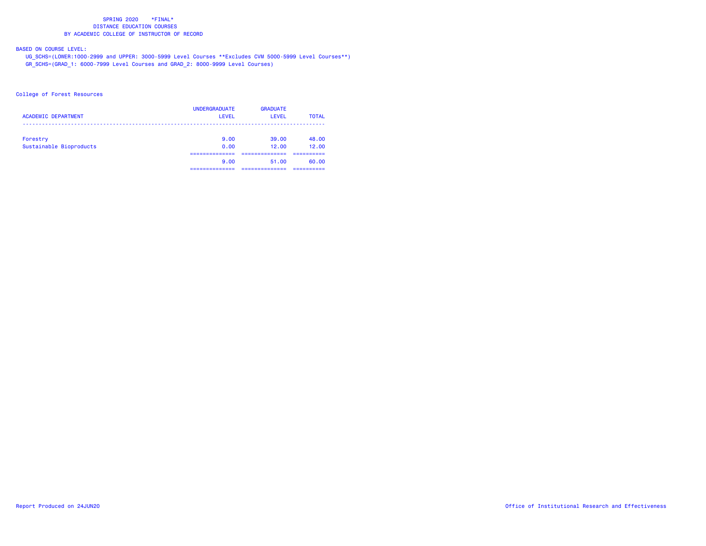# BASED ON COURSE LEVEL:

 UG\_SCHS=(LOWER:1000-2999 and UPPER: 3000-5999 Level Courses \*\*Excludes CVM 5000-5999 Level Courses\*\*) GR\_SCHS=(GRAD\_1: 6000-7999 Level Courses and GRAD\_2: 8000-9999 Level Courses)

### College of Forest Resources

| <b>ACADEMIC DEPARTMENT</b> | <b>UNDERGRADUATE</b><br>LEVEL | <b>GRADUATE</b><br>LEVEL | <b>TOTAL</b> |
|----------------------------|-------------------------------|--------------------------|--------------|
| Forestry                   | 9.00                          | 39.00                    | 48.00        |
| Sustainable Bioproducts    | 0.00                          | 12.00                    | 12.00        |
|                            | 9.00                          | 51.00                    | 60.00        |
|                            | ______________                | ___________              | ----------   |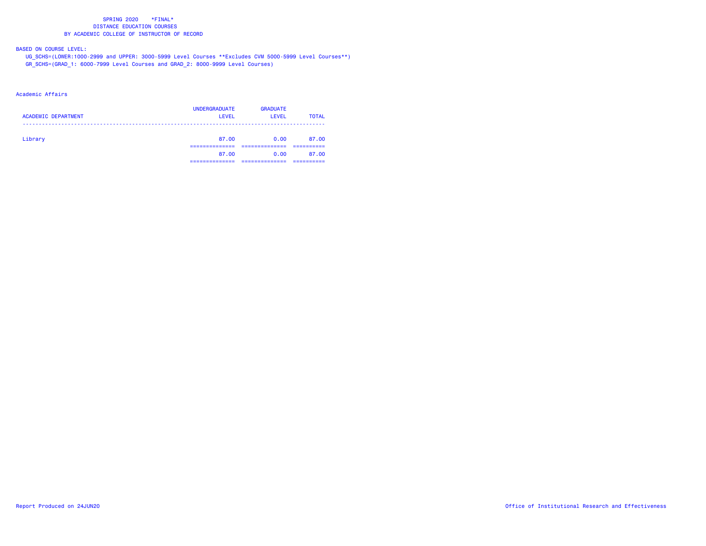## BASED ON COURSE LEVEL:

 UG\_SCHS=(LOWER:1000-2999 and UPPER: 3000-5999 Level Courses \*\*Excludes CVM 5000-5999 Level Courses\*\*) GR\_SCHS=(GRAD\_1: 6000-7999 Level Courses and GRAD\_2: 8000-9999 Level Courses)

### Academic Affairs

| <b>ACADEMIC DEPARTMENT</b> | <b>UNDERGRADUATE</b><br><b>LEVEL</b> | <b>GRADUATE</b><br>LEVEL | <b>TOTAL</b> |
|----------------------------|--------------------------------------|--------------------------|--------------|
| Library                    | 87.00                                | 0.00                     | 87.00        |
|                            | 87.00<br>___________                 | 0.00                     | 87.00        |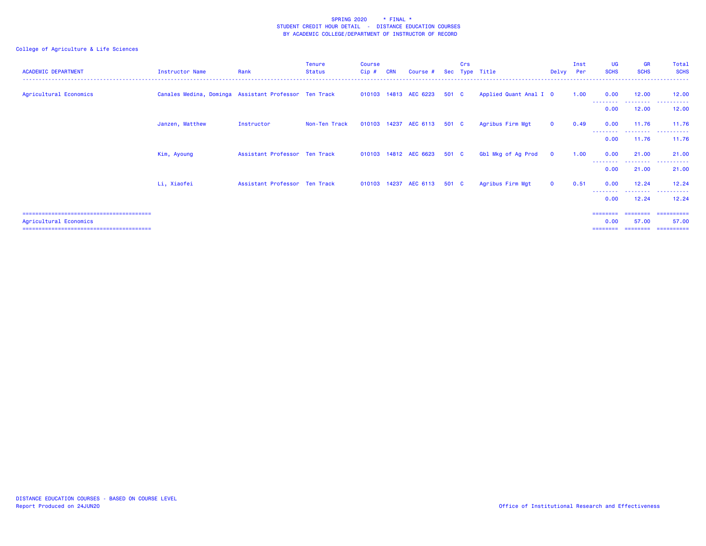| <b>ACADEMIC DEPARTMENT</b> | Instructor Name                                       | Rank                          | Tenure<br>Status | <b>Course</b><br>Cip # | <b>CRN</b> | Course #                    | Sec   | Crs | Type Title             | Delvy        | Inst<br>Per | <b>UG</b><br><b>SCHS</b>  | <b>GR</b><br><b>SCHS</b>   | Total<br><b>SCHS</b>                             |
|----------------------------|-------------------------------------------------------|-------------------------------|------------------|------------------------|------------|-----------------------------|-------|-----|------------------------|--------------|-------------|---------------------------|----------------------------|--------------------------------------------------|
| Agricultural Economics     | Canales Medina, Dominga Assistant Professor Ten Track |                               |                  |                        |            | 010103 14813 AEC 6223       | 501 C |     | Applied Quant Anal I 0 |              | 1.00        | 0.00                      | 12.00<br>- - - - - - - -   | 12.00                                            |
|                            |                                                       |                               |                  |                        |            |                             |       |     |                        |              |             | 0.00                      | 12.00                      | 12.00                                            |
|                            | Janzen, Matthew                                       | Instructor                    | Non-Ten Track    |                        |            | 010103 14237 AEC 6113       | 501 C |     | Agribus Firm Mgt       | $\mathbf{0}$ | 0.49        | 0.00                      | 11.76<br>--------          | 11.76<br>.                                       |
|                            |                                                       |                               |                  |                        |            |                             |       |     |                        |              |             | 0.00                      | 11.76                      | 11.76                                            |
|                            | Kim, Ayoung                                           | Assistant Professor Ten Track |                  |                        |            | 010103 14812 AEC 6623       | 501 C |     | Gbl Mkg of Ag Prod     | $\mathbf{O}$ | 1.00        | 0.00                      | 21.00<br>- - - - - - - - - | 21.00                                            |
|                            |                                                       |                               |                  |                        |            |                             |       |     |                        |              |             | 0.00                      | 21.00                      | 21.00                                            |
|                            | Li, Xiaofei                                           | Assistant Professor Ten Track |                  |                        |            | 010103 14237 AEC 6113 501 C |       |     | Agribus Firm Mgt       | $\mathbf{O}$ | 0.51        | 0.00                      | 12.24                      | 12.24                                            |
|                            |                                                       |                               |                  |                        |            |                             |       |     |                        |              |             | - - - - - - - - -<br>0.00 | 12.24                      | . <u>.</u> .<br>12.24                            |
| Agricultural Economics     |                                                       |                               |                  |                        |            |                             |       |     |                        |              |             | =====<br>0.00<br>======== | 57.00                      | ==========<br>57.00<br>_________________________ |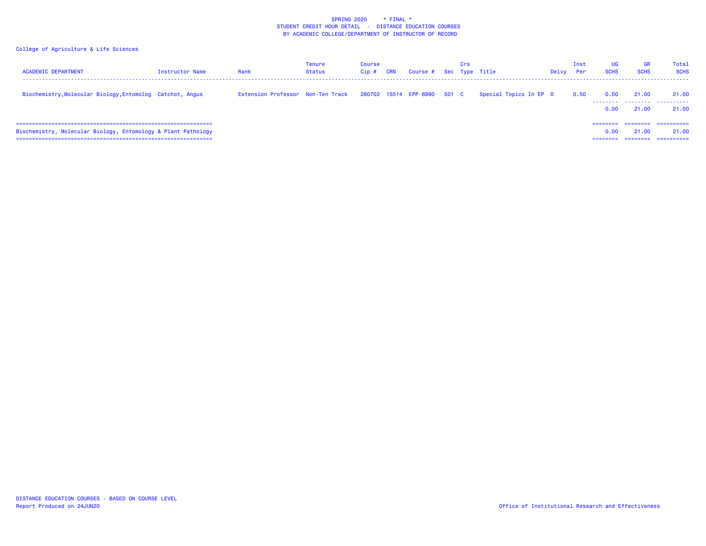| <b>ACADEMIC DEPARTMENT</b>                                    | <b>Instructor Name</b> | Rank                              | Tenure<br>Status | Course<br>Cip# | <b>CRN</b> | Course # Sec Type Title     | Crs |                        | Delvy | Inst<br>Per | UG<br><b>SCHS</b> | <b>GR</b><br><b>SCHS</b>      | Total<br><b>SCHS</b>                           |
|---------------------------------------------------------------|------------------------|-----------------------------------|------------------|----------------|------------|-----------------------------|-----|------------------------|-------|-------------|-------------------|-------------------------------|------------------------------------------------|
| Biochemistry, Molecular Biology, Entomolog Catchot, Angus     |                        | Extension Professor Non-Ten Track |                  |                |            | 260702 15514 EPP 6990 501 C |     | Special Topics In EP 0 |       | 0.50        | 0.00<br>0.00      | 21.00<br>21.00                | 21.00<br>--------  --------  --------<br>21.00 |
| Biochemistry, Molecular Biology, Entomology & Plant Pathology |                        |                                   |                  |                |            |                             |     |                        |       |             | 0.00<br>========  | ========<br>21.00<br>======== | =========<br>21,00<br>-----------              |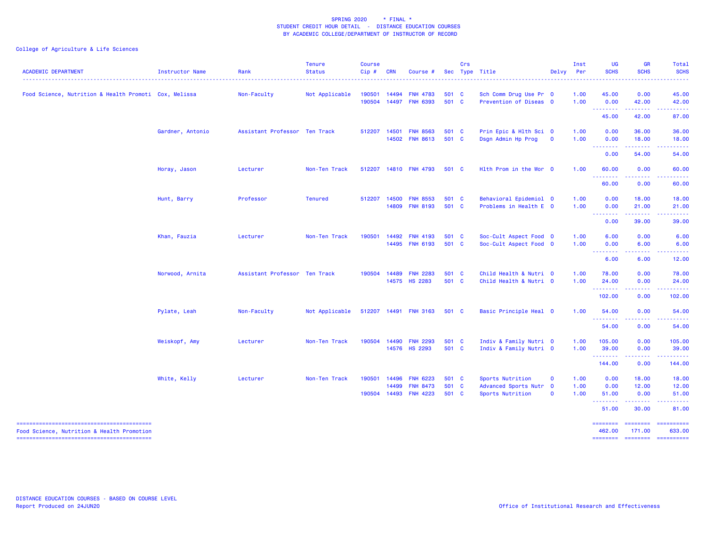| <b>ACADEMIC DEPARTMENT</b>                            | <b>Instructor Name</b> | Rank                          | <b>Tenure</b><br><b>Status</b><br>------------- | <b>Course</b><br>Cip# | <b>CRN</b>     | Course #                                                    | Sec                     | Crs | Type Title                                                     | Delvy                      | Inst<br>Per          | <b>UG</b><br><b>SCHS</b>                                                                                                                                                                                                                                                                                                                                                                                                                                                                        | <b>GR</b><br><b>SCHS</b>              | Total<br><b>SCHS</b><br>المتمامين |
|-------------------------------------------------------|------------------------|-------------------------------|-------------------------------------------------|-----------------------|----------------|-------------------------------------------------------------|-------------------------|-----|----------------------------------------------------------------|----------------------------|----------------------|-------------------------------------------------------------------------------------------------------------------------------------------------------------------------------------------------------------------------------------------------------------------------------------------------------------------------------------------------------------------------------------------------------------------------------------------------------------------------------------------------|---------------------------------------|-----------------------------------|
| Food Science, Nutrition & Health Promoti Cox, Melissa |                        | Non-Faculty                   | Not Applicable                                  | 190501                | 14494          | <b>FNH 4783</b><br>190504 14497 FNH 6393                    | 501 C<br>501 C          |     | Sch Comm Drug Use Pr 0<br>Prevention of Diseas 0               |                            | 1.00<br>1.00         | 45.00<br>0.00                                                                                                                                                                                                                                                                                                                                                                                                                                                                                   | 0.00<br>42.00                         | 45.00<br>42.00                    |
|                                                       |                        |                               |                                                 |                       |                |                                                             |                         |     |                                                                |                            |                      | $\begin{array}{cccccccccccccc} \multicolumn{2}{c}{} & \multicolumn{2}{c}{} & \multicolumn{2}{c}{} & \multicolumn{2}{c}{} & \multicolumn{2}{c}{} & \multicolumn{2}{c}{} & \multicolumn{2}{c}{} & \multicolumn{2}{c}{} & \multicolumn{2}{c}{} & \multicolumn{2}{c}{} & \multicolumn{2}{c}{} & \multicolumn{2}{c}{} & \multicolumn{2}{c}{} & \multicolumn{2}{c}{} & \multicolumn{2}{c}{} & \multicolumn{2}{c}{} & \multicolumn{2}{c}{} & \multicolumn{2}{c}{} & \multicolumn{2}{c}{} & \$<br>45.00 | .<br>42.00                            | .<br>87.00                        |
|                                                       | Gardner, Antonio       | Assistant Professor Ten Track |                                                 | 512207 14501          |                | <b>FNH 8563</b><br>14502 FNH 8613                           | 501 C<br>501 C          |     | Prin Epic & Hlth Sci 0<br>Dsgn Admin Hp Prog                   | $\overline{\mathbf{0}}$    | 1.00<br>1.00         | 0.00<br>0.00<br><b><i><u><u> - - - - - - -</u></u></i></b>                                                                                                                                                                                                                                                                                                                                                                                                                                      | 36.00<br>18.00<br>.                   | 36.00<br>18.00<br>.               |
|                                                       |                        |                               |                                                 |                       |                |                                                             |                         |     |                                                                |                            |                      | 0.00                                                                                                                                                                                                                                                                                                                                                                                                                                                                                            | 54.00                                 | 54.00                             |
|                                                       | Horay, Jason           | Lecturer                      | Non-Ten Track                                   |                       |                | 512207 14810 FNH 4793                                       | 501 C                   |     | Hlth Prom in the Wor 0                                         |                            | 1.00                 | 60.00<br>.                                                                                                                                                                                                                                                                                                                                                                                                                                                                                      | 0.00<br><b><i><u><u>.</u></u></i></b> | 60.00<br><u>.</u>                 |
|                                                       |                        |                               |                                                 |                       |                |                                                             |                         |     |                                                                |                            |                      | 60.00                                                                                                                                                                                                                                                                                                                                                                                                                                                                                           | 0.00                                  | 60.00                             |
|                                                       | Hunt, Barry            | Professor                     | <b>Tenured</b>                                  | 512207                | 14500          | <b>FNH 8553</b><br>14809 FNH 8193                           | 501 C<br>501 C          |     | Behavioral Epidemiol 0<br>Problems in Health E 0               |                            | 1.00<br>1.00         | 0.00<br>0.00<br><b><i><u><u> - - - - - - - -</u></u></i></b>                                                                                                                                                                                                                                                                                                                                                                                                                                    | 18.00<br>21.00<br>.                   | 18.00<br>21.00<br>.               |
|                                                       |                        |                               |                                                 |                       |                |                                                             |                         |     |                                                                |                            |                      | 0.00                                                                                                                                                                                                                                                                                                                                                                                                                                                                                            | 39.00                                 | 39.00                             |
|                                                       | Khan, Fauzia           | Lecturer                      | Non-Ten Track                                   | 190501                | 14492<br>14495 | <b>FNH 4193</b><br><b>FNH 6193</b>                          | 501 C<br>501 C          |     | Soc-Cult Aspect Food 0<br>Soc-Cult Aspect Food 0               |                            | 1.00<br>1.00         | 6.00<br>0.00<br><u> - - - - - - - -</u>                                                                                                                                                                                                                                                                                                                                                                                                                                                         | 0.00<br>6.00                          | 6.00<br>6.00                      |
|                                                       |                        |                               |                                                 |                       |                |                                                             |                         |     |                                                                |                            |                      | 6.00                                                                                                                                                                                                                                                                                                                                                                                                                                                                                            | 6.00                                  | 12.00                             |
|                                                       | Norwood, Arnita        | Assistant Professor Ten Track |                                                 | 190504                | 14489          | <b>FNH 2283</b><br>14575 HS 2283                            | 501 C<br>501 C          |     | Child Health & Nutri 0<br>Child Health & Nutri 0               |                            | 1.00<br>1.00         | 78.00<br>24.00                                                                                                                                                                                                                                                                                                                                                                                                                                                                                  | 0.00<br>0.00                          | 78.00<br>24.00                    |
|                                                       |                        |                               |                                                 |                       |                |                                                             |                         |     |                                                                |                            |                      | --------<br>102.00                                                                                                                                                                                                                                                                                                                                                                                                                                                                              | .<br>0.00                             | .<br>102.00                       |
|                                                       | Pylate, Leah           | Non-Faculty                   | Not Applicable                                  |                       |                | 512207 14491 FNH 3163                                       | 501 C                   |     | Basic Principle Heal 0                                         |                            | 1.00                 | 54.00<br>.                                                                                                                                                                                                                                                                                                                                                                                                                                                                                      | 0.00                                  | 54.00                             |
|                                                       |                        |                               |                                                 |                       |                |                                                             |                         |     |                                                                |                            |                      | 54.00                                                                                                                                                                                                                                                                                                                                                                                                                                                                                           | 0.00                                  | 54.00                             |
|                                                       | Weiskopf, Amy          | Lecturer                      | Non-Ten Track                                   | 190504                | 14490          | <b>FNH 2293</b><br>14576 HS 2293                            | 501 C<br>501 C          |     | Indiv & Family Nutri 0<br>Indiv & Family Nutri 0               |                            | 1.00<br>1.00         | 105.00<br>39.00<br><b><i><u><u> - - - - - - -</u></u></i></b>                                                                                                                                                                                                                                                                                                                                                                                                                                   | 0.00<br>0.00                          | 105.00<br>39.00                   |
|                                                       |                        |                               |                                                 |                       |                |                                                             |                         |     |                                                                |                            |                      | 144.00                                                                                                                                                                                                                                                                                                                                                                                                                                                                                          | 0.00                                  | 144.00                            |
|                                                       | White, Kelly           | Lecturer                      | Non-Ten Track                                   | 190501                | 14496<br>14499 | <b>FNH 6223</b><br><b>FNH 8473</b><br>190504 14493 FNH 4223 | 501 C<br>501 C<br>501 C |     | Sports Nutrition<br>Advanced Sports Nutr 0<br>Sports Nutrition | $\mathbf 0$<br>$\mathbf 0$ | 1.00<br>1.00<br>1.00 | 0.00<br>0.00<br>51.00                                                                                                                                                                                                                                                                                                                                                                                                                                                                           | 18.00<br>12.00<br>0.00                | 18.00<br>12.00<br>51.00           |
|                                                       |                        |                               |                                                 |                       |                |                                                             |                         |     |                                                                |                            |                      | .<br>51.00                                                                                                                                                                                                                                                                                                                                                                                                                                                                                      | 30.00                                 | 81.00                             |
| Food Science, Nutrition & Health Promotion            |                        |                               |                                                 |                       |                |                                                             |                         |     |                                                                |                            |                      | <b>EDESSERS</b><br>462.00                                                                                                                                                                                                                                                                                                                                                                                                                                                                       | <b>EDESSER</b><br>171.00              | -----------<br>633.00             |
|                                                       |                        |                               |                                                 |                       |                |                                                             |                         |     |                                                                |                            |                      | ========                                                                                                                                                                                                                                                                                                                                                                                                                                                                                        |                                       | ===================               |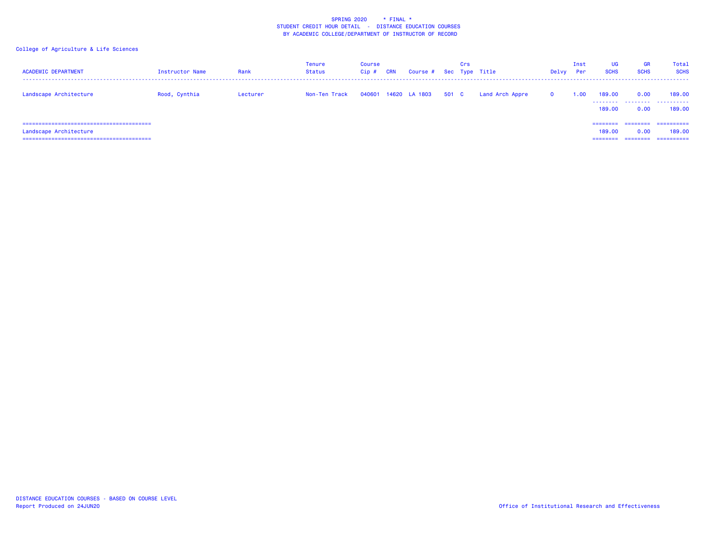| <b>ACADEMIC DEPARTMENT</b> | Instructor Name | Rank     | Tenure<br><b>Status</b> | <b>Course</b><br>Cip# | <b>CRN</b> | Course # Sec Type Title |       | Crs |                 | Delvy        | Inst<br>Per | UG<br><b>SCHS</b>              | <b>GR</b><br><b>SCHS</b> | Total<br><b>SCHS</b>               |
|----------------------------|-----------------|----------|-------------------------|-----------------------|------------|-------------------------|-------|-----|-----------------|--------------|-------------|--------------------------------|--------------------------|------------------------------------|
| Landscape Architecture     | Rood, Cynthia   | Lecturer | Non-Ten Track           |                       |            | 040601 14620 LA 1803    | 501 C |     | Land Arch Appre | $\mathbf{o}$ | 1.00        | 189,00<br>189,00               | 0.00<br>0.00             | 189,00<br><br>189,00               |
| Landscape Architecture     |                 |          |                         |                       |            |                         |       |     |                 |              |             | ========<br>189,00<br>======== | 0.00<br>========         | ==========<br>189,00<br>========== |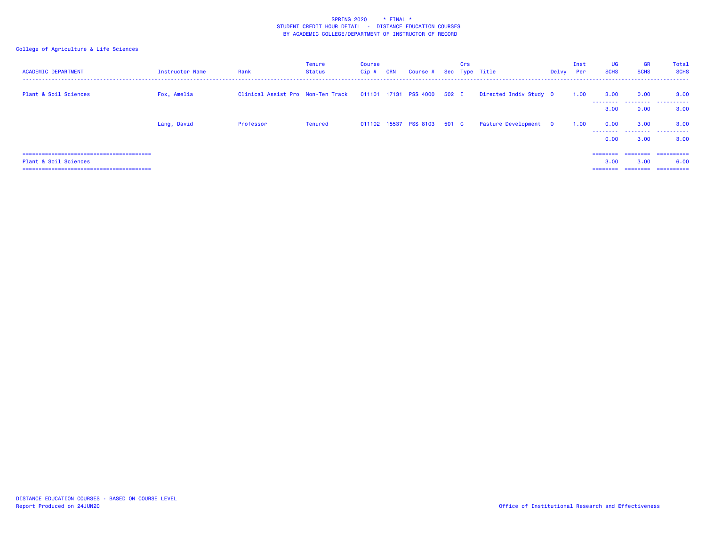| <b>ACADEMIC DEPARTMENT</b> | <b>Instructor Name</b> | Rank                                                          | <b>Tenure</b><br>Status | <b>Course</b><br>Cip# | <b>CRN</b> | Course # Sec Type Title     | Crs |                        | Delvy Per | Inst | <b>UG</b><br><b>SCHS</b>     | <b>GR</b><br><b>SCHS</b> | Total<br><b>SCHS</b>             |
|----------------------------|------------------------|---------------------------------------------------------------|-------------------------|-----------------------|------------|-----------------------------|-----|------------------------|-----------|------|------------------------------|--------------------------|----------------------------------|
| Plant & Soil Sciences      | Fox, Amelia            | Clinical Assist Pro Non-Ten Track 011101 17131 PSS 4000 502 I |                         |                       |            |                             |     | Directed Indiv Study 0 |           | 1.00 | 3.00<br>--------             | 0.00                     | 3.00<br>                         |
|                            |                        |                                                               |                         |                       |            |                             |     |                        |           |      | 3.00                         | 0.00                     | 3.00                             |
|                            | Lang, David            | Professor                                                     | Tenured                 |                       |            | 011102 15537 PSS 8103 501 C |     | Pasture Development 0  |           | 1.00 | 0.00                         | 3.00                     | 3.00                             |
|                            |                        |                                                               |                         |                       |            |                             |     |                        |           |      | 0.00                         | 3.00                     | 3.00                             |
| Plant & Soil Sciences      |                        |                                                               |                         |                       |            |                             |     |                        |           |      | ========<br>3.00<br>======== | ========<br>3.00         | ==========<br>6.00<br>========== |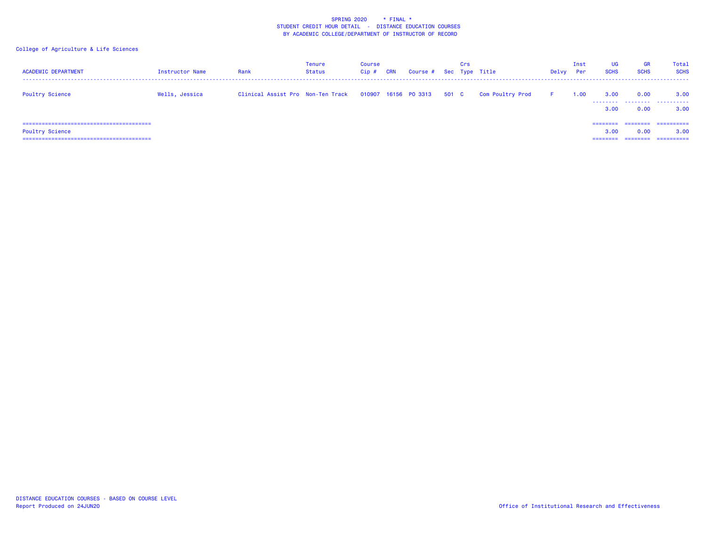| <b>ACADEMIC DEPARTMENT</b> | Instructor Name | Rank                              | Tenure<br>Status | Course<br>Cip# | <b>CRN</b> | Course #             |       | Crs | Sec Type Title          | Delvy | Inst<br>Per | <b>UG</b><br><b>SCHS</b>     | <b>GR</b><br><b>SCHS</b>     | <b>Total</b><br><b>SCHS</b>      |
|----------------------------|-----------------|-----------------------------------|------------------|----------------|------------|----------------------|-------|-----|-------------------------|-------|-------------|------------------------------|------------------------------|----------------------------------|
| <b>Poultry Science</b>     | Wells, Jessica  | Clinical Assist Pro Non-Ten Track |                  |                |            | 010907 16156 PO 3313 | 501 C |     | <b>Com Poultry Prod</b> | F.    | 1.00        | 3.00<br>3.00                 | 0.00<br>0.00                 | 3.00<br>3.00                     |
| <b>Poultry Science</b>     |                 |                                   |                  |                |            |                      |       |     |                         |       |             | ========<br>3.00<br>======== | ========<br>0.00<br>======== | ==========<br>3.00<br>========== |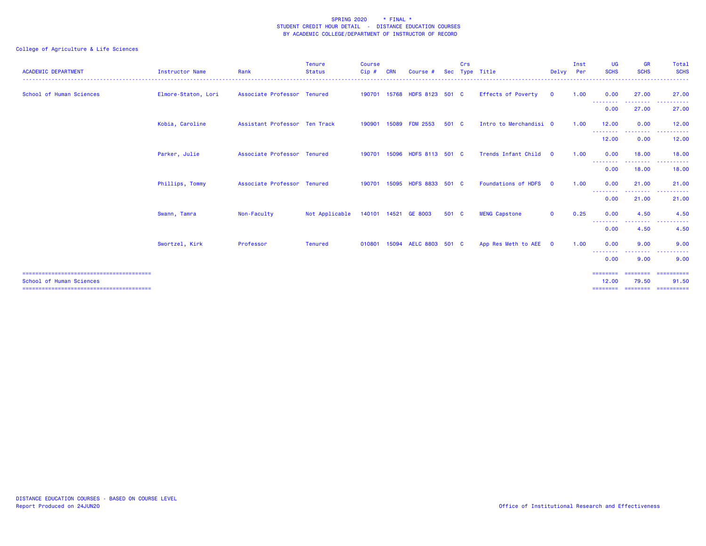| <b>ACADEMIC DEPARTMENT</b> | <b>Instructor Name</b> | Rank                          | <b>Tenure</b><br><b>Status</b> | <b>Course</b><br>Cip# |       | Course                | <b>Sec</b> | Crs | Type Title                 | Delvy                   | Inst<br>Per | UG<br><b>SCHS</b>               | <b>GR</b><br><b>SCHS</b>         | Total<br><b>SCHS</b>              |
|----------------------------|------------------------|-------------------------------|--------------------------------|-----------------------|-------|-----------------------|------------|-----|----------------------------|-------------------------|-------------|---------------------------------|----------------------------------|-----------------------------------|
| School of Human Sciences   | Elmore-Staton, Lori    | Associate Professor Tenured   |                                | 190701                |       | 15768 HDFS 8123 501 C |            |     | Effects of Poverty         | $\mathbf 0$             | 1.00        | 0.00<br><u> - - - - - - - -</u> | 27.00<br>------                  | 27,00<br><u>.</u>                 |
|                            |                        |                               |                                |                       |       |                       |            |     |                            |                         |             | 0.00                            | 27.00                            | 27.00                             |
|                            | Kobia, Caroline        | Assistant Professor Ten Track |                                | 190901                |       | 15089 FDM 2553        | 501 C      |     | Intro to Merchandisi 0     |                         | 1.00        | 12.00<br>---------              | 0.00<br>--------                 | 12.00<br>.                        |
|                            |                        |                               |                                |                       |       |                       |            |     |                            |                         |             | 12.00                           | 0.00                             | 12.00                             |
|                            | Parker, Julie          | Associate Professor Tenured   |                                | 190701                | 15096 | HDFS 8113 501 C       |            |     | Trends Infant Child        | $\overline{\mathbf{O}}$ | 1.00        | 0.00<br>--------                | 18.00<br><u> - - - - - - - -</u> | 18,00<br><u>.</u>                 |
|                            |                        |                               |                                |                       |       |                       |            |     |                            |                         |             | 0.00                            | 18.00                            | 18.00                             |
|                            | Phillips, Tommy        | Associate Professor Tenured   |                                | 190701                |       | 15095 HDFS 8833 501 C |            |     | <b>Foundations of HDFS</b> | $\Omega$                | 1.00        | 0.00<br>--------                | 21.00<br><b>.</b> .              | 21.00<br>. <b>.</b> .             |
|                            |                        |                               |                                |                       |       |                       |            |     |                            |                         |             | 0.00                            | 21.00                            | 21.00                             |
|                            | Swann, Tamra           | Non-Faculty                   | Not Applicable                 |                       |       | 140101 14521 GE 8003  | 501 C      |     | <b>MENG Capstone</b>       | $\mathbf{O}$            | 0.25        | 0.00<br>--------                | 4.50<br><u>.</u>                 | 4.50                              |
|                            |                        |                               |                                |                       |       |                       |            |     |                            |                         |             | 0.00                            | 4.50                             | 4.50                              |
|                            | Swortzel, Kirk         | Professor                     | <b>Tenured</b>                 | 010801                |       | 15094 AELC 8803 501 C |            |     | App Res Meth to AEE 0      |                         | 1.00        | 0.00                            | 9.00                             | 9.00<br>. <u>.</u> .              |
|                            |                        |                               |                                |                       |       |                       |            |     |                            |                         |             | --------<br>0.00                | --------<br>9.00                 | 9.00                              |
| School of Human Sciences   |                        |                               |                                |                       |       |                       |            |     |                            |                         |             | ========<br>12.00<br>========   | ========<br>79.50<br>========    | ==========<br>91.50<br>========== |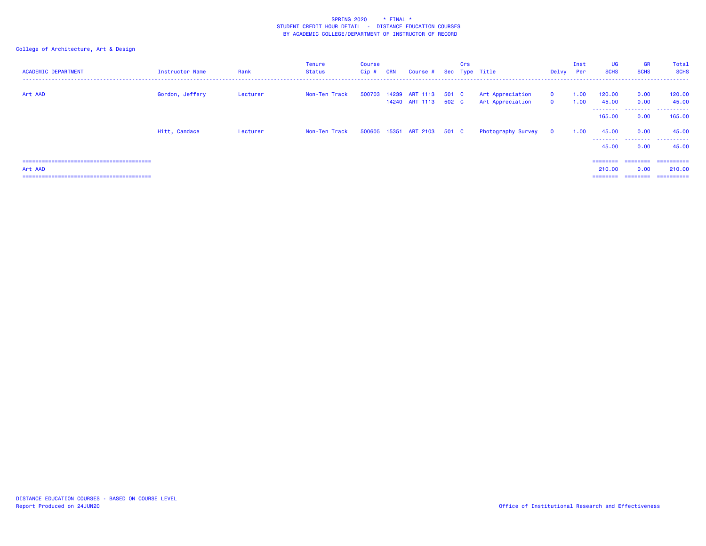| <b>ACADEMIC DEPARTMENT</b> | <b>Instructor Name</b> | Rank     | <b>Tenure</b><br>Status | <b>Course</b><br>Cip # | <b>CRN</b> | Course # Sec Type Title                             | Crs |                                      | Delvy Per                    | Inst         | <b>UG</b><br><b>SCHS</b>    | <b>GR</b><br><b>SCHS</b> | Total<br><b>SCHS</b> |
|----------------------------|------------------------|----------|-------------------------|------------------------|------------|-----------------------------------------------------|-----|--------------------------------------|------------------------------|--------------|-----------------------------|--------------------------|----------------------|
| Art AAD                    | Gordon, Jeffery        | Lecturer | Non-Ten Track           |                        |            | 500703 14239 ART 1113 501 C<br>14240 ART 1113 502 C |     | Art Appreciation<br>Art Appreciation | $\mathbf{O}$<br>$\mathbf{0}$ | 1.00<br>1.00 | 120.00<br>45.00<br>-------- | 0.00<br>0.00<br>.        | 120.00<br>45.00<br>. |
|                            |                        |          |                         |                        |            |                                                     |     |                                      |                              |              | 165,00                      | 0.00                     | 165.00               |
|                            | Hitt, Candace          | Lecturer | Non-Ten Track           |                        |            | 500605 15351 ART 2103 501 C                         |     | Photography Survey                   | $\mathbf 0$                  | 1.00         | 45.00<br>--------           | 0.00<br>.                | 45.00<br>.           |
|                            |                        |          |                         |                        |            |                                                     |     |                                      |                              |              | 45.00                       | 0.00                     | 45.00                |
|                            |                        |          |                         |                        |            |                                                     |     |                                      |                              |              | $=$ = = = = = = =           | <b>HERRETHE</b>          | ==========           |
| Art AAD                    |                        |          |                         |                        |            |                                                     |     |                                      |                              |              | 210.00                      | 0.00                     | 210.00               |
|                            |                        |          |                         |                        |            |                                                     |     |                                      |                              |              | ========                    | ========                 | ==========           |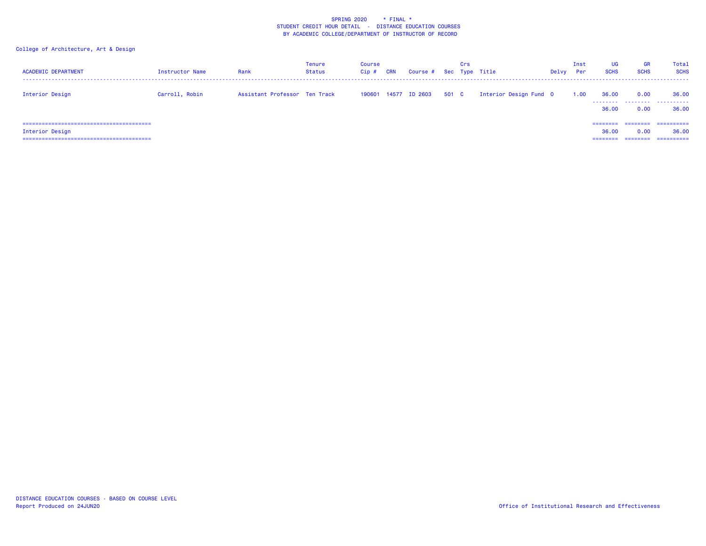| <b>ACADEMIC DEPARTMENT</b> | Instructor Name | Rank                          | Tenure<br><b>Status</b> | <b>Course</b><br>Cip# | <b>CRN</b> | Course # Sec Type Title |       | Crs |                        | Delvy | Inst<br>Per | UG<br><b>SCHS</b>             | <b>GR</b><br><b>SCHS</b> | Total<br><b>SCHS</b>             |
|----------------------------|-----------------|-------------------------------|-------------------------|-----------------------|------------|-------------------------|-------|-----|------------------------|-------|-------------|-------------------------------|--------------------------|----------------------------------|
| Interior Design            | Carroll, Robin  | Assistant Professor Ten Track |                         |                       |            | 190601 14577 ID 2603    | 501 C |     | Interior Design Fund 0 |       | 1.00        | 36.00<br>36.00                | 0.00<br>0.00             | 36,00<br><br>36.00               |
| Interior Design            |                 |                               |                         |                       |            |                         |       |     |                        |       |             | ========<br>36.00<br>-------- | 0.00                     | ==========<br>36.00<br>========= |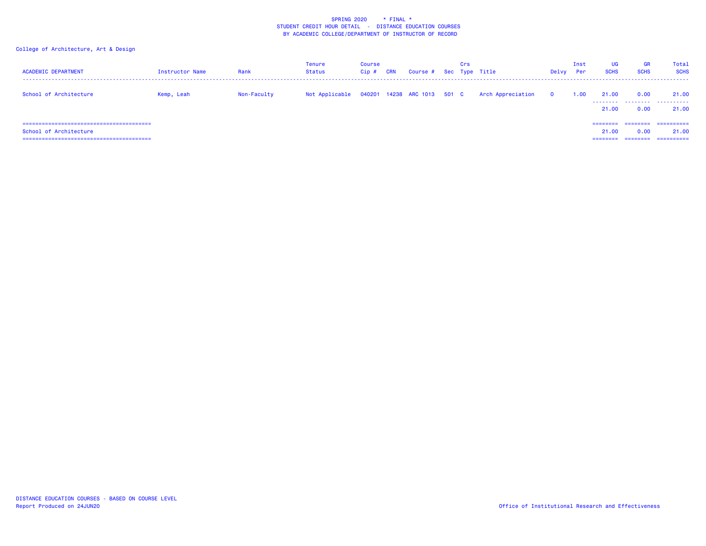| <b>ACADEMIC DEPARTMENT</b> | Instructor Name | Rank        | Tenure<br>Status | <b>Course</b><br>Cip # | <b>CRN</b> | Course # Sec Type Title | Crs |                                               | Delvy                   | Inst<br>Per | UG<br><b>SCHS</b>             | <b>GR</b><br><b>SCHS</b> | Total<br><b>SCHS</b>             |
|----------------------------|-----------------|-------------|------------------|------------------------|------------|-------------------------|-----|-----------------------------------------------|-------------------------|-------------|-------------------------------|--------------------------|----------------------------------|
| School of Architecture     | Kemp, Leah      | Non-Faculty | Not Applicable   |                        |            |                         |     | 040201 14238 ARC 1013 501 C Arch Appreciation | $\overline{\mathbf{0}}$ | 1.00        | 21.00<br>21.00                | 0.00<br>0.00             | 21.00<br>21.00                   |
| School of Architecture     |                 |             |                  |                        |            |                         |     |                                               |                         |             | ========<br>21.00<br>======== | 0.00<br>========         | ==========<br>21.00<br>========= |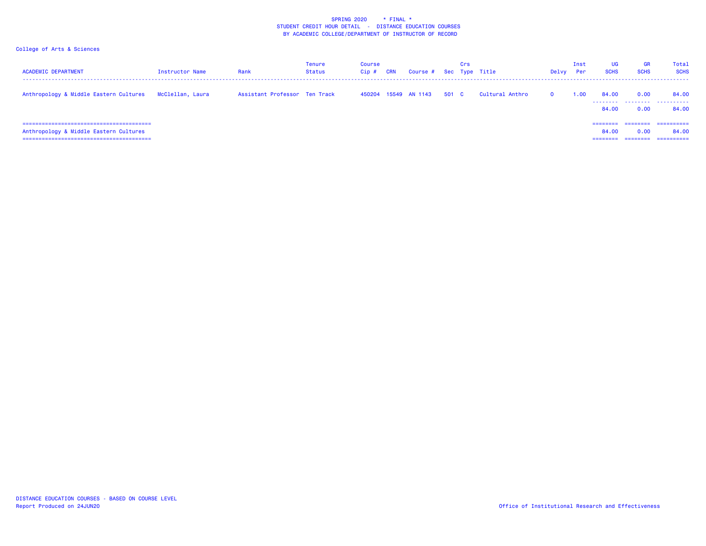| <b>ACADEMIC DEPARTMENT</b>             | Instructor Name  | Rank                          | Tenure<br>Status | <b>Course</b><br>Cip# | <b>CRN</b> | Course # Sec Type Title |       | Crs |                 | Delvy    | Inst<br>Per | UG<br><b>SCHS</b>             | <b>GR</b><br><b>SCHS</b> | Total<br><b>SCHS</b>               |
|----------------------------------------|------------------|-------------------------------|------------------|-----------------------|------------|-------------------------|-------|-----|-----------------|----------|-------------|-------------------------------|--------------------------|------------------------------------|
| Anthropology & Middle Eastern Cultures | McClellan, Laura | Assistant Professor Ten Track |                  |                       |            | 450204 15549 AN 1143    | 501 C |     | Cultural Anthro | $\Omega$ | 1.00        | 84.00<br>84.00                | 0.00<br>0.00             | 84.00<br><br>84.00                 |
| Anthropology & Middle Eastern Cultures |                  |                               |                  |                       |            |                         |       |     |                 |          |             | ========<br>84.00<br>======== | ---------<br>0.00        | -----------<br>84.00<br>========== |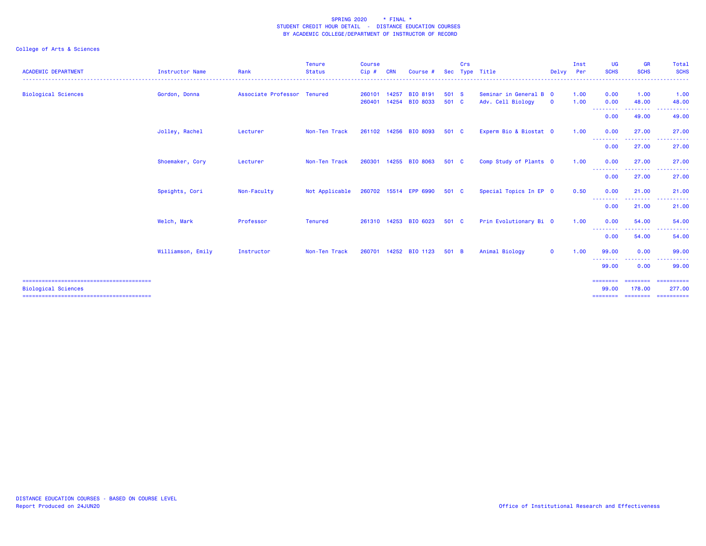| <b>ACADEMIC DEPARTMENT</b> | <b>Instructor Name</b> | Rank                        | Tenure<br><b>Status</b><br>. <u>.</u> . | <b>Course</b><br>Cip# | <b>CRN</b>     | Course #                    | <b>Sec</b>     | Crs | Type Title                                  | Delvv        | Inst<br>Per  | UG<br><b>SCHS</b>        | <b>GR</b><br><b>SCHS</b>                            | Total<br><b>SCHS</b><br>.                              |
|----------------------------|------------------------|-----------------------------|-----------------------------------------|-----------------------|----------------|-----------------------------|----------------|-----|---------------------------------------------|--------------|--------------|--------------------------|-----------------------------------------------------|--------------------------------------------------------|
| <b>Biological Sciences</b> | Gordon, Donna          | Associate Professor Tenured |                                         | 260101<br>260401      | 14257<br>14254 | BIO 8191<br><b>BIO 8033</b> | 501 S<br>501 C |     | Seminar in General B 0<br>Adv. Cell Biology | $\mathbf{o}$ | 1.00<br>1.00 | 0.00<br>0.00             | 1.00<br>48.00                                       | 1.00<br>48.00                                          |
|                            |                        |                             |                                         |                       |                |                             |                |     |                                             |              |              | --------<br>0.00         | ---------<br>49.00                                  | <b><i><u>A</u></i> A A A A A</b><br>.<br>49.00         |
|                            | Jolley, Rachel         | Lecturer                    | Non-Ten Track                           |                       |                | 261102 14256 BIO 8093       | 501 C          |     | Experm Bio & Biostat 0                      |              | 1.00         | 0.00<br>--------         | 27.00<br>.                                          | 27.00<br>.                                             |
|                            |                        |                             |                                         |                       |                |                             |                |     |                                             |              |              | 0.00                     | 27.00                                               | 27.00                                                  |
|                            | Shoemaker, Cory        | Lecturer                    | Non-Ten Track                           | 260301                |                | 14255 BIO 8063              | 501 C          |     | Comp Study of Plants 0                      |              | 1.00         | 0.00<br>--------         | 27.00<br><b><i><u><u> - - - - - - -</u></u></i></b> | 27.00<br>.                                             |
|                            |                        |                             |                                         |                       |                |                             |                |     |                                             |              |              | 0.00                     | 27.00                                               | 27.00                                                  |
|                            | Speights, Cori         | Non-Faculty                 | Not Applicable                          |                       |                | 260702 15514 EPP 6990       | 501 C          |     | Special Topics In EP 0                      |              | 0.50         | 0.00<br>--------         | 21.00<br><b><i><u><u> - - - - - -</u></u></i></b>   | 21.00<br>.                                             |
|                            |                        |                             |                                         |                       |                |                             |                |     |                                             |              |              | 0.00                     | 21.00                                               | 21.00                                                  |
|                            | Welch, Mark            | Professor                   | <b>Tenured</b>                          |                       |                | 261310 14253 BIO 6023       | 501 C          |     | Prin Evolutionary Bi 0                      |              | 1.00         | 0.00<br>--------<br>0.00 | 54.00<br>--------<br>54.00                          | 54.00<br>. <u>.</u> .<br>$\sim$ $\sim$ $\sim$<br>54.00 |
|                            | Williamson, Emily      | Instructor                  | Non-Ten Track                           | 260701                |                | 14252 BIO 1123              | 501 B          |     | Animal Biology                              | $\mathbf{0}$ | 1.00         | 99.00                    | 0.00                                                | 99.00                                                  |
|                            |                        |                             |                                         |                       |                |                             |                |     |                                             |              |              | --------<br>99.00        | .<br>0.00                                           | ------<br>99.00                                        |
|                            |                        |                             |                                         |                       |                |                             |                |     |                                             |              |              | ========                 | ========                                            | ==========                                             |
| <b>Biological Sciences</b> |                        |                             |                                         |                       |                |                             |                |     |                                             |              |              | 99.00<br>========        | 178.00<br>========                                  | 277,00<br>-----------                                  |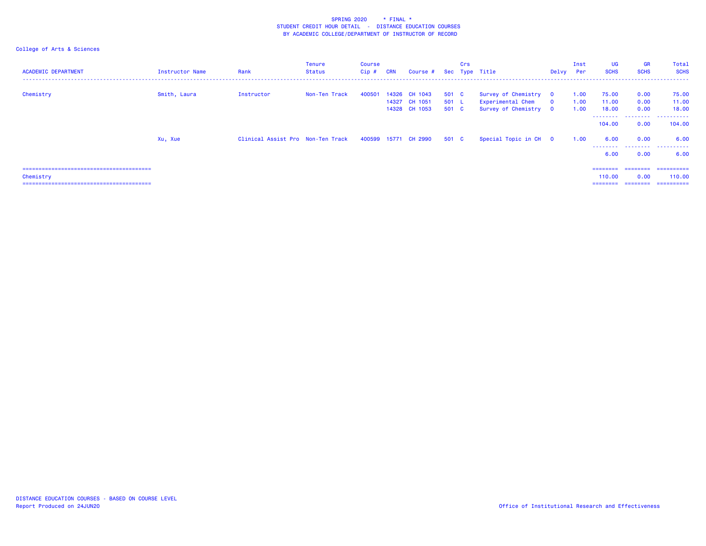| <b>ACADEMIC DEPARTMENT</b> | Instructor Name | Rank                              | Tenure<br>Status | <b>Course</b><br>Cip # | <b>CRN</b> | Course #                                               |                         | Crs | Sec Type Title                                                      | Delvy Per               | Inst                 | UG<br><b>SCHS</b>                       | GR<br><b>SCHS</b>            | Total<br><b>SCHS</b>               |
|----------------------------|-----------------|-----------------------------------|------------------|------------------------|------------|--------------------------------------------------------|-------------------------|-----|---------------------------------------------------------------------|-------------------------|----------------------|-----------------------------------------|------------------------------|------------------------------------|
| Chemistry                  | Smith, Laura    | Instructor                        | Non-Ten Track    |                        |            | 400501 14326 CH 1043<br>14327 CH 1051<br>14328 CH 1053 | 501 C<br>501 L<br>501 C |     | Survey of Chemistry 0<br>Experimental Chem<br>Survey of Chemistry 0 | $\overline{\mathbf{0}}$ | 1.00<br>1.00<br>1.00 | 75.00<br>11.00<br>18.00                 | 0.00<br>0.00<br>0.00         | 75.00<br>11.00<br>18.00            |
|                            |                 |                                   |                  |                        |            |                                                        |                         |     |                                                                     |                         |                      | --------<br>104.00                      | .<br>0.00                    | .<br>104.00                        |
|                            | Xu, Xue         | Clinical Assist Pro Non-Ten Track |                  |                        |            | 400599 15771 CH 2990                                   | 501 C                   |     | Special Topic in CH 0                                               |                         | 1.00                 | 6.00<br>--------<br>6.00                | 0.00<br>.<br>0.00            | 6.00<br>.<br>6.00                  |
| Chemistry                  |                 |                                   |                  |                        |            |                                                        |                         |     |                                                                     |                         |                      | $=$ = = = = = = =<br>110.00<br>======== | ========<br>0.00<br>======== | ==========<br>110.00<br>========== |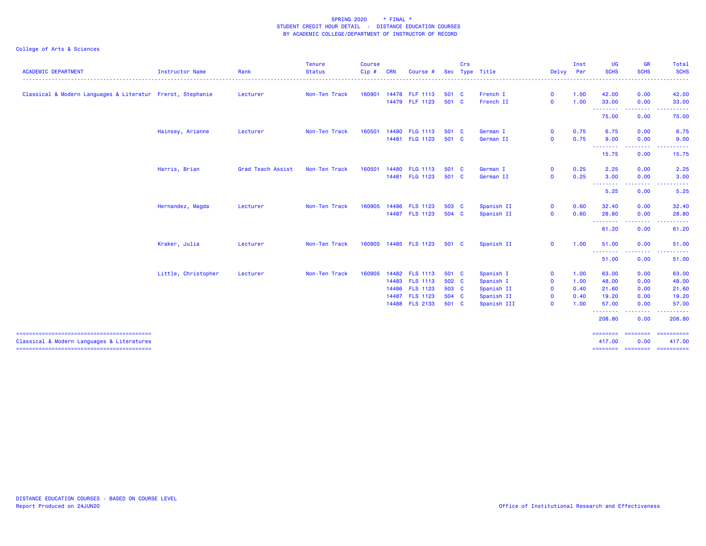|                                                            |                        |                   | <b>Tenure</b> | <b>Course</b> |            |                 |            | Crs |             |              | Inst | UG                                                    | <b>GR</b>               | Total                       |
|------------------------------------------------------------|------------------------|-------------------|---------------|---------------|------------|-----------------|------------|-----|-------------|--------------|------|-------------------------------------------------------|-------------------------|-----------------------------|
| <b>ACADEMIC DEPARTMENT</b>                                 | <b>Instructor Name</b> | Rank              | <b>Status</b> | $Cip \#$      | <b>CRN</b> | Course #        | <b>Sec</b> |     | Type Title  | Delvy Per    |      | <b>SCHS</b>                                           | <b>SCHS</b>             | <b>SCHS</b><br>.            |
| Classical & Modern Languages & Literatur Frerot, Stephanie |                        | Lecturer          | Non-Ten Track | 160901        |            | 14478 FLF 1113  | 501 C      |     | French I    | $\mathbf{O}$ | 1.00 | 42.00                                                 | 0.00                    | 42.00                       |
|                                                            |                        |                   |               |               |            | 14479 FLF 1123  | 501 C      |     | French II   | $\mathbf 0$  | 1.00 | 33.00<br><b><i><u><u> - - - - - - - -</u></u></i></b> | 0.00                    | 33.00<br>.                  |
|                                                            |                        |                   |               |               |            |                 |            |     |             |              |      | 75.00                                                 | 0.00                    | 75.00                       |
|                                                            | Hainsey, Arianne       | Lecturer          | Non-Ten Track | 160501        |            | 14480 FLG 1113  | 501 C      |     | German I    | $\mathbf{O}$ | 0.75 | 6.75                                                  | 0.00                    | 6.75                        |
|                                                            |                        |                   |               |               |            | 14481 FLG 1123  | 501 C      |     | German II   | $\mathbf 0$  | 0.75 | 9.00<br><b><i><u>AAAAAAA</u></i></b>                  | 0.00<br>--------        | 9.00<br>.                   |
|                                                            |                        |                   |               |               |            |                 |            |     |             |              |      | 15.75                                                 | 0.00                    | 15.75                       |
|                                                            | Harris, Brian          | Grad Teach Assist | Non-Ten Track | 160501        |            | 14480 FLG 1113  | 501 C      |     | German I    | $\mathbf 0$  | 0.25 | 2.25                                                  | 0.00                    | 2.25                        |
|                                                            |                        |                   |               |               | 14481      | <b>FLG 1123</b> | 501 C      |     | German II   | $\mathbf 0$  | 0.25 | 3.00<br><b><i><u><u> - - - - - - -</u></u></i></b>    | 0.00                    | 3.00                        |
|                                                            |                        |                   |               |               |            |                 |            |     |             |              |      | 5.25                                                  | 0.00                    | 5.25                        |
|                                                            | Hernandez, Magda       | Lecturer          | Non-Ten Track | 160905        |            | 14486 FLS 1123  | 503 C      |     | Spanish II  | $\mathbf{O}$ | 0.60 | 32.40                                                 | 0.00                    | 32.40                       |
|                                                            |                        |                   |               |               |            | 14487 FLS 1123  | 504 C      |     | Spanish II  | $\mathbf 0$  | 0.60 | 28.80                                                 | 0.00<br>--------        | 28.80<br>.                  |
|                                                            |                        |                   |               |               |            |                 |            |     |             |              |      | 61.20                                                 | 0.00                    | 61.20                       |
|                                                            | Kraker, Julia          | Lecturer          | Non-Ten Track | 160905        |            | 14485 FLS 1123  | 501 C      |     | Spanish II  | $\mathbf{O}$ | 1.00 | 51.00                                                 | 0.00                    | 51.00                       |
|                                                            |                        |                   |               |               |            |                 |            |     |             |              |      | --------<br>51.00                                     | -----<br>0.00           | .<br>51.00                  |
|                                                            | Little, Christopher    | Lecturer          | Non-Ten Track | 160905        |            | 14482 FLS 1113  | 501 C      |     | Spanish I   | $\mathbf 0$  | 1.00 | 63.00                                                 | 0.00                    | 63.00                       |
|                                                            |                        |                   |               |               |            | 14483 FLS 1113  | 502 C      |     | Spanish I   | $\mathbf 0$  | 1.00 | 48.00                                                 | 0.00                    | 48.00                       |
|                                                            |                        |                   |               |               |            | 14486 FLS 1123  | 503 C      |     | Spanish II  | $\mathbf 0$  | 0.40 | 21.60                                                 | 0.00                    | 21.60                       |
|                                                            |                        |                   |               |               |            | 14487 FLS 1123  | 504 C      |     | Spanish II  | $\mathbf 0$  | 0.40 | 19.20                                                 | 0.00                    | 19.20                       |
|                                                            |                        |                   |               |               |            | 14488 FLS 2133  | 501 C      |     | Spanish III | $\mathbf 0$  | 1.00 | 57.00<br>--------                                     | 0.00<br>.               | 57.00<br>.                  |
|                                                            |                        |                   |               |               |            |                 |            |     |             |              |      | 208.80                                                | 0.00                    | 208.80                      |
| Classical & Modern Languages & Literatures                 |                        |                   |               |               |            |                 |            |     |             |              |      | <b>SESSESSE</b><br>417.00                             | <b>SESSESSE</b><br>0.00 | ==========<br>417.00        |
|                                                            |                        |                   |               |               |            |                 |            |     |             |              |      |                                                       |                         | ======== ======== ========= |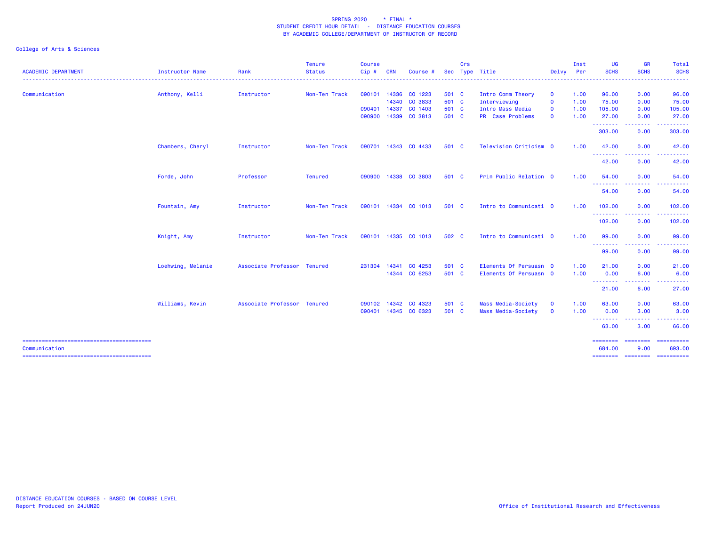|                        |            | <b>Tenure</b>             | <b>Course</b>                                              |                            |          |                                                                                                                                                                                                            | Crs |                                                                                                          |                                  | Inst                                                                                                                                                                    | <b>UG</b>         | <b>GR</b>                                                                                                          | Total                                                                                                                            |
|------------------------|------------|---------------------------|------------------------------------------------------------|----------------------------|----------|------------------------------------------------------------------------------------------------------------------------------------------------------------------------------------------------------------|-----|----------------------------------------------------------------------------------------------------------|----------------------------------|-------------------------------------------------------------------------------------------------------------------------------------------------------------------------|-------------------|--------------------------------------------------------------------------------------------------------------------|----------------------------------------------------------------------------------------------------------------------------------|
| <b>Instructor Name</b> | Rank       | <b>Status</b><br><u>.</u> | Cip#                                                       | <b>CRN</b>                 | Course i | <b>Sec</b>                                                                                                                                                                                                 |     |                                                                                                          |                                  |                                                                                                                                                                         |                   | .                                                                                                                  | <b>SCHS</b><br>.                                                                                                                 |
| Anthony, Kelli         | Instructor | Non-Ten Track             | 090101                                                     |                            |          |                                                                                                                                                                                                            |     | Intro Comm Theory                                                                                        | $\mathbf 0$                      | 1.00                                                                                                                                                                    | 96.00             | 0.00                                                                                                               | 96.00                                                                                                                            |
|                        |            |                           |                                                            |                            |          |                                                                                                                                                                                                            |     | Interviewing                                                                                             | $\mathbf 0$                      | 1.00                                                                                                                                                                    | 75.00             | 0.00                                                                                                               | 75.00                                                                                                                            |
|                        |            |                           | 090401                                                     | 14337                      |          |                                                                                                                                                                                                            |     | Intro Mass Media                                                                                         | $\mathbf 0$                      | 1.00                                                                                                                                                                    | 105.00            | 0.00                                                                                                               | 105.00                                                                                                                           |
|                        |            |                           | 090900                                                     |                            |          |                                                                                                                                                                                                            |     | PR Case Problems                                                                                         | $\mathbf 0$                      | 1.00                                                                                                                                                                    | 27.00             | 0.00                                                                                                               | 27.00<br>.                                                                                                                       |
|                        |            |                           |                                                            |                            |          |                                                                                                                                                                                                            |     |                                                                                                          |                                  |                                                                                                                                                                         | 303.00            | 0.00                                                                                                               | 303.00                                                                                                                           |
| Chambers, Cheryl       | Instructor | Non-Ten Track             |                                                            |                            |          |                                                                                                                                                                                                            |     |                                                                                                          |                                  | 1.00                                                                                                                                                                    | 42.00             | 0.00                                                                                                               | 42.00                                                                                                                            |
|                        |            |                           |                                                            |                            |          |                                                                                                                                                                                                            |     |                                                                                                          |                                  |                                                                                                                                                                         | 42.00             | 0.00                                                                                                               | 42.00                                                                                                                            |
| Forde, John            | Professor  | <b>Tenured</b>            | 090900                                                     |                            |          |                                                                                                                                                                                                            |     |                                                                                                          |                                  | 1.00                                                                                                                                                                    | 54.00             | 0.00                                                                                                               | 54.00                                                                                                                            |
|                        |            |                           |                                                            |                            |          |                                                                                                                                                                                                            |     |                                                                                                          |                                  |                                                                                                                                                                         | 54.00             | 0.00                                                                                                               | .<br>54.00                                                                                                                       |
| Fountain, Amy          | Instructor | Non-Ten Track             |                                                            |                            |          |                                                                                                                                                                                                            |     |                                                                                                          |                                  | 1.00                                                                                                                                                                    | 102.00            | 0.00                                                                                                               | 102.00                                                                                                                           |
|                        |            |                           |                                                            |                            |          |                                                                                                                                                                                                            |     |                                                                                                          |                                  |                                                                                                                                                                         | 102.00            | 0.00                                                                                                               | . <b>.</b> .<br>102.00                                                                                                           |
| Knight, Amy            | Instructor | Non-Ten Track             |                                                            |                            |          |                                                                                                                                                                                                            |     |                                                                                                          |                                  | 1.00                                                                                                                                                                    | 99.00             | 0.00                                                                                                               | 99.00                                                                                                                            |
|                        |            |                           |                                                            |                            |          |                                                                                                                                                                                                            |     |                                                                                                          |                                  |                                                                                                                                                                         | 99.00             | 0.00                                                                                                               | .<br>99.00                                                                                                                       |
| Loehwing, Melanie      |            |                           | 231304                                                     | 14341                      |          |                                                                                                                                                                                                            |     |                                                                                                          |                                  | 1.00                                                                                                                                                                    | 21.00             | 0.00                                                                                                               | 21.00                                                                                                                            |
|                        |            |                           |                                                            |                            |          |                                                                                                                                                                                                            |     |                                                                                                          |                                  | 1.00                                                                                                                                                                    | 0.00              | 6.00                                                                                                               | 6.00                                                                                                                             |
|                        |            |                           |                                                            |                            |          |                                                                                                                                                                                                            |     |                                                                                                          |                                  |                                                                                                                                                                         | 21.00             | 6.00                                                                                                               | 27.00                                                                                                                            |
| Williams, Kevin        |            |                           |                                                            |                            |          |                                                                                                                                                                                                            |     | Mass Media-Society                                                                                       | $\mathbf 0$                      | 1.00                                                                                                                                                                    | 63.00             | 0.00                                                                                                               | 63.00                                                                                                                            |
|                        |            |                           |                                                            |                            |          |                                                                                                                                                                                                            |     |                                                                                                          |                                  |                                                                                                                                                                         |                   | 22222                                                                                                              | 3.00                                                                                                                             |
|                        |            |                           |                                                            |                            |          |                                                                                                                                                                                                            |     |                                                                                                          |                                  |                                                                                                                                                                         | 63.00             | 3.00                                                                                                               | 66.00                                                                                                                            |
|                        |            |                           |                                                            |                            |          |                                                                                                                                                                                                            |     |                                                                                                          |                                  |                                                                                                                                                                         | 684,00            | 9.00                                                                                                               | ==========<br>693,00                                                                                                             |
|                        |            |                           | Associate Professor Tenured<br>Associate Professor Tenured | 090701<br>090102<br>090401 |          | 14336 CO 1223<br>14340 CO 3833<br>CO 1403<br>14339 CO 3813<br>14343 CO 4433<br>14338 CO 3803<br>090101 14334 CO 1013<br>090101 14335 CO 1013<br>CO 4253<br>14344 CO 6253<br>14342 CO 4323<br>14345 CO 6323 |     | 501 C<br>501 C<br>501 C<br>501 C<br>501 C<br>501 C<br>501 C<br>502 C<br>501 C<br>501 C<br>501 C<br>501 C | Type Title<br>Mass Media-Society | Television Criticism 0<br>Prin Public Relation 0<br>Intro to Communicati 0<br>Intro to Communicati 0<br>Elements Of Persuasn 0<br>Elements Of Persuasn 0<br>$\mathbf 0$ | Delvy Per<br>1.00 | <b>SCHS</b><br>--------<br><b></b><br><b></b><br>--------<br><b></b><br>--------<br>0.00<br><b>.</b> .<br>======== | <b>SCHS</b><br>--------<br>.<br>-----<br>-----<br>.<br><b><i><u><u> - - - - - - - -</u></u></i></b><br>-----<br>3.00<br>======== |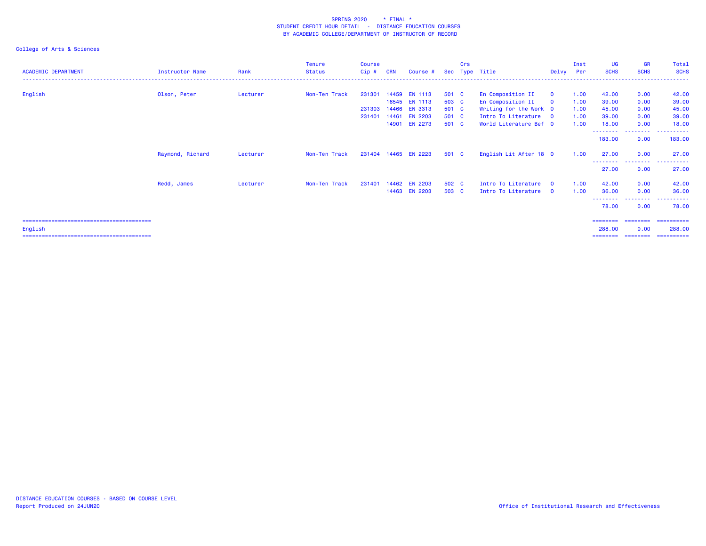|                            |                        |          | Tenure        | Course  |            |                      |       | Crs |                        |              | Inst | UG                | <b>GR</b>                                            | Total                                |
|----------------------------|------------------------|----------|---------------|---------|------------|----------------------|-------|-----|------------------------|--------------|------|-------------------|------------------------------------------------------|--------------------------------------|
| <b>ACADEMIC DEPARTMENT</b> | <b>Instructor Name</b> | Rank     | <b>Status</b> | $Cip$ # | <b>CRN</b> | Course #             |       |     | Sec Type Title         | Delvy        | Per  | <b>SCHS</b>       | <b>SCHS</b>                                          | <b>SCHS</b>                          |
|                            |                        |          |               |         |            |                      |       |     |                        |              |      |                   |                                                      |                                      |
| English                    | Olson, Peter           | Lecturer | Non-Ten Track | 231301  |            | 14459 EN 1113        | 501 C |     | En Composition II      | $\mathbf{O}$ | 1.00 | 42.00             | 0.00                                                 | 42.00                                |
|                            |                        |          |               |         |            | 16545 EN 1113        | 503 C |     | En Composition II      | $\mathbf{O}$ | 1.00 | 39.00             | 0.00                                                 | 39.00                                |
|                            |                        |          |               | 231303  | 14466      | <b>EN 3313</b>       | 501 C |     | Writing for the Work 0 |              | 1.00 | 45.00             | 0.00                                                 | 45.00                                |
|                            |                        |          |               | 231401  | 14461      | <b>EN 2203</b>       | 501 C |     | Intro To Literature 0  |              | 1.00 | 39.00             | 0.00                                                 | 39.00                                |
|                            |                        |          |               |         | 14901      | <b>EN 2273</b>       | 501 C |     | World Literature Bef 0 |              | 1.00 | 18.00<br>-------- | 0.00<br><b><i><u><u> - - - - - - - -</u></u></i></b> | 18.00<br><u> - - - - - - - - - -</u> |
|                            |                        |          |               |         |            |                      |       |     |                        |              |      | 183.00            | 0.00                                                 | 183.00                               |
|                            | Raymond, Richard       | Lecturer | Non-Ten Track |         |            | 231404 14465 EN 2223 | 501 C |     | English Lit After 18 0 |              | 1.00 | 27.00<br>-------- | 0.00<br>.                                            | 27.00                                |
|                            |                        |          |               |         |            |                      |       |     |                        |              |      | 27.00             | 0.00                                                 | .<br>27.00                           |
|                            | Redd, James            | Lecturer | Non-Ten Track | 231401  |            | 14462 EN 2203        | 502 C |     | Intro To Literature    | $\Omega$     | 1.00 | 42.00             | 0.00                                                 | 42.00                                |
|                            |                        |          |               |         |            | 14463 EN 2203        | 503 C |     | Intro To Literature    | $\Omega$     | 1.00 | 36.00             | 0.00                                                 | 36.00                                |
|                            |                        |          |               |         |            |                      |       |     |                        |              |      | 78.00             | <u>.</u><br>0.00                                     | 78.00                                |
|                            |                        |          |               |         |            |                      |       |     |                        |              |      | ========          | ========                                             | ==========                           |
| English                    |                        |          |               |         |            |                      |       |     |                        |              |      | 288.00            | 0.00                                                 | 288.00                               |
|                            |                        |          |               |         |            |                      |       |     |                        |              |      |                   | ======== ========                                    | ==========                           |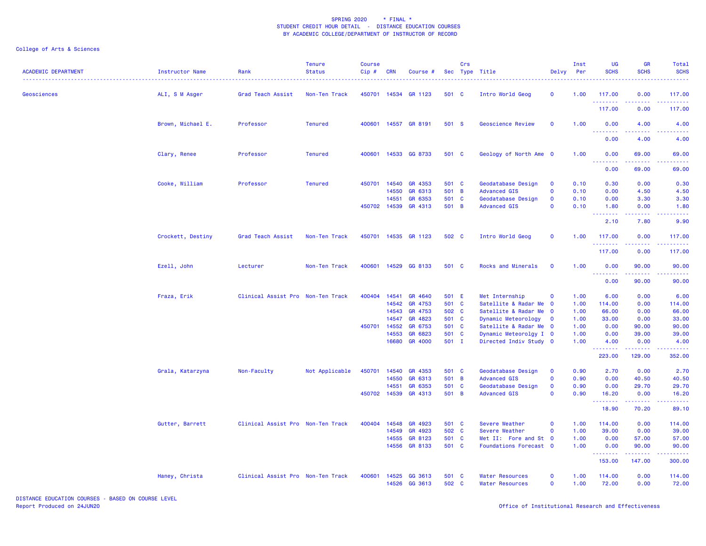| <b>ACADEMIC DEPARTMENT</b> | Instructor Name   | Rank                              | <b>Tenure</b><br><b>Status</b> | <b>Course</b><br>$Cip$ # | <b>CRN</b>   | Course #             |       | Crs | Sec Type Title           | Delvy                   | Inst<br>Per | UG<br><b>SCHS</b>                 | <b>GR</b><br><b>SCHS</b>                                                                                                                                      | Total<br><b>SCHS</b> |
|----------------------------|-------------------|-----------------------------------|--------------------------------|--------------------------|--------------|----------------------|-------|-----|--------------------------|-------------------------|-------------|-----------------------------------|---------------------------------------------------------------------------------------------------------------------------------------------------------------|----------------------|
| Geosciences                | ALI, S M Asger    | Grad Teach Assist                 | Non-Ten Track                  |                          |              | 450701 14534 GR 1123 | 501 C |     | Intro World Geog         | $\mathbf 0$             | 1.00        | 117.00<br><u>.</u>                | 0.00<br><b><i><u><u>.</u></u></i></b>                                                                                                                         | 117.00               |
|                            |                   |                                   |                                |                          |              |                      |       |     |                          |                         |             | 117.00                            | 0.00                                                                                                                                                          | 117.00               |
|                            | Brown, Michael E. | Professor                         | <b>Tenured</b>                 |                          |              | 400601 14557 GR 8191 | 501 S |     | <b>Geoscience Review</b> | $\mathbf 0$             | 1.00        | 0.00<br>$\omega_{\rm{eff}}$<br>.  | 4.00<br>-----                                                                                                                                                 | 4.00                 |
|                            |                   |                                   |                                |                          |              |                      |       |     |                          |                         |             | 0.00                              | 4.00                                                                                                                                                          | 4.00                 |
|                            | Clary, Renee      | Professor                         | <b>Tenured</b>                 | 400601                   |              | 14533 GG 8733        | 501 C |     | Geology of North Ame 0   |                         | 1.00        | 0.00<br>.<br>$\sim$ $\sim$ $\sim$ | 69.00<br>$\frac{1}{2} \left( \frac{1}{2} \right) \left( \frac{1}{2} \right) \left( \frac{1}{2} \right) \left( \frac{1}{2} \right) \left( \frac{1}{2} \right)$ | 69.00                |
|                            |                   |                                   |                                |                          |              |                      |       |     |                          |                         |             | 0.00                              | 69.00                                                                                                                                                         | 69.00                |
|                            | Cooke, William    | Professor                         | <b>Tenured</b>                 | 450701                   | 14540        | GR 4353              | 501 C |     | Geodatabase Design       | $\mathbf 0$             | 0.10        | 0.30                              | 0.00                                                                                                                                                          | 0.30                 |
|                            |                   |                                   |                                |                          | 14550        | GR 6313              | 501 B |     | <b>Advanced GIS</b>      | $\Omega$                | 0.10        | 0.00                              | 4.50                                                                                                                                                          | 4.50                 |
|                            |                   |                                   |                                |                          | 14551        | GR 6353              | 501 C |     | Geodatabase Design       | $\mathbf 0$             | 0.10        | 0.00                              | 3.30                                                                                                                                                          | 3.30                 |
|                            |                   |                                   |                                |                          | 450702 14539 | GR 4313              | 501 B |     | <b>Advanced GIS</b>      | $\Omega$                | 0.10        | 1.80<br><b>.</b> .                | 0.00<br>22222                                                                                                                                                 | 1.80<br>.            |
|                            |                   |                                   |                                |                          |              |                      |       |     |                          |                         |             | 2.10                              | 7.80                                                                                                                                                          | 9.90                 |
|                            | Crockett, Destiny | Grad Teach Assist                 | Non-Ten Track                  | 450701                   |              | 14535 GR 1123        | 502 C |     | Intro World Geog         | $\mathbf 0$             | 1.00        | 117.00<br>.                       | 0.00                                                                                                                                                          | 117.00               |
|                            |                   |                                   |                                |                          |              |                      |       |     |                          |                         |             | 117.00                            | 0.00                                                                                                                                                          | 117.00               |
|                            | Ezell, John       | Lecturer                          | Non-Ten Track                  | 400601                   | 14529        | GG 8133              | 501 C |     | Rocks and Minerals       | $\mathbf 0$             | 1.00        | 0.00<br><u>.</u>                  | 90.00                                                                                                                                                         | 90.00                |
|                            |                   |                                   |                                |                          |              |                      |       |     |                          |                         |             | 0.00                              | 90.00                                                                                                                                                         | 90.00                |
|                            | Fraza, Erik       | Clinical Assist Pro Non-Ten Track |                                | 400404                   | 14541        | GR 4640              | 501 E |     | Met Internship           | $\mathbf 0$             | 1.00        | 6.00                              | 0.00                                                                                                                                                          | 6.00                 |
|                            |                   |                                   |                                |                          | 14542        | GR 4753              | 501 C |     | Satellite & Radar Me     | $\overline{\mathbf{0}}$ | 1.00        | 114.00                            | 0.00                                                                                                                                                          | 114.00               |
|                            |                   |                                   |                                |                          | 14543        | GR 4753              | 502 C |     | Satellite & Radar Me     | $\overline{\mathbf{0}}$ | 1.00        | 66.00                             | 0.00                                                                                                                                                          | 66.00                |
|                            |                   |                                   |                                |                          | 14547        | GR 4823              | 501 C |     | Dynamic Meteorology      | $\mathbf{o}$            | 1.00        | 33.00                             | 0.00                                                                                                                                                          | 33.00                |
|                            |                   |                                   |                                |                          | 450701 14552 | GR 6753              | 501 C |     | Satellite & Radar Me 0   |                         | 1.00        | 0.00                              | 90.00                                                                                                                                                         | 90.00                |
|                            |                   |                                   |                                |                          | 14553        | GR 6823              | 501 C |     | Dynamic Meteorolgy I 0   |                         | 1.00        | 0.00                              | 39.00                                                                                                                                                         | 39.00                |
|                            |                   |                                   |                                |                          | 16680        | GR 4000              | 501 I |     | Directed Indiv Study 0   |                         | 1.00        | 4.00                              | 0.00                                                                                                                                                          | 4.00                 |
|                            |                   |                                   |                                |                          |              |                      |       |     |                          |                         |             | 223.00                            | 129.00                                                                                                                                                        | 352.00               |
|                            | Grala, Katarzyna  | Non-Faculty                       | Not Applicable                 | 450701                   | 14540        | GR 4353              | 501 C |     | Geodatabase Design       | $\mathbf 0$             | 0.90        | 2.70                              | 0.00                                                                                                                                                          | 2.70                 |
|                            |                   |                                   |                                |                          | 14550        | GR 6313              | 501 B |     | <b>Advanced GIS</b>      | $\mathbf 0$             | 0.90        | 0.00                              | 40.50                                                                                                                                                         | 40.50                |
|                            |                   |                                   |                                |                          | 14551        | GR 6353              | 501 C |     | Geodatabase Design       | $\mathbf 0$             | 0.90        | 0.00                              | 29.70                                                                                                                                                         | 29.70                |
|                            |                   |                                   |                                | 450702                   | 14539        | GR 4313              | 501 B |     | <b>Advanced GIS</b>      | $\mathbf 0$             | 0.90        | 16.20<br><b>.</b> .               | 0.00<br>$- - - - -$                                                                                                                                           | 16.20<br>.           |
|                            |                   |                                   |                                |                          |              |                      |       |     |                          |                         |             | 18.90                             | 70.20                                                                                                                                                         | 89.10                |
|                            | Gutter, Barrett   | Clinical Assist Pro Non-Ten Track |                                | 400404                   | 14548        | GR 4923              | 501 C |     | Severe Weather           | $\mathbf 0$             | 1.00        | 114.00                            | 0.00                                                                                                                                                          | 114.00               |
|                            |                   |                                   |                                |                          | 14549        | GR 4923              | 502 C |     | Severe Weather           | $\Omega$                | 1.00        | 39.00                             | 0.00                                                                                                                                                          | 39.00                |
|                            |                   |                                   |                                |                          | 14555        | GR 8123              | 501 C |     | Met II: Fore and St 0    |                         | 1.00        | 0.00                              | 57.00                                                                                                                                                         | 57.00                |
|                            |                   |                                   |                                |                          |              | 14556 GR 8133        | 501 C |     | Foundations Forecast 0   |                         | 1.00        | 0.00<br>.                         | 90.00<br><b>.</b>                                                                                                                                             | 90.00                |
|                            |                   |                                   |                                |                          |              |                      |       |     |                          |                         |             | 153.00                            | 147.00                                                                                                                                                        | 300.00               |
|                            | Haney, Christa    | Clinical Assist Pro Non-Ten Track |                                | 400601                   | 14525        | GG 3613              | 501 C |     | <b>Water Resources</b>   | $\mathbf 0$             | 1.00        | 114.00                            | 0.00                                                                                                                                                          | 114.00               |
|                            |                   |                                   |                                |                          | 14526        | GG 3613              | 502 C |     | <b>Water Resources</b>   | $\mathbf 0$             | 1.00        | 72.00                             | 0.00                                                                                                                                                          | 72.00                |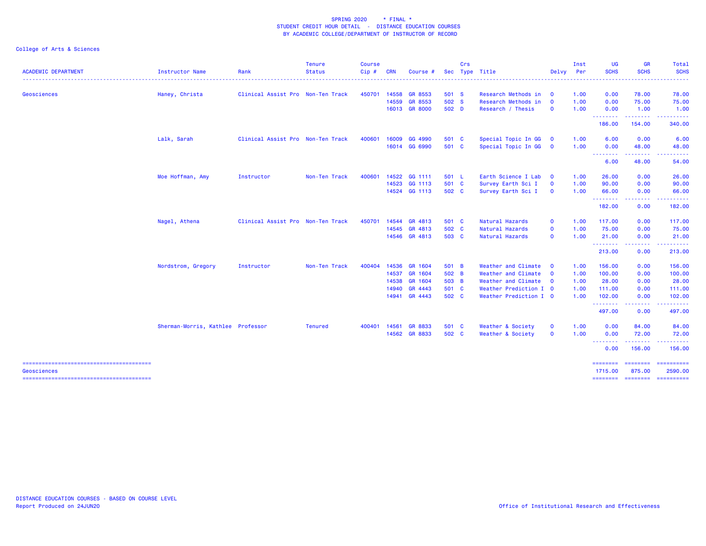|                            |                                   |                                   | <b>Tenure</b>                   | <b>Course</b> |            |                      |       | Crs |                        |                         | Inst     | <b>UG</b>         | <b>GR</b>                                                                                                               | Total                                  |
|----------------------------|-----------------------------------|-----------------------------------|---------------------------------|---------------|------------|----------------------|-------|-----|------------------------|-------------------------|----------|-------------------|-------------------------------------------------------------------------------------------------------------------------|----------------------------------------|
| <b>ACADEMIC DEPARTMENT</b> | Instructor Name                   | Rank                              | <b>Status</b><br>-------------- | $Cip$ #       | <b>CRN</b> | Course               |       |     | Sec Type Title         | Delvy                   | Per<br>. | <b>SCHS</b>       | <b>SCHS</b>                                                                                                             | <b>SCHS</b><br>------                  |
| Geosciences                | Haney, Christa                    | Clinical Assist Pro Non-Ten Track |                                 | 450701        | 14558      | <b>GR 8553</b>       | 501 S |     | Research Methods in    | $\mathbf 0$             | 1.00     | 0.00              | 78.00                                                                                                                   | 78.00                                  |
|                            |                                   |                                   |                                 |               | 14559      | GR 8553              | 502 S |     | Research Methods in    | $\mathbf{o}$            | 1.00     | 0.00              | 75.00                                                                                                                   | 75.00                                  |
|                            |                                   |                                   |                                 |               |            | 16013 GR 8000        | 502 D |     | Research / Thesis      | $\mathbf 0$             | 1.00     | 0.00<br>--------  | 1.00<br>--------                                                                                                        | 1.00<br>.                              |
|                            |                                   |                                   |                                 |               |            |                      |       |     |                        |                         |          | 186.00            | 154.00                                                                                                                  | 340.00                                 |
|                            | Lalk, Sarah                       | Clinical Assist Pro Non-Ten Track |                                 | 400601        | 16009      | GG 4990              | 501 C |     | Special Topic In GG    | $\mathbf 0$             | 1.00     | 6.00              | 0.00                                                                                                                    | 6.00                                   |
|                            |                                   |                                   |                                 |               |            | 16014 GG 6990        | 501 C |     | Special Topic In GG    | $\overline{\mathbf{0}}$ | 1.00     | 0.00<br>--------  | 48.00                                                                                                                   | 48.00                                  |
|                            |                                   |                                   |                                 |               |            |                      |       |     |                        |                         |          | 6.00              | 48.00                                                                                                                   | 54.00                                  |
|                            | Moe Hoffman, Amy                  | Instructor                        | Non-Ten Track                   | 400601        |            | 14522 GG 1111        | 501 L |     | Earth Science I Lab    | $\mathbf 0$             | 1.00     | 26.00             | 0.00                                                                                                                    | 26.00                                  |
|                            |                                   |                                   |                                 |               |            | 14523 GG 1113        | 501 C |     | Survey Earth Sci I     | $\mathbf 0$             | 1.00     | 90.00             | 0.00                                                                                                                    | 90.00                                  |
|                            |                                   |                                   |                                 |               |            | 14524 GG 1113        | 502 C |     | Survey Earth Sci I     | $\mathbf{o}$            | 1.00     | 66.00<br>.        | 0.00<br>.                                                                                                               | 66.00                                  |
|                            |                                   |                                   |                                 |               |            |                      |       |     |                        |                         |          | 182.00            | 0.00                                                                                                                    | 182.00                                 |
|                            | Nagel, Athena                     | Clinical Assist Pro Non-Ten Track |                                 | 450701        |            | 14544 GR 4813        | 501 C |     | Natural Hazards        | $\mathbf 0$             | 1.00     | 117.00            | 0.00                                                                                                                    | 117.00                                 |
|                            |                                   |                                   |                                 |               |            | 14545 GR 4813        | 502 C |     | Natural Hazards        | $\mathbf 0$             | 1.00     | 75.00             | 0.00                                                                                                                    | 75.00                                  |
|                            |                                   |                                   |                                 |               |            | 14546 GR 4813        | 503 C |     | Natural Hazards        | $\mathbf 0$             | 1.00     | 21.00<br>-------- | 0.00<br>$\begin{array}{cccccccccccccc} \bullet & \bullet & \bullet & \bullet & \bullet & \bullet & \bullet \end{array}$ | 21.00                                  |
|                            |                                   |                                   |                                 |               |            |                      |       |     |                        |                         |          | 213.00            | 0.00                                                                                                                    | 213.00                                 |
|                            | Nordstrom, Gregory                | Instructor                        | Non-Ten Track                   | 400404        |            | 14536 GR 1604        | 501 B |     | Weather and Climate    | $\mathbf 0$             | 1.00     | 156.00            | 0.00                                                                                                                    | 156.00                                 |
|                            |                                   |                                   |                                 |               |            | 14537 GR 1604        | 502 B |     | Weather and Climate    | $\overline{\mathbf{0}}$ | 1.00     | 100.00            | 0.00                                                                                                                    | 100.00                                 |
|                            |                                   |                                   |                                 |               | 14538      | GR 1604              | 503 B |     | Weather and Climate    | $\overline{\mathbf{0}}$ | 1.00     | 28.00             | 0.00                                                                                                                    | 28.00                                  |
|                            |                                   |                                   |                                 |               | 14940      | GR 4443              | 501 C |     | Weather Prediction I 0 |                         | 1.00     | 111.00            | 0.00                                                                                                                    | 111.00                                 |
|                            |                                   |                                   |                                 |               |            | 14941 GR 4443        | 502 C |     | Weather Prediction I 0 |                         | 1.00     | 102.00<br>.       | 0.00<br>.                                                                                                               | 102.00                                 |
|                            |                                   |                                   |                                 |               |            |                      |       |     |                        |                         |          | 497.00            | 0.00                                                                                                                    | 497.00                                 |
|                            | Sherman-Morris, Kathlee Professor |                                   | <b>Tenured</b>                  |               |            | 400401 14561 GR 8833 | 501 C |     | Weather & Society      | $\mathbf 0$             | 1.00     | 0.00              | 84.00                                                                                                                   | 84.00                                  |
|                            |                                   |                                   |                                 |               |            | 14562 GR 8833        | 502 C |     | Weather & Society      | $\mathbf 0$             | 1.00     | 0.00<br>--------  | 72.00<br><b><i><u><u>.</u></u></i></b>                                                                                  | 72.00                                  |
|                            |                                   |                                   |                                 |               |            |                      |       |     |                        |                         |          | 0.00              | 156.00                                                                                                                  | 156.00                                 |
|                            |                                   |                                   |                                 |               |            |                      |       |     |                        |                         |          | ========          | $=$ = = = = = = =                                                                                                       | ==========                             |
| Geosciences                |                                   |                                   |                                 |               |            |                      |       |     |                        |                         |          | 1715.00           | 875.00                                                                                                                  | 2590.00<br>======== ======== ========= |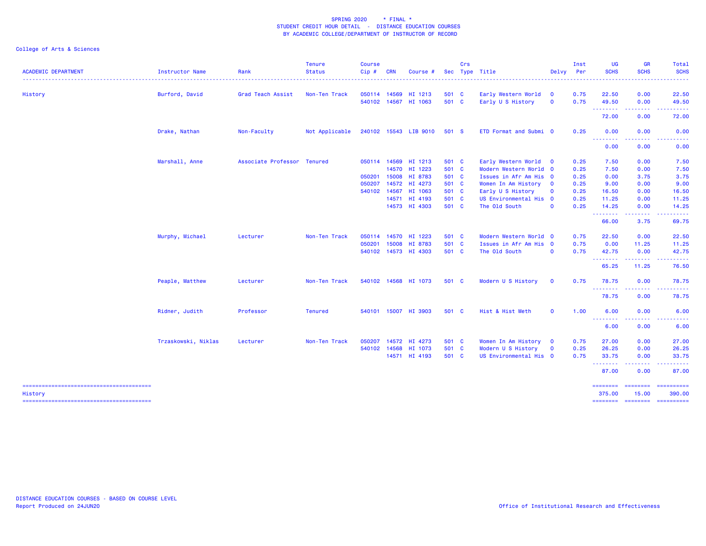| <b>ACADEMIC DEPARTMENT</b> | <b>Instructor Name</b> | Rank                        | <b>Tenure</b><br><b>Status</b> | <b>Course</b><br>Cip# | <b>CRN</b> | Course #                        |                | Crs | Sec Type Title                           | Delvy                               | Inst<br>Per  | <b>UG</b><br><b>SCHS</b>                           | GR<br><b>SCHS</b>                     | Total<br><b>SCHS</b>          |
|----------------------------|------------------------|-----------------------------|--------------------------------|-----------------------|------------|---------------------------------|----------------|-----|------------------------------------------|-------------------------------------|--------------|----------------------------------------------------|---------------------------------------|-------------------------------|
| History                    | Burford, David         | Grad Teach Assist           | Non-Ten Track                  | 050114 14569          |            | HI 1213<br>540102 14567 HI 1063 | 501 C<br>501 C |     | Early Western World<br>Early U S History | $\mathbf 0$<br>$\mathbf 0$          | 0.75<br>0.75 | 22.50<br>49.50                                     | 0.00<br>0.00                          | 22.50<br>49.50                |
|                            |                        |                             |                                |                       |            |                                 |                |     |                                          |                                     |              | .<br>72.00                                         | <b><i><u><u>.</u></u></i></b><br>0.00 | .<br>72.00                    |
|                            | Drake, Nathan          | Non-Faculty                 | Not Applicable                 |                       |            | 240102 15543 LIB 9010           | 501 S          |     | ETD Format and Submi 0                   |                                     | 0.25         | 0.00                                               | 0.00                                  | 0.00                          |
|                            |                        |                             |                                |                       |            |                                 |                |     |                                          |                                     |              | .<br>0.00                                          | 0.00                                  | 0.00                          |
|                            | Marshall, Anne         | Associate Professor Tenured |                                |                       |            | 050114 14569 HI 1213            | 501 C          |     | Early Western World                      | $\mathbf 0$                         | 0.25         | 7.50                                               | 0.00                                  | 7.50                          |
|                            |                        |                             |                                |                       | 14570      | HI 1223                         | 501 C          |     | Modern Western World 0                   |                                     | 0.25         | 7.50                                               | 0.00                                  | 7.50                          |
|                            |                        |                             |                                | 050201                |            | 15008 HI 8783                   | 501 C          |     | Issues in Afr Am His 0                   |                                     | 0.25         | 0.00                                               | 3.75                                  | 3.75                          |
|                            |                        |                             |                                | 050207                | 14572      | HI 4273                         | 501 C          |     | Women In Am History                      | $\mathbf{0}$                        | 0.25         | 9.00                                               | 0.00                                  | 9.00                          |
|                            |                        |                             |                                |                       |            | 540102 14567 HI 1063            | 501 C          |     | Early U S History                        | $\Omega$<br>$\overline{\mathbf{0}}$ | 0.25         | 16.50                                              | 0.00                                  | 16.50                         |
|                            |                        |                             |                                |                       |            | 14571 HI 4193<br>14573 HI 4303  | 501 C<br>501 C |     | US Environmental His                     | $\mathbf 0$                         | 0.25         | 11.25                                              | 0.00                                  | 11.25                         |
|                            |                        |                             |                                |                       |            |                                 |                |     | The Old South                            |                                     | 0.25         | 14.25<br><b>.</b> .                                | 0.00                                  | 14.25                         |
|                            |                        |                             |                                |                       |            |                                 |                |     |                                          |                                     |              | 66.00                                              | 3.75                                  | 69.75                         |
|                            | Murphy, Michael        | Lecturer                    | Non-Ten Track                  |                       |            | 050114 14570 HI 1223            | 501 C          |     | Modern Western World 0                   |                                     | 0.75         | 22.50                                              | 0.00                                  | 22.50                         |
|                            |                        |                             |                                | 050201                | 15008      | HI 8783                         | 501 C          |     | Issues in Afr Am His 0                   |                                     | 0.75         | 0.00                                               | 11.25                                 | 11.25                         |
|                            |                        |                             |                                |                       |            | 540102 14573 HI 4303            | 501 C          |     | The Old South                            | $\mathbf 0$                         | 0.75         | 42.75                                              | 0.00                                  | 42.75                         |
|                            |                        |                             |                                |                       |            |                                 |                |     |                                          |                                     |              | .<br>65.25                                         | .<br>11.25                            | .<br>76.50                    |
|                            | Peaple, Matthew        | Lecturer                    | Non-Ten Track                  |                       |            | 540102 14568 HI 1073            | 501 C          |     | Modern U S History                       | $\mathbf 0$                         | 0.75         | 78.75                                              | 0.00                                  | 78.75                         |
|                            |                        |                             |                                |                       |            |                                 |                |     |                                          |                                     |              | --------<br>78.75                                  | 0.00                                  | 78.75                         |
|                            | Ridner, Judith         | Professor                   | <b>Tenured</b>                 |                       |            | 540101 15007 HI 3903            | 501 C          |     | Hist & Hist Meth                         | $\mathbf 0$                         | 1.00         | 6.00                                               | 0.00                                  | 6.00                          |
|                            |                        |                             |                                |                       |            |                                 |                |     |                                          |                                     |              | <b><i><u><u> - - - - - - -</u></u></i></b><br>6.00 | 0.00                                  | 6.00                          |
|                            | Trzaskowski, Niklas    | Lecturer                    | Non-Ten Track                  | 050207                |            | 14572 HI 4273                   | 501 C          |     | Women In Am History                      | $\overline{\mathbf{0}}$             | 0.75         | 27.00                                              | 0.00                                  | 27.00                         |
|                            |                        |                             |                                | 540102 14568          |            | HI 1073                         | 501 C          |     | Modern U S History                       | $\mathbf 0$                         | 0.25         | 26.25                                              | 0.00                                  | 26.25                         |
|                            |                        |                             |                                |                       |            | 14571 HI 4193                   | 501 C          |     | US Environmental His 0                   |                                     | 0.75         | 33.75                                              | 0.00                                  | 33.75                         |
|                            |                        |                             |                                |                       |            |                                 |                |     |                                          |                                     |              | --------<br>87.00                                  | 0.00                                  | 87.00                         |
|                            |                        |                             |                                |                       |            |                                 |                |     |                                          |                                     |              | ========                                           | --------<br>15.00                     | ==========                    |
| History                    |                        |                             |                                |                       |            |                                 |                |     |                                          |                                     |              | 375.00<br><b>SEESSEES</b>                          |                                       | 390.00<br>=================== |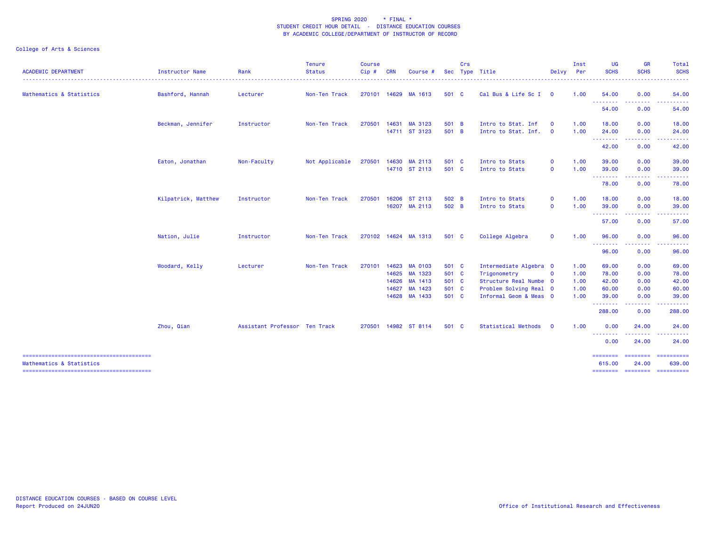| 54.00               |                                                                                                                                                                                                                                                                                                                                                                                                                                                                                                           |
|---------------------|-----------------------------------------------------------------------------------------------------------------------------------------------------------------------------------------------------------------------------------------------------------------------------------------------------------------------------------------------------------------------------------------------------------------------------------------------------------------------------------------------------------|
|                     | 0.00<br>54.00                                                                                                                                                                                                                                                                                                                                                                                                                                                                                             |
| --------<br>54.00   | .<br>0.00<br>54.00                                                                                                                                                                                                                                                                                                                                                                                                                                                                                        |
| 18.00               | 0.00<br>18.00                                                                                                                                                                                                                                                                                                                                                                                                                                                                                             |
| 24.00<br><b>.</b> . | 0.00<br>24.00<br>.<br>------                                                                                                                                                                                                                                                                                                                                                                                                                                                                              |
| 42.00               | 0.00<br>42.00                                                                                                                                                                                                                                                                                                                                                                                                                                                                                             |
| 39.00               | 0.00<br>39.00                                                                                                                                                                                                                                                                                                                                                                                                                                                                                             |
|                     | 39.00<br>0.00<br>.<br>. <u>.</u>                                                                                                                                                                                                                                                                                                                                                                                                                                                                          |
| 78.00               | 0.00<br>78.00                                                                                                                                                                                                                                                                                                                                                                                                                                                                                             |
| 18.00               | 0.00<br>18.00                                                                                                                                                                                                                                                                                                                                                                                                                                                                                             |
|                     | 0.00<br>39.00<br>-----<br><u>.</u>                                                                                                                                                                                                                                                                                                                                                                                                                                                                        |
| 57.00               | 0.00<br>57.00                                                                                                                                                                                                                                                                                                                                                                                                                                                                                             |
| 96.00               | 0.00<br>96.00                                                                                                                                                                                                                                                                                                                                                                                                                                                                                             |
|                     | .<br>96.00<br>0.00                                                                                                                                                                                                                                                                                                                                                                                                                                                                                        |
| 69.00               | 69.00<br>0.00                                                                                                                                                                                                                                                                                                                                                                                                                                                                                             |
| 78.00               | 0.00<br>78.00                                                                                                                                                                                                                                                                                                                                                                                                                                                                                             |
|                     | 42.00<br>0.00                                                                                                                                                                                                                                                                                                                                                                                                                                                                                             |
|                     | 0.00<br>60.00                                                                                                                                                                                                                                                                                                                                                                                                                                                                                             |
|                     | 39.00<br>0.00<br>-----<br>.                                                                                                                                                                                                                                                                                                                                                                                                                                                                               |
|                     | 288.00<br>0.00                                                                                                                                                                                                                                                                                                                                                                                                                                                                                            |
| 0.00                | 24.00<br>24.00                                                                                                                                                                                                                                                                                                                                                                                                                                                                                            |
| 0.00                | .<br>24.00<br>24.00                                                                                                                                                                                                                                                                                                                                                                                                                                                                                       |
| ========            | $\begin{array}{cccccccccc} \multicolumn{2}{c}{} & \multicolumn{2}{c}{} & \multicolumn{2}{c}{} & \multicolumn{2}{c}{} & \multicolumn{2}{c}{} & \multicolumn{2}{c}{} & \multicolumn{2}{c}{} & \multicolumn{2}{c}{} & \multicolumn{2}{c}{} & \multicolumn{2}{c}{} & \multicolumn{2}{c}{} & \multicolumn{2}{c}{} & \multicolumn{2}{c}{} & \multicolumn{2}{c}{} & \multicolumn{2}{c}{} & \multicolumn{2}{c}{} & \multicolumn{2}{c}{} & \multicolumn{2}{c}{} & \multicolumn{2}{c}{} & \mult$<br>24.00<br>639,00 |
|                     | 39.00<br><b></b><br>39.00<br><b></b><br><b><i><u><u> - - - - - - -</u></u></i></b><br>96.00<br>42.00<br>60.00<br>39.00<br>--------<br>288.00<br><b><i><u><u><b>a</b></u></u> a a a a a a a</i></b><br>615,00                                                                                                                                                                                                                                                                                              |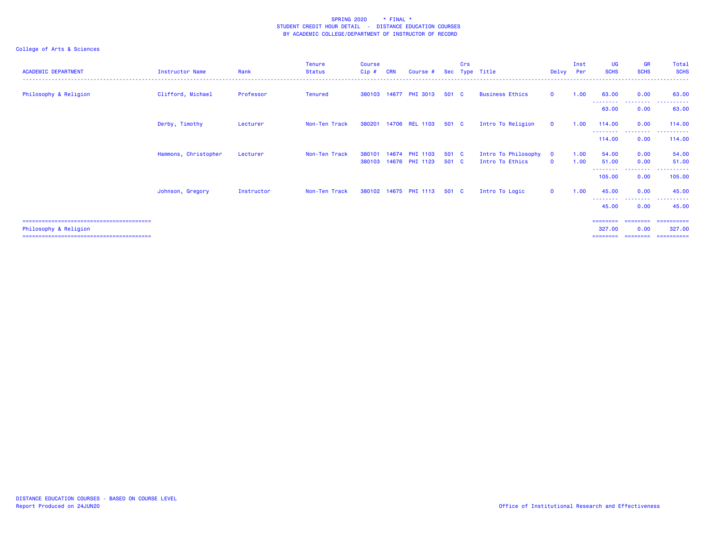| <b>ACADEMIC DEPARTMENT</b> | <b>Instructor Name</b> | Rank       | Tenure<br><b>Status</b> | <b>Course</b><br>Cip# | <b>CRN</b> | Course #                         |                | Crs | Sec Type Title                         | Delvy Per                | Inst         | <b>UG</b><br><b>SCHS</b> | <b>GR</b><br><b>SCHS</b>        | Total<br><b>SCHS</b>           |
|----------------------------|------------------------|------------|-------------------------|-----------------------|------------|----------------------------------|----------------|-----|----------------------------------------|--------------------------|--------------|--------------------------|---------------------------------|--------------------------------|
| Philosophy & Religion      | Clifford, Michael      | Professor  | <b>Tenured</b>          | 380103                |            | 14677 PHI 3013                   | 501 C          |     | <b>Business Ethics</b>                 | $\Omega$                 | 1.00         | 63.00                    | 0.00                            | 63.00                          |
|                            |                        |            |                         |                       |            |                                  |                |     |                                        |                          |              | <u>.</u><br>63.00        | <u> - - - - - - - -</u><br>0.00 | 63.00                          |
|                            | Derby, Timothy         | Lecturer   | Non-Ten Track           | 380201                |            | 14706 REL 1103                   | 501 C          |     | Intro To Religion                      | $\mathbf{0}$             | 1.00         | 114.00                   | 0.00                            | 114.00                         |
|                            |                        |            |                         |                       |            |                                  |                |     |                                        |                          |              | 114.00                   | .<br>0.00                       | 114.00                         |
|                            | Hammons, Christopher   | Lecturer   | Non-Ten Track           | 380101<br>380103      |            | 14674 PHI 1103<br>14676 PHI 1123 | 501 C<br>501 C |     | Intro To Philosophy<br>Intro To Ethics | $\mathbf{O}$<br>$\Omega$ | 1.00<br>1.00 | 54.00<br>51.00           | 0.00<br>0.00                    | 54.00<br>51.00                 |
|                            |                        |            |                         |                       |            |                                  |                |     |                                        |                          |              | --------<br>105.00       | .<br>0.00                       | 105.00                         |
|                            | Johnson, Gregory       | Instructor | Non-Ten Track           |                       |            | 380102 14675 PHI 1113            | 501 C          |     | Intro To Logic                         | $\mathbf{0}$             | 1.00         | 45.00                    | 0.00                            | 45.00                          |
|                            |                        |            |                         |                       |            |                                  |                |     |                                        |                          |              | --------<br>45.00        | --------<br>0.00                | 45.00                          |
|                            |                        |            |                         |                       |            |                                  |                |     |                                        |                          |              | ========                 | ========                        | -----------                    |
| Philosophy & Religion      |                        |            |                         |                       |            |                                  |                |     |                                        |                          |              | 327.00<br>========       | 0.00                            | 327.00<br>-------------------- |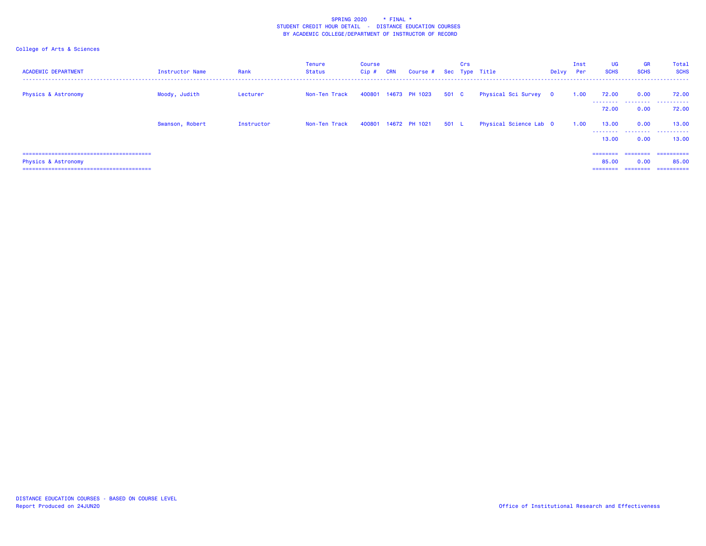| <b>ACADEMIC DEPARTMENT</b>     | Instructor Name | Rank       | <b>Tenure</b><br>Status | <b>Course</b><br>Cip# | <b>CRN</b> | Course # Sec Type Title |       | Crs |                        | Delvy Per | Inst | <b>UG</b><br><b>SCHS</b> | <b>GR</b><br><b>SCHS</b> | Total<br><b>SCHS</b> |
|--------------------------------|-----------------|------------|-------------------------|-----------------------|------------|-------------------------|-------|-----|------------------------|-----------|------|--------------------------|--------------------------|----------------------|
| <b>Physics &amp; Astronomy</b> | Moody, Judith   | Lecturer   | Non-Ten Track           |                       |            | 400801 14673 PH 1023    | 501 C |     | Physical Sci Survey 0  |           | 1.00 | 72.00<br>---------       | 0.00                     | 72.00<br>.           |
|                                |                 |            |                         |                       |            |                         |       |     |                        |           |      | 72.00                    | 0.00                     | 72.00                |
|                                | Swanson, Robert | Instructor | Non-Ten Track           |                       |            | 400801 14672 PH 1021    | 501 L |     | Physical Science Lab 0 |           | 1.00 | 13.00                    | 0.00<br>0.00             | 13,00<br>13.00       |
|                                |                 |            |                         |                       |            |                         |       |     |                        |           |      | 13.00                    |                          |                      |
|                                |                 |            |                         |                       |            |                         |       |     |                        |           |      | ========                 | <b>CONCOCOC</b>          | -----------          |
| <b>Physics &amp; Astronomy</b> |                 |            |                         |                       |            |                         |       |     |                        |           |      | 85.00                    | 0.00                     | 85.00                |
|                                |                 |            |                         |                       |            |                         |       |     |                        |           |      | ========                 | ========                 | ==========           |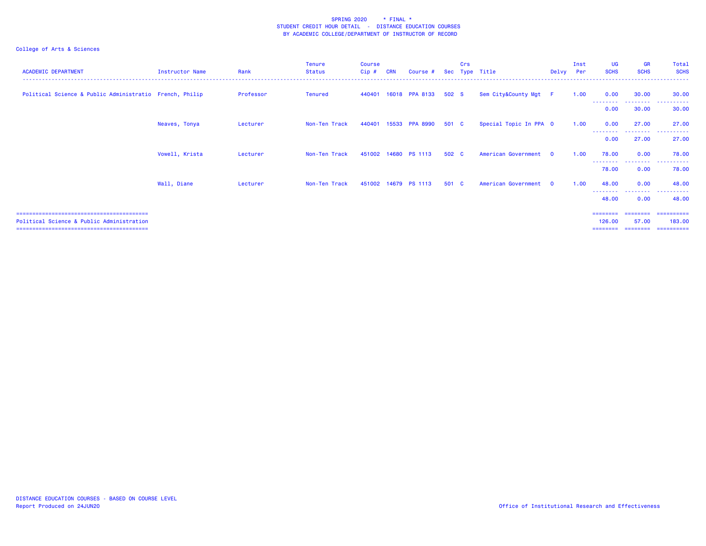| <b>ACADEMIC DEPARTMENT</b>                              | Instructor Name | Rank      | <b>Tenure</b><br>Status | <b>Course</b><br>$Cip$ # | <b>CRN</b> | Course #              | <b>Sec</b> | Crs<br>Type | Title                  | Delvy        | Inst<br>Per | UG<br><b>SCHS</b>             | <b>GR</b><br><b>SCHS</b> | Total<br><b>SCHS</b>               |
|---------------------------------------------------------|-----------------|-----------|-------------------------|--------------------------|------------|-----------------------|------------|-------------|------------------------|--------------|-------------|-------------------------------|--------------------------|------------------------------------|
| Political Science & Public Administratio French, Philip |                 | Professor | <b>Tenured</b>          |                          |            | 440401 16018 PPA 8133 | 502 S      |             | Sem City&County Mgt F  |              | 1.00        | 0.00                          | 30.00                    | 30.00                              |
|                                                         |                 |           |                         |                          |            |                       |            |             |                        |              |             | --------<br>0.00              | ---------<br>30.00       | .<br>30.00                         |
|                                                         | Neaves, Tonya   | Lecturer  | Non-Ten Track           | 440401                   |            | 15533 PPA 8990        | 501 C      |             | Special Topic In PPA 0 |              | 1.00        | 0.00<br>--------              | 27.00<br>--------        | 27.00<br>. <u>.</u> .              |
|                                                         |                 |           |                         |                          |            |                       |            |             |                        |              |             | 0.00                          | 27.00                    | 27.00                              |
|                                                         | Vowell, Krista  | Lecturer  | Non-Ten Track           | 451002 14680             |            | <b>PS 1113</b>        | 502 C      |             | American Government    | $\Omega$     | 1.00        | 78.00<br>--------             | 0.00<br>---------        | 78.00<br>.                         |
|                                                         |                 |           |                         |                          |            |                       |            |             |                        |              |             | 78.00                         | 0.00                     | 78.00                              |
|                                                         | Wall, Diane     | Lecturer  | Non-Ten Track           |                          |            | 451002 14679 PS 1113  | 501 C      |             | American Government    | $\mathbf{0}$ | 1.00        | 48.00                         | 0.00                     | 48.00                              |
|                                                         |                 |           |                         |                          |            |                       |            |             |                        |              |             | --------<br>48.00             | --------<br>0.00         | 48.00                              |
| Political Science & Public Administration               |                 |           |                         |                          |            |                       |            |             |                        |              |             | =======<br>126.00<br>======== | 57.00<br>---------       | =========<br>183.00<br>----------- |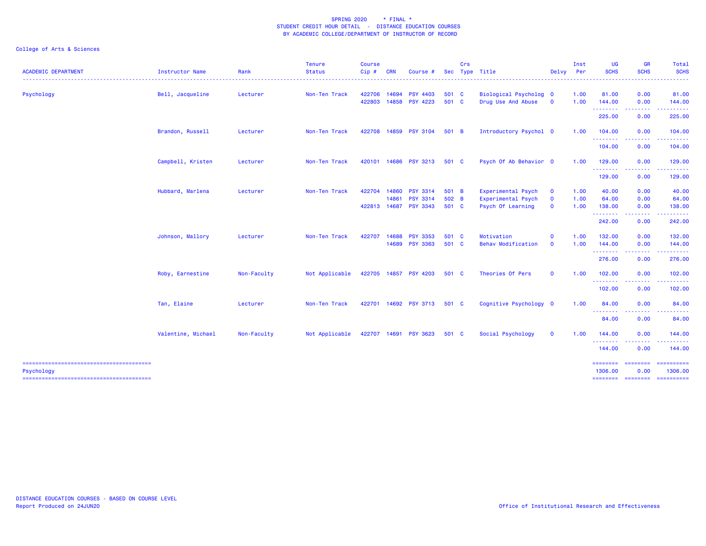| <b>ACADEMIC DEPARTMENT</b> | Instructor Name    | Rank        | <b>Tenure</b><br><b>Status</b> | <b>Course</b><br>Cip# | <b>CRN</b>                     | Course #                                              |                         | Crs | Sec Type Title<br>. <u>.</u> .                                       | Delvy                                        | Inst<br>Per          | <b>UG</b><br><b>SCHS</b>              | <b>GR</b><br><b>SCHS</b> | Total<br><b>SCHS</b><br>$\frac{1}{2} \left( \frac{1}{2} \right) \left( \frac{1}{2} \right) \left( \frac{1}{2} \right) \left( \frac{1}{2} \right)$ |
|----------------------------|--------------------|-------------|--------------------------------|-----------------------|--------------------------------|-------------------------------------------------------|-------------------------|-----|----------------------------------------------------------------------|----------------------------------------------|----------------------|---------------------------------------|--------------------------|---------------------------------------------------------------------------------------------------------------------------------------------------|
| Psychology                 | Bell, Jacqueline   | Lecturer    | Non-Ten Track                  | 422706<br>422803      | 14694                          | <b>PSY 4403</b><br>14858 PSY 4223                     | 501 C<br>501 C          |     | Biological Psycholog 0<br>Drug Use And Abuse                         | $\mathbf{0}$                                 | 1.00<br>1.00         | 81.00<br>144.00                       | 0.00<br>0.00             | 81.00<br>144.00                                                                                                                                   |
|                            |                    |             |                                |                       |                                |                                                       |                         |     |                                                                      |                                              |                      | .<br>225.00                           | المستملة<br>0.00         | 225.00                                                                                                                                            |
|                            | Brandon, Russell   | Lecturer    | Non-Ten Track                  |                       |                                | 422708 14859 PSY 3104                                 | 501 B                   |     | Introductory Psychol 0                                               |                                              | 1.00                 | 104.00                                | 0.00                     | 104.00                                                                                                                                            |
|                            |                    |             |                                |                       |                                |                                                       |                         |     |                                                                      |                                              |                      | .<br>104.00                           | .<br>0.00                | 104.00                                                                                                                                            |
|                            | Campbell, Kristen  | Lecturer    | Non-Ten Track                  |                       |                                | 420101 14686 PSY 3213                                 | 501 C                   |     | Psych Of Ab Behavior 0                                               |                                              | 1.00                 | 129.00<br>.                           | 0.00<br>.                | 129.00<br>.                                                                                                                                       |
|                            |                    |             |                                |                       |                                |                                                       |                         |     |                                                                      |                                              |                      | 129.00                                | 0.00                     | 129.00                                                                                                                                            |
|                            | Hubbard, Marlena   | Lecturer    | Non-Ten Track                  | 422704                | 14860<br>14861<br>422813 14687 | <b>PSY 3314</b><br><b>PSY 3314</b><br><b>PSY 3343</b> | 501 B<br>502 B<br>501 C |     | Experimental Psych<br><b>Experimental Psych</b><br>Psych Of Learning | $\mathbf{o}$<br>$\mathbf{o}$<br>$\mathbf{0}$ | 1.00<br>1.00<br>1.00 | 40.00<br>64.00<br>138.00              | 0.00<br>0.00<br>0.00     | 40.00<br>64.00<br>138.00                                                                                                                          |
|                            |                    |             |                                |                       |                                |                                                       |                         |     |                                                                      |                                              |                      | .<br>242.00                           | -----<br>0.00            | 242.00                                                                                                                                            |
|                            | Johnson, Mallory   | Lecturer    | Non-Ten Track                  | 422707                | 14688                          | <b>PSY 3353</b><br>14689 PSY 3363                     | 501 C<br>501 C          |     | Motivation<br><b>Behav Modification</b>                              | $\mathbf 0$<br>$\mathbf{O}$                  | 1.00<br>1.00         | 132.00<br>144.00                      | 0.00<br>0.00             | 132.00<br>144.00                                                                                                                                  |
|                            |                    |             |                                |                       |                                |                                                       |                         |     |                                                                      |                                              |                      | .<br>276.00                           | -----<br>0.00            | 276.00                                                                                                                                            |
|                            | Roby, Earnestine   | Non-Faculty | Not Applicable                 |                       |                                | 422705 14857 PSY 4203                                 | 501 C                   |     | Theories Of Pers                                                     | $\mathbf{o}$                                 | 1.00                 | 102.00<br>.                           | 0.00                     | 102.00                                                                                                                                            |
|                            |                    |             |                                |                       |                                |                                                       |                         |     |                                                                      |                                              |                      | 102.00                                | 0.00                     | 102.00                                                                                                                                            |
|                            | Tan, Elaine        | Lecturer    | Non-Ten Track                  |                       |                                | 422701 14692 PSY 3713                                 | 501 C                   |     | Cognitive Psychology 0                                               |                                              | 1.00                 | 84.00<br><b><i><u>AAAAAAA</u></i></b> | 0.00                     | 84.00                                                                                                                                             |
|                            |                    |             |                                |                       |                                |                                                       |                         |     |                                                                      |                                              |                      | 84.00                                 | 0.00                     | 84.00                                                                                                                                             |
|                            | Valentine, Michael | Non-Faculty | Not Applicable                 |                       |                                | 422707 14691 PSY 3623                                 | 501 C                   |     | Social Psychology                                                    | $\mathbf{o}$                                 | 1.00                 | 144.00<br>.                           | 0.00                     | 144.00                                                                                                                                            |
|                            |                    |             |                                |                       |                                |                                                       |                         |     |                                                                      |                                              |                      | 144.00                                | 0.00                     | 144.00                                                                                                                                            |
| Psychology                 |                    |             |                                |                       |                                |                                                       |                         |     |                                                                      |                                              |                      | <b>ESSESSES</b><br>1306.00            | <b>SESSESSE</b><br>0.00  | $=$ ==========<br>1306.00                                                                                                                         |
|                            |                    |             |                                |                       |                                |                                                       |                         |     |                                                                      |                                              |                      | <b>EDEDEDED</b>                       | ---------                | $=$ ==========                                                                                                                                    |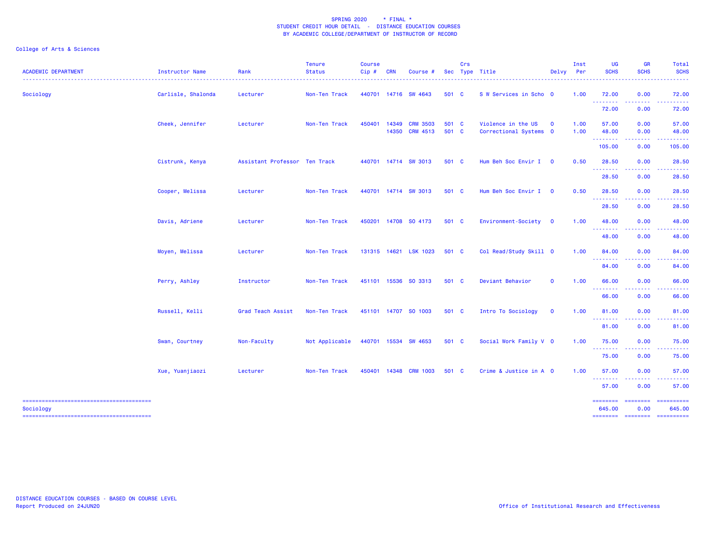### College of Arts & Sciences

| <b>ACADEMIC DEPARTMENT</b> | Instructor Name    | Rank                          | <b>Tenure</b><br><b>Status</b> | <b>Course</b><br>Cip# | <b>CRN</b> | Course #                          |                | Crs | Sec Type Title                               | Delvy Per    | Inst         | <b>UG</b><br><b>SCHS</b>                                      | <b>GR</b><br><b>SCHS</b>                                                                                                                                     | Total<br><b>SCHS</b>                             |
|----------------------------|--------------------|-------------------------------|--------------------------------|-----------------------|------------|-----------------------------------|----------------|-----|----------------------------------------------|--------------|--------------|---------------------------------------------------------------|--------------------------------------------------------------------------------------------------------------------------------------------------------------|--------------------------------------------------|
| Sociology                  | Carlisle, Shalonda | Lecturer                      | Non-Ten Track                  |                       |            | 440701 14716 SW 4643              | 501 C          |     | S W Services in Scho 0                       |              | 1.00         | 72.00<br>.                                                    | 0.00<br>$\frac{1}{2} \left( \frac{1}{2} \right) \left( \frac{1}{2} \right) \left( \frac{1}{2} \right) \left( \frac{1}{2} \right) \left( \frac{1}{2} \right)$ | 72.00<br>.                                       |
|                            |                    |                               |                                |                       |            |                                   |                |     |                                              |              |              | 72.00                                                         | 0.00                                                                                                                                                         | 72.00                                            |
|                            | Cheek, Jennifer    | Lecturer                      | Non-Ten Track                  | 450401                | 14349      | <b>CRM 3503</b><br>14350 CRM 4513 | 501 C<br>501 C |     | Violence in the US<br>Correctional Systems 0 | $\mathbf{o}$ | 1.00<br>1.00 | 57.00<br>48.00                                                | 0.00<br>0.00                                                                                                                                                 | 57.00<br>48.00                                   |
|                            |                    |                               |                                |                       |            |                                   |                |     |                                              |              |              | --------<br>105.00                                            | -----<br>0.00                                                                                                                                                | .<br>105.00                                      |
|                            | Cistrunk, Kenya    | Assistant Professor Ten Track |                                |                       |            | 440701 14714 SW 3013              | 501 C          |     | Hum Beh Soc Envir I 0                        |              | 0.50         | 28.50<br>--------                                             | 0.00<br>.                                                                                                                                                    | 28.50                                            |
|                            |                    |                               |                                |                       |            |                                   |                |     |                                              |              |              | 28.50                                                         | 0.00                                                                                                                                                         | 28.50                                            |
|                            | Cooper, Melissa    | Lecturer                      | Non-Ten Track                  |                       |            | 440701 14714 SW 3013              | 501 C          |     | Hum Beh Soc Envir I 0                        |              | 0.50         | 28.50<br>.                                                    | 0.00<br>.                                                                                                                                                    | 28.50                                            |
|                            |                    |                               |                                |                       |            |                                   |                |     |                                              |              |              | 28.50                                                         | 0.00                                                                                                                                                         | 28.50                                            |
|                            | Davis, Adriene     | Lecturer                      | Non-Ten Track                  |                       |            | 450201 14708 SO 4173              | 501 C          |     | Environment-Society 0                        |              | 1.00         | 48.00<br>.                                                    | 0.00                                                                                                                                                         | 48.00                                            |
|                            |                    |                               |                                |                       |            |                                   |                |     |                                              |              |              | 48.00                                                         | 0.00                                                                                                                                                         | 48.00                                            |
|                            | Moyen, Melissa     | Lecturer                      | Non-Ten Track                  |                       |            | 131315 14621 LSK 1023             | 501 C          |     | Col Read/Study Skill 0                       |              | 1.00         | 84.00<br>.                                                    | 0.00                                                                                                                                                         | 84.00                                            |
|                            |                    |                               |                                |                       |            |                                   |                |     |                                              |              |              | 84.00                                                         | 0.00                                                                                                                                                         | 84.00                                            |
|                            | Perry, Ashley      | Instructor                    | Non-Ten Track                  |                       |            | 451101 15536 SO 3313              | 501 C          |     | Deviant Behavior                             | $\mathbf{O}$ | 1.00         | 66.00<br><u> - - - - - - - -</u>                              | 0.00                                                                                                                                                         | 66.00                                            |
|                            |                    |                               |                                |                       |            |                                   |                |     |                                              |              |              | 66.00                                                         | 0.00                                                                                                                                                         | 66.00                                            |
|                            | Russell, Kelli     | <b>Grad Teach Assist</b>      | Non-Ten Track                  |                       |            | 451101 14707 SO 1003              | 501 C          |     | Intro To Sociology                           | $\mathbf{O}$ | 1.00         | 81.00<br><b><i><u><u><b>A</b></u></u> A A A A A A A A</i></b> | 0.00                                                                                                                                                         | 81.00                                            |
|                            |                    |                               |                                |                       |            |                                   |                |     |                                              |              |              | 81.00                                                         | 0.00                                                                                                                                                         | 81.00                                            |
|                            | Swan, Courtney     | Non-Faculty                   | Not Applicable                 |                       |            | 440701 15534 SW 4653              | 501 C          |     | Social Work Family V 0                       |              | 1.00         | 75.00                                                         | 0.00<br>المستملك                                                                                                                                             | 75.00<br>.                                       |
|                            |                    |                               |                                |                       |            |                                   |                |     |                                              |              |              | <b></b><br>75.00                                              | 0.00                                                                                                                                                         | 75.00                                            |
|                            | Xue, Yuanjiaozi    | Lecturer                      | Non-Ten Track                  |                       |            | 450401 14348 CRM 1003             | 501 C          |     | Crime & Justice in A 0                       |              | 1.00         | 57.00                                                         | 0.00                                                                                                                                                         | 57.00                                            |
|                            |                    |                               |                                |                       |            |                                   |                |     |                                              |              |              | .<br>57.00                                                    | 0.00                                                                                                                                                         | 57.00                                            |
| Sociology                  |                    |                               |                                |                       |            |                                   |                |     |                                              |              |              | <b>ESSESSES</b><br>645.00<br>========                         | <b>ESSESSES</b><br>0.00                                                                                                                                      | $=$ ==========<br>645.00<br>-------------------- |

DISTANCE EDUCATION COURSES - BASED ON COURSE LEVELReport Produced on 24JUN20 Office of Institutional Research and Effectiveness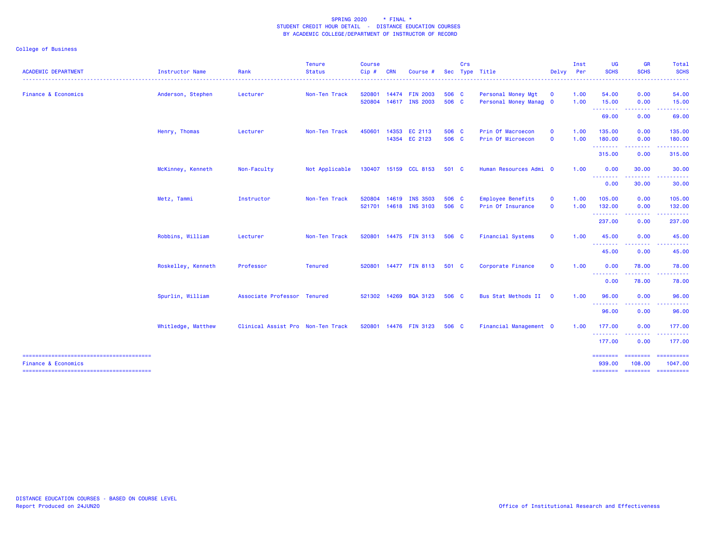| <b>ACADEMIC DEPARTMENT</b>     | Instructor Name    | Rank                              | <b>Tenure</b><br>Status | <b>Course</b><br>$Cip$ # | <b>CRN</b>   | Course                | Sec   | Crs | Type Title               | Delvy        | Inst<br><b>Per</b> | <b>UG</b><br><b>SCHS</b>         | <b>GR</b><br><b>SCHS</b> | Total<br><b>SCHS</b>  |
|--------------------------------|--------------------|-----------------------------------|-------------------------|--------------------------|--------------|-----------------------|-------|-----|--------------------------|--------------|--------------------|----------------------------------|--------------------------|-----------------------|
|                                |                    |                                   |                         |                          |              |                       |       |     |                          |              |                    |                                  |                          |                       |
| <b>Finance &amp; Economics</b> | Anderson, Stephen  | Lecturer                          | Non-Ten Track           | 520801                   |              | 14474 FIN 2003        | 506 C |     | Personal Money Mgt       | $\mathbf{o}$ | 1.00               | 54.00                            | 0.00                     | 54.00                 |
|                                |                    |                                   |                         | 520804                   |              | 14617 INS 2003        | 506 C |     | Personal Money Manag 0   |              | 1.00               | 15.00<br><u> - - - - - - - -</u> | 0.00                     | 15.00                 |
|                                |                    |                                   |                         |                          |              |                       |       |     |                          |              |                    | 69.00                            | 0.00                     | 69.00                 |
|                                | Henry, Thomas      | Lecturer                          | Non-Ten Track           | 450601                   |              | 14353 EC 2113         | 506 C |     | Prin Of Macroecon        | $\mathbf{0}$ | 1.00               | 135.00                           | 0.00                     | 135.00                |
|                                |                    |                                   |                         |                          |              | 14354 EC 2123         | 506 C |     | Prin Of Microecon        | $\mathbf{0}$ | 1.00               | 180.00<br>.                      | 0.00<br>.                | 180.00<br>.           |
|                                |                    |                                   |                         |                          |              |                       |       |     |                          |              |                    | 315.00                           | 0.00                     | 315.00                |
|                                | McKinney, Kenneth  | Non-Faculty                       | Not Applicable          |                          |              | 130407 15159 CCL 8153 | 501 C |     | Human Resources Admi 0   |              | 1.00               | 0.00<br><b></b>                  | 30.00                    | 30.00                 |
|                                |                    |                                   |                         |                          |              |                       |       |     |                          |              |                    | 0.00                             | 30.00                    | 30.00                 |
|                                | Metz, Tammi        | Instructor                        | Non-Ten Track           | 520804                   | 14619        | <b>INS 3503</b>       | 506 C |     | <b>Employee Benefits</b> | $\mathbf{O}$ | 1.00               | 105.00                           | 0.00                     | 105.00                |
|                                |                    |                                   |                         |                          |              | 521701 14618 INS 3103 | 506 C |     | Prin Of Insurance        | $\mathbf 0$  | 1.00               | 132.00<br>.                      | 0.00<br>.                | 132.00                |
|                                |                    |                                   |                         |                          |              |                       |       |     |                          |              |                    | 237.00                           | 0.00                     | 237.00                |
|                                | Robbins, William   | Lecturer                          | Non-Ten Track           |                          |              | 520801 14475 FIN 3113 | 506 C |     | <b>Financial Systems</b> | $\mathbf{O}$ | 1.00               | 45.00<br>--------                | 0.00                     | 45.00                 |
|                                |                    |                                   |                         |                          |              |                       |       |     |                          |              |                    | 45.00                            | 0.00                     | 45.00                 |
|                                | Roskelley, Kenneth | Professor                         | <b>Tenured</b>          |                          |              | 520801 14477 FIN 8113 | 501 C |     | Corporate Finance        | $\mathbf{O}$ | 1.00               | 0.00<br><b></b>                  | 78.00                    | 78.00                 |
|                                |                    |                                   |                         |                          |              |                       |       |     |                          |              |                    | 0.00                             | 78.00                    | 78.00                 |
|                                | Spurlin, William   | Associate Professor Tenured       |                         |                          | 521302 14269 | <b>BQA 3123</b>       | 506 C |     | Bus Stat Methods II      | $\mathbf{0}$ | 1.00               | 96.00<br><b></b>                 | 0.00                     | 96.00                 |
|                                |                    |                                   |                         |                          |              |                       |       |     |                          |              |                    | 96.00                            | 0.00                     | 96.00                 |
|                                | Whitledge, Matthew | Clinical Assist Pro Non-Ten Track |                         |                          |              | 520801 14476 FIN 3123 | 506 C |     | Financial Management 0   |              | 1.00               | 177.00<br>.                      | 0.00<br>$- - - - -$      | 177.00                |
|                                |                    |                                   |                         |                          |              |                       |       |     |                          |              |                    | 177.00                           | 0.00                     | 177.00                |
| <b>Finance &amp; Economics</b> |                    |                                   |                         |                          |              |                       |       |     |                          |              |                    | ========<br>939,00               | ---------<br>108.00      | ==========<br>1047.00 |
|                                |                    |                                   |                         |                          |              |                       |       |     |                          |              |                    | ========                         | <b>EEEEEEEE</b>          | $=$ ==========        |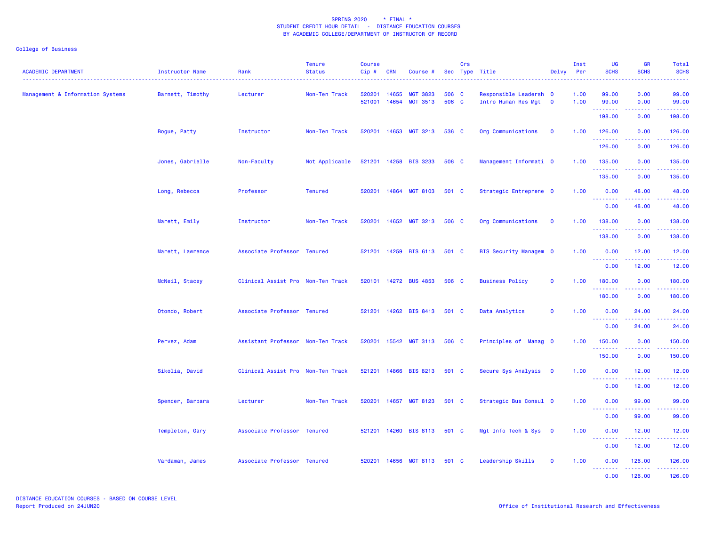| <b>ACADEMIC DEPARTMENT</b>       | Instructor Name  | Rank                              | <b>Tenure</b><br><b>Status</b> | <b>Course</b><br>$Cip$ # | <b>CRN</b>     | Course #                           |                | Crs | Sec Type Title<br>.                             | Delvy                   | Inst<br>Per  | <b>UG</b><br><b>SCHS</b>                                   | <b>GR</b><br><b>SCHS</b>                                                                                                           | Total<br><b>SCHS</b> |
|----------------------------------|------------------|-----------------------------------|--------------------------------|--------------------------|----------------|------------------------------------|----------------|-----|-------------------------------------------------|-------------------------|--------------|------------------------------------------------------------|------------------------------------------------------------------------------------------------------------------------------------|----------------------|
| Management & Information Systems | Barnett, Timothy | Lecturer                          | Non-Ten Track                  | 520201<br>521001         | 14655<br>14654 | <b>MGT 3823</b><br><b>MGT 3513</b> | 506 C<br>506 C |     | Responsible Leadersh 0<br>Intro Human Res Mgt 0 |                         | 1.00<br>1.00 | 99.00<br>99.00                                             | 0.00<br>0.00                                                                                                                       | 99.00<br>99.00       |
|                                  |                  |                                   |                                |                          |                |                                    |                |     |                                                 |                         |              | .<br>198.00                                                | المستمال<br>0.00                                                                                                                   | .<br>198.00          |
|                                  | Bogue, Patty     | Instructor                        | Non-Ten Track                  | 520201                   |                | 14653 MGT 3213                     | 536 C          |     | Org Communications                              | $\overline{\mathbf{0}}$ | 1.00         | 126.00                                                     | 0.00                                                                                                                               | 126.00               |
|                                  |                  |                                   |                                |                          |                |                                    |                |     |                                                 |                         |              | .<br>126.00                                                | .<br>0.00                                                                                                                          | 126.00               |
|                                  | Jones, Gabrielle | Non-Faculty                       | Not Applicable                 |                          |                | 521201 14258 BIS 3233              | 506 C          |     | Management Informati 0                          |                         | 1.00         | 135.00                                                     | 0.00                                                                                                                               | 135.00               |
|                                  |                  |                                   |                                |                          |                |                                    |                |     |                                                 |                         |              | .<br>135.00                                                | .<br>0.00                                                                                                                          | 22222.<br>135.00     |
|                                  | Long, Rebecca    | Professor                         | <b>Tenured</b>                 | 520201                   | 14864          | <b>MGT 8103</b>                    | 501 C          |     | Strategic Entreprene 0                          |                         | 1.00         | 0.00                                                       | 48.00                                                                                                                              | 48.00                |
|                                  |                  |                                   |                                |                          |                |                                    |                |     |                                                 |                         |              | .<br>0.00                                                  | 22222<br>48.00                                                                                                                     | .<br>48.00           |
|                                  | Marett, Emily    | Instructor                        | Non-Ten Track                  | 520201                   |                | 14652 MGT 3213                     | 506 C          |     | Org Communications                              | $\overline{\mathbf{0}}$ | 1.00         | 138.00                                                     | 0.00                                                                                                                               | 138.00               |
|                                  |                  |                                   |                                |                          |                |                                    |                |     |                                                 |                         |              | <u>.</u><br>138.00                                         | 22222<br>0.00                                                                                                                      | 22222<br>138.00      |
|                                  | Marett, Lawrence | Associate Professor Tenured       |                                | 521201                   |                | 14259 BIS 6113                     | 501 C          |     | BIS Security Managem 0                          |                         | 1.00         | 0.00                                                       | 12.00                                                                                                                              | 12.00                |
|                                  |                  |                                   |                                |                          |                |                                    |                |     |                                                 |                         |              | <b>.</b><br>0.00                                           | $\frac{1}{2} \left( \frac{1}{2} \right) \left( \frac{1}{2} \right) \left( \frac{1}{2} \right) \left( \frac{1}{2} \right)$<br>12.00 | .<br>12.00           |
|                                  | McNeil, Stacey   | Clinical Assist Pro Non-Ten Track |                                | 520101                   |                | 14272 BUS 4853                     | 506 C          |     | <b>Business Policy</b>                          | $\mathbf 0$             | 1.00         | 180.00                                                     | 0.00                                                                                                                               | 180.00               |
|                                  |                  |                                   |                                |                          |                |                                    |                |     |                                                 |                         |              | .<br>180.00                                                | .<br>0.00                                                                                                                          | 180.00               |
|                                  | Otondo, Robert   | Associate Professor Tenured       |                                | 521201                   |                | 14262 BIS 8413                     | 501 C          |     | Data Analytics                                  | $\mathbf 0$             | 1.00         | 0.00                                                       | 24.00                                                                                                                              | 24.00                |
|                                  |                  |                                   |                                |                          |                |                                    |                |     |                                                 |                         |              | --------<br>0.00                                           | 24.00                                                                                                                              | 24.00                |
|                                  | Pervez, Adam     | Assistant Professor Non-Ten Track |                                | 520201                   |                | 15542 MGT 3113                     | 506 C          |     | Principles of Manag 0                           |                         | 1.00         | 150.00                                                     | 0.00                                                                                                                               | 150.00               |
|                                  |                  |                                   |                                |                          |                |                                    |                |     |                                                 |                         |              | 150.00                                                     | 0.00                                                                                                                               | 150.00               |
|                                  | Sikolia, David   | Clinical Assist Pro Non-Ten Track |                                | 521201                   |                | 14866 BIS 8213                     | 501 C          |     | Secure Sys Analysis 0                           |                         | 1.00         | 0.00                                                       | 12.00                                                                                                                              | 12.00                |
|                                  |                  |                                   |                                |                          |                |                                    |                |     |                                                 |                         |              | <b></b><br>0.00                                            | <u>.</u><br>12.00                                                                                                                  | .<br>12.00           |
|                                  | Spencer, Barbara | Lecturer                          | Non-Ten Track                  | 520201                   |                | 14657 MGT 8123                     | 501 C          |     | Strategic Bus Consul 0                          |                         | 1.00         | 0.00                                                       | 99.00                                                                                                                              | 99.00                |
|                                  |                  |                                   |                                |                          |                |                                    |                |     |                                                 |                         |              | .<br>0.00                                                  | 99.00                                                                                                                              | 99.00                |
|                                  | Templeton, Gary  | Associate Professor Tenured       |                                | 521201                   |                | 14260 BIS 8113                     | 501 C          |     | Mgt Info Tech & Sys 0                           |                         | 1.00         | 0.00                                                       | 12.00                                                                                                                              | 12.00                |
|                                  |                  |                                   |                                |                          |                |                                    |                |     |                                                 |                         |              | .<br>0.00                                                  | .<br>12.00                                                                                                                         | .<br>12.00           |
|                                  | Vardaman, James  | Associate Professor Tenured       |                                | 520201                   |                | 14656 MGT 8113                     | 501 C          |     | Leadership Skills                               | $\mathbf 0$             | 1.00         | 0.00                                                       | 126.00                                                                                                                             | 126.00               |
|                                  |                  |                                   |                                |                          |                |                                    |                |     |                                                 |                         |              | <b><i><u><u><b>a</b></u></u> a a a a a a a</i></b><br>0.00 | .<br>126,00                                                                                                                        | .<br>126,00          |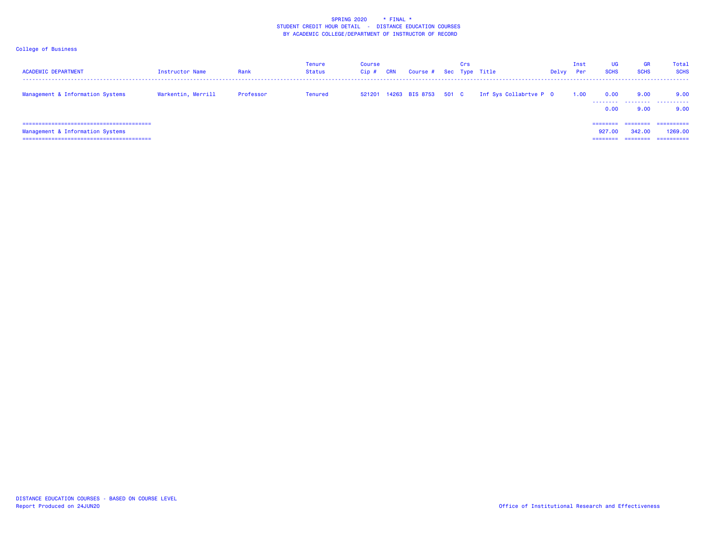| <b>ACADEMIC DEPARTMENT</b>                                               | Instructor Name    | Rank      | Tenure<br>Status | <b>Course</b><br>Cip# | <b>CRN</b> | Course #                    | Crs | Sec Type Title         | Delvy | Inst<br>Per | <b>UG</b><br><b>SCHS</b>       | <b>GR</b><br><b>SCHS</b> | <b>Total</b><br><b>SCHS</b>         |
|--------------------------------------------------------------------------|--------------------|-----------|------------------|-----------------------|------------|-----------------------------|-----|------------------------|-------|-------------|--------------------------------|--------------------------|-------------------------------------|
| Management & Information Systems                                         | Warkentin, Merrill | Professor | <b>Tenured</b>   |                       |            | 521201 14263 BIS 8753 501 C |     | Inf Sys Collabrtve P 0 |       | 1.00        | 0.00<br>.<br>0.00              | 9.00<br>9.00             | 9.00<br><br>9.00                    |
| Management & Information Systems<br>------------------------------------ |                    |           |                  |                       |            |                             |     |                        |       |             | ========<br>927,00<br>======== | ---------<br>342,00      | ==========<br>1269,00<br>========== |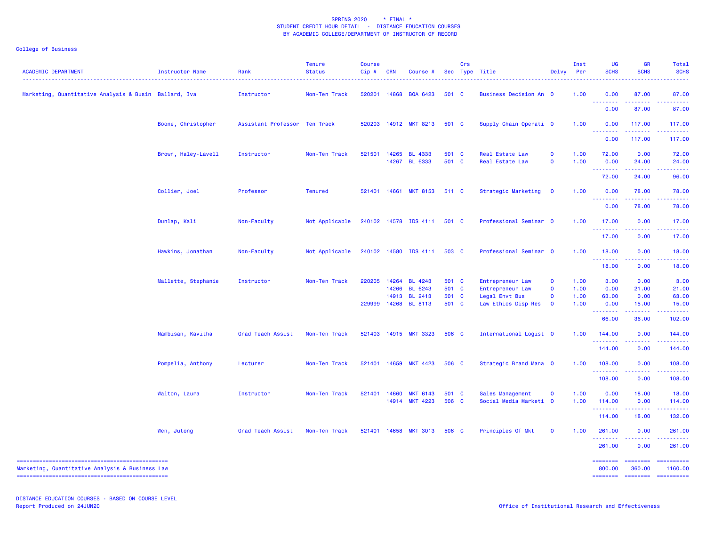## College of Business

| <b>ACADEMIC DEPARTMENT</b>                            | Instructor Name     | Rank                          | <b>Tenure</b><br><b>Status</b> | <b>Course</b><br>Cip# | <b>CRN</b> | Course #                        |                | Crs | Sec Type Title                            | Delvy Per                  | Inst         | <b>UG</b><br><b>SCHS</b>  | <b>GR</b><br><b>SCHS</b>  | Total<br><b>SCHS</b>                                                                                                                                           |
|-------------------------------------------------------|---------------------|-------------------------------|--------------------------------|-----------------------|------------|---------------------------------|----------------|-----|-------------------------------------------|----------------------------|--------------|---------------------------|---------------------------|----------------------------------------------------------------------------------------------------------------------------------------------------------------|
| Marketing, Quantitative Analysis & Busin Ballard, Iva |                     | Instructor                    | Non-Ten Track                  | 520201                | 14868      | <b>BQA 6423</b>                 | 501 C          |     | Business Decision An 0                    |                            | 1.00         | 0.00                      | 87.00                     | 87.00                                                                                                                                                          |
|                                                       |                     |                               |                                |                       |            |                                 |                |     |                                           |                            |              | 0.00                      | 87.00                     | 87.00                                                                                                                                                          |
|                                                       | Boone, Christopher  | Assistant Professor Ten Track |                                |                       |            | 520203 14912 MKT 8213           | 501 C          |     | Supply Chain Operati 0                    |                            | 1.00         | 0.00                      | 117.00<br><u>.</u>        | 117.00<br>الداعات عامان                                                                                                                                        |
|                                                       |                     |                               |                                |                       |            |                                 |                |     |                                           |                            |              | 0.00                      | 117.00                    | 117.00                                                                                                                                                         |
|                                                       | Brown, Haley-Lavell | Instructor                    | Non-Ten Track                  | 521501                | 14265      | <b>BL 4333</b><br>14267 BL 6333 | 501 C<br>501 C |     | Real Estate Law<br><b>Real Estate Law</b> | $\mathbf 0$<br>$\mathbf 0$ | 1.00<br>1.00 | 72.00<br>0.00             | 0.00<br>24.00             | 72.00<br>24.00                                                                                                                                                 |
|                                                       |                     |                               |                                |                       |            |                                 |                |     |                                           |                            |              | .<br>72.00                | 24.00                     | 96.00                                                                                                                                                          |
|                                                       | Collier, Joel       | Professor                     | <b>Tenured</b>                 | 521401                | 14661      | <b>MKT 8153</b>                 | 511 C          |     | Strategic Marketing                       | $\mathbf{O}$               | 1.00         | 0.00                      | 78.00                     | 78.00                                                                                                                                                          |
|                                                       |                     |                               |                                |                       |            |                                 |                |     |                                           |                            |              | .<br>0.00                 | $- - - - -$<br>78.00      | 78.00                                                                                                                                                          |
|                                                       | Dunlap, Kali        | Non-Faculty                   | Not Applicable                 |                       |            | 240102 14578 IDS 4111           | 501 C          |     | Professional Seminar 0                    |                            | 1.00         | 17.00                     | 0.00                      | 17.00                                                                                                                                                          |
|                                                       |                     |                               |                                |                       |            |                                 |                |     |                                           |                            |              | <u>.</u><br>17.00         | $- - - - -$<br>0.00       | . <u>.</u><br>17.00                                                                                                                                            |
|                                                       | Hawkins, Jonathan   | Non-Faculty                   | Not Applicable                 |                       |            | 240102 14580 IDS 4111           | 503 C          |     | Professional Seminar 0                    |                            | 1.00         | 18.00                     | 0.00                      | 18.00                                                                                                                                                          |
|                                                       |                     |                               |                                |                       |            |                                 |                |     |                                           |                            |              | .<br>18.00                | 0.00                      | .<br>18.00                                                                                                                                                     |
|                                                       | Mallette, Stephanie | Instructor                    | Non-Ten Track                  | 220205                | 14264      | <b>BL 4243</b>                  | 501 C          |     | Entrepreneur Law                          | $\mathbf 0$                | 1.00         | 3.00                      | 0.00                      | 3.00                                                                                                                                                           |
|                                                       |                     |                               |                                |                       | 14266      | BL 6243                         | 501 C          |     | Entrepreneur Law                          | $\mathbf 0$                | 1.00         | 0.00                      | 21.00                     | 21.00                                                                                                                                                          |
|                                                       |                     |                               |                                |                       |            | 14913 BL 2413                   | 501 C          |     | Legal Envt Bus                            | $\mathbf 0$                | 1.00         | 63.00                     | 0.00                      | 63.00                                                                                                                                                          |
|                                                       |                     |                               |                                | 229999                |            | 14268 BL 8113                   | 501 C          |     | Law Ethics Disp Res                       | $\mathbf{o}$               | 1.00         | 0.00<br>.                 | 15.00                     | 15.00                                                                                                                                                          |
|                                                       |                     |                               |                                |                       |            |                                 |                |     |                                           |                            |              | 66.00                     | 36.00                     | 102.00                                                                                                                                                         |
|                                                       | Nambisan, Kavitha   | Grad Teach Assist             | Non-Ten Track                  |                       |            | 521403 14915 MKT 3323           | 506 C          |     | International Logist 0                    |                            | 1.00         | 144.00<br>.               | 0.00                      | 144.00                                                                                                                                                         |
|                                                       |                     |                               |                                |                       |            |                                 |                |     |                                           |                            |              | 144.00                    | 0.00                      | 144.00                                                                                                                                                         |
|                                                       | Pompelia, Anthony   | Lecturer                      | Non-Ten Track                  | 521401                | 14659      | <b>MKT 4423</b>                 | 506 C          |     | Strategic Brand Mana 0                    |                            | 1.00         | 108.00<br>.               | 0.00<br>.                 | 108.00<br>.                                                                                                                                                    |
|                                                       |                     |                               |                                |                       |            |                                 |                |     |                                           |                            |              | 108.00                    | 0.00                      | 108.00                                                                                                                                                         |
|                                                       | Walton, Laura       | Instructor                    | Non-Ten Track                  | 521401                | 14660      | <b>MKT 6143</b>                 | 501 C          |     | Sales Management                          | $\mathbf{o}$               | 1.00         | 0.00                      | 18.00                     | 18.00                                                                                                                                                          |
|                                                       |                     |                               |                                |                       | 14914      | <b>MKT 4223</b>                 | 506 C          |     | Social Media Marketi 0                    |                            | 1.00         | 114.00<br>.               | 0.00                      | 114.00                                                                                                                                                         |
|                                                       |                     |                               |                                |                       |            |                                 |                |     |                                           |                            |              | 114.00                    | 18.00                     | 132.00                                                                                                                                                         |
|                                                       | Wen, Jutong         | Grad Teach Assist             | Non-Ten Track                  |                       |            | 521401 14658 MKT 3013           | 506 C          |     | Principles Of Mkt                         | $\mathbf 0$                | 1.00         | 261.00<br>.               | 0.00                      | 261.00<br>$\frac{1}{2} \left( \frac{1}{2} \right) \left( \frac{1}{2} \right) \left( \frac{1}{2} \right) \left( \frac{1}{2} \right) \left( \frac{1}{2} \right)$ |
|                                                       |                     |                               |                                |                       |            |                                 |                |     |                                           |                            |              | 261.00                    | 0.00                      | 261.00                                                                                                                                                         |
| Marketing, Quantitative Analysis & Business Law       |                     |                               |                                |                       |            |                                 |                |     |                                           |                            |              | <b>EDESSERS</b><br>800.00 | <b>EDESSERS</b><br>360.00 | ==========<br>1160.00                                                                                                                                          |
|                                                       |                     |                               |                                |                       |            |                                 |                |     |                                           |                            |              | <b>SEESSEES</b>           | <b>EDESEDER</b>           | ==========                                                                                                                                                     |

DISTANCE EDUCATION COURSES - BASED ON COURSE LEVELReport Produced on 24JUN20 **Office of Institutional Research and Effectiveness Office of Institutional Research and Effectiveness**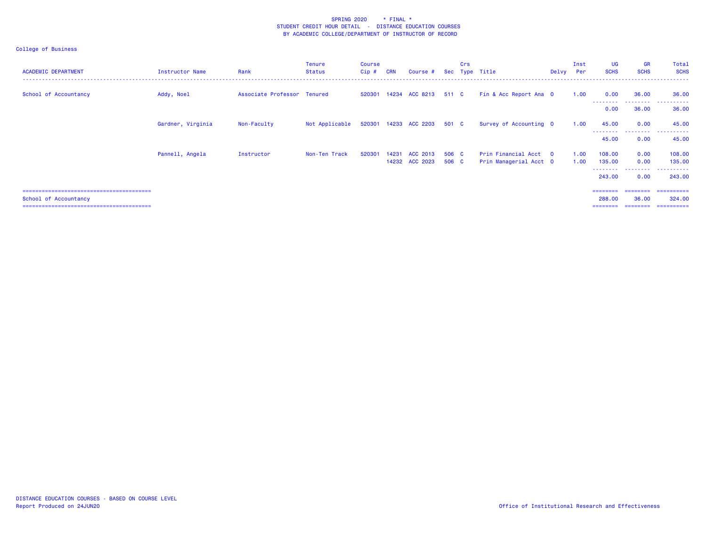| <b>ACADEMIC DEPARTMENT</b> | Instructor Name   | Rank                        | <b>Tenure</b><br>Status | <b>Course</b><br>$Cip$ # | <b>CRN</b> | Course #                    |       | Crs | Sec Type Title         | Delvy Per | Inst | UG<br><b>SCHS</b>   | <b>GR</b><br><b>SCHS</b> | Total<br><b>SCHS</b>  |
|----------------------------|-------------------|-----------------------------|-------------------------|--------------------------|------------|-----------------------------|-------|-----|------------------------|-----------|------|---------------------|--------------------------|-----------------------|
| School of Accountancy      | Addy, Noel        | Associate Professor Tenured |                         |                          |            | 520301 14234 ACC 8213 511 C |       |     | Fin & Acc Report Ana 0 |           | 1.00 | 0.00<br>--------    | 36.00<br>--------        | 36.00<br>. <u>.</u> . |
|                            |                   |                             |                         |                          |            |                             |       |     |                        |           |      | 0.00                | 36.00                    | 36.00                 |
|                            | Gardner, Virginia | Non-Faculty                 | Not Applicable          |                          |            | 520301 14233 ACC 2203 501 C |       |     | Survey of Accounting 0 |           | 1.00 | 45.00               | 0.00                     | 45.00                 |
|                            |                   |                             |                         |                          |            |                             |       |     |                        |           |      | ---------<br>45.00  | .<br>0.00                | .<br>45.00            |
|                            | Pannell, Angela   | Instructor                  | Non-Ten Track           | 520301                   | 14231      | ACC 2013                    | 506 C |     | Prin Financial Acct 0  |           | 1.00 | 108,00              | 0.00                     | 108.00                |
|                            |                   |                             |                         |                          |            | 14232 ACC 2023              | 506 C |     | Prin Managerial Acct 0 |           | 1.00 | 135.00<br>--------- | 0.00<br>.                | 135.00<br>.           |
|                            |                   |                             |                         |                          |            |                             |       |     |                        |           |      | 243,00              | 0.00                     | 243,00                |
|                            |                   |                             |                         |                          |            |                             |       |     |                        |           |      | ========            | ========                 | -----------           |
| School of Accountancy      |                   |                             |                         |                          |            |                             |       |     |                        |           |      | 288,00              | 36.00                    | 324,00                |
|                            |                   |                             |                         |                          |            |                             |       |     |                        |           |      | ========            | ========                 | -----------           |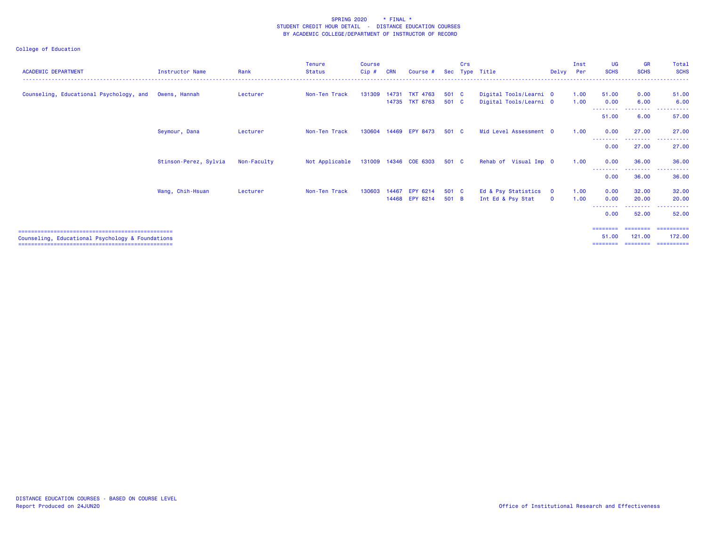| <b>ACADEMIC DEPARTMENT</b>                       | Instructor Name       | Rank        | <b>Tenure</b><br><b>Status</b> | <b>Course</b><br>Cip# | <b>CRN</b> | Course #                 | Sec   | Crs | Type Title             | Delvy                   | Inst<br>Per | <b>UG</b><br><b>SCHS</b> | <b>GR</b><br><b>SCHS</b>         | Total<br><b>SCHS</b>  |
|--------------------------------------------------|-----------------------|-------------|--------------------------------|-----------------------|------------|--------------------------|-------|-----|------------------------|-------------------------|-------------|--------------------------|----------------------------------|-----------------------|
| Counseling, Educational Psychology, and          | Owens, Hannah         | Lecturer    | Non-Ten Track                  | 131309                | 14731      | <b>TKT 4763</b>          | 501 C |     | Digital Tools/Learni 0 |                         | 1.00        | 51.00                    | 0.00                             | 51.00                 |
|                                                  |                       |             |                                |                       |            | 14735 TKT 6763           | 501 C |     | Digital Tools/Learni 0 |                         | 1.00        | 0.00                     | 6.00                             | 6.00                  |
|                                                  |                       |             |                                |                       |            |                          |       |     |                        |                         |             | 51.00                    | 6.00                             | 57.00                 |
|                                                  | Seymour, Dana         | Lecturer    | Non-Ten Track                  | 130604                | 14469      | <b>EPY 8473</b>          | 501 C |     | Mid Level Assessment 0 |                         | 1.00        | 0.00<br>--------         | 27.00<br><u> - - - - - - - -</u> | 27.00<br>. <u>.</u> . |
|                                                  |                       |             |                                |                       |            |                          |       |     |                        |                         |             | 0.00                     | 27.00                            | 27.00                 |
|                                                  | Stinson-Perez, Sylvia | Non-Faculty | Not Applicable                 |                       |            | 131009  14346  COE  6303 | 501 C |     | Rehab of Visual Imp 0  |                         | 1.00        | 0.00<br>--------         | 36.00<br>--------                | 36.00                 |
|                                                  |                       |             |                                |                       |            |                          |       |     |                        |                         |             | 0.00                     | 36.00                            | 36.00                 |
|                                                  | Wang, Chih-Hsuan      | Lecturer    | Non-Ten Track                  | 130603                |            | 14467 EPY 6214           | 501 C |     | Ed & Psy Statistics    | $\overline{\mathbf{0}}$ | 1.00        | 0.00                     | 32.00                            | 32.00                 |
|                                                  |                       |             |                                |                       |            | 14468 EPY 8214           | 501 B |     | Int Ed & Psy Stat      | $\mathbf{O}$            | 1.00        | 0.00<br>--------         | 20.00<br>. <u>.</u> .            | 20.00<br>. <u>.</u> . |
|                                                  |                       |             |                                |                       |            |                          |       |     |                        |                         |             | 0.00                     | 52.00                            | 52.00                 |
|                                                  |                       |             |                                |                       |            |                          |       |     |                        |                         |             | =======                  |                                  | ==========            |
| Counseling, Educational Psychology & Foundations |                       |             |                                |                       |            |                          |       |     |                        |                         |             | 51.00                    | 121.00                           | 172.00                |
|                                                  |                       |             |                                |                       |            |                          |       |     |                        |                         |             | ========                 | ---------                        | ==========            |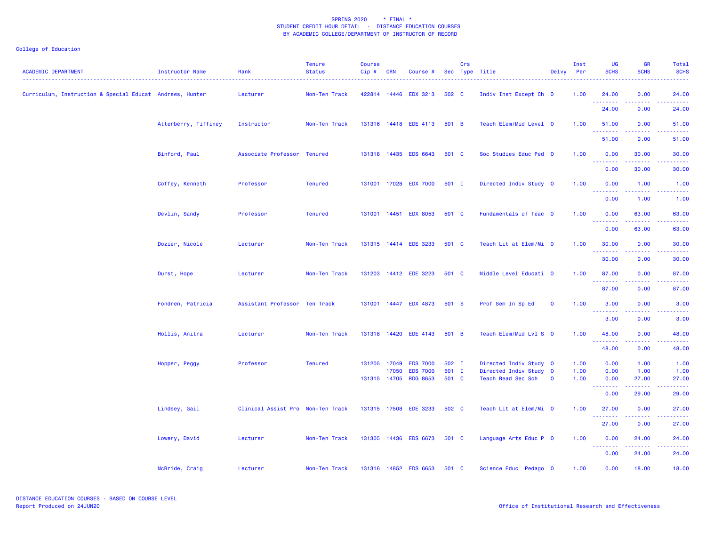| <b>ACADEMIC DEPARTMENT</b>                               | Instructor Name      | Rank                              | <b>Tenure</b><br><b>Status</b> | <b>Course</b><br>Cip# | <b>CRN</b> | Course #                                 |                | Crs | Sec Type Title                             | Delvy                       | Inst<br>Per  | <b>UG</b><br><b>SCHS</b>         | <b>GR</b><br><b>SCHS</b>                                                                                                          | <b>Total</b><br><b>SCHS</b>       |
|----------------------------------------------------------|----------------------|-----------------------------------|--------------------------------|-----------------------|------------|------------------------------------------|----------------|-----|--------------------------------------------|-----------------------------|--------------|----------------------------------|-----------------------------------------------------------------------------------------------------------------------------------|-----------------------------------|
| Curriculum, Instruction & Special Educat Andrews, Hunter |                      | Lecturer                          | Non-Ten Track                  |                       |            | 422814 14446 EDX 3213                    | 502 C          |     | Indiv Inst Except Ch 0                     |                             | 1.00         | 24.00<br>.                       | 0.00<br>.                                                                                                                         | 24.00<br>.                        |
|                                                          |                      |                                   |                                |                       |            |                                          |                |     |                                            |                             |              | 24.00                            | 0.00                                                                                                                              | 24.00                             |
|                                                          | Atterberry, Tiffiney | Instructor                        | Non-Ten Track                  |                       |            | 131316 14418 EDE 4113                    | 501 B          |     | Teach Elem/Mid Level 0                     |                             | 1.00         | 51.00<br>.                       | 0.00<br>$  -$                                                                                                                     | 51.00<br>.                        |
|                                                          |                      |                                   |                                |                       |            |                                          |                |     |                                            |                             |              | 51.00                            | 0.00                                                                                                                              | 51.00                             |
|                                                          | Binford, Paul        | Associate Professor Tenured       |                                |                       |            | 131318 14435 EDS 6643                    | 501 C          |     | Soc Studies Educ Ped 0                     |                             | 1.00         | 0.00                             | 30.00                                                                                                                             | 30.00                             |
|                                                          |                      |                                   |                                |                       |            |                                          |                |     |                                            |                             |              | .<br>0.00                        | .<br>30.00                                                                                                                        | .<br>30.00                        |
|                                                          | Coffey, Kenneth      | Professor                         | <b>Tenured</b>                 |                       |            | 131001 17028 EDX 7000                    | $501$ I        |     | Directed Indiv Study 0                     |                             | 1.00         | 0.00<br>.                        | 1.00<br>$\omega$ $\omega$ $\omega$ $\omega$                                                                                       | 1.00<br>$\omega$ is $\omega$ in . |
|                                                          |                      |                                   |                                |                       |            |                                          |                |     |                                            |                             |              | 0.00                             | 1.00                                                                                                                              | 1.00                              |
|                                                          | Devlin, Sandy        | Professor                         | Tenured                        |                       |            | 131001 14451 EDX 8053                    | 501 C          |     | Fundamentals of Teac 0                     |                             | 1.00         | 0.00<br>.                        | 63.00                                                                                                                             | 63.00                             |
|                                                          |                      |                                   |                                |                       |            |                                          |                |     |                                            |                             |              | 0.00                             | 63.00                                                                                                                             | 63.00                             |
|                                                          | Dozier, Nicole       | Lecturer                          | Non-Ten Track                  |                       |            | 131315 14414 EDE 3233                    | 501 C          |     | Teach Lit at Elem/Mi 0                     |                             | 1.00         | 30.00                            | 0.00                                                                                                                              | 30.00                             |
|                                                          |                      |                                   |                                |                       |            |                                          |                |     |                                            |                             |              | 30.00                            | 0.00                                                                                                                              | 30.00                             |
|                                                          | Durst, Hope          | Lecturer                          | Non-Ten Track                  |                       |            | 131203 14412 EDE 3223                    | 501 C          |     | Middle Level Educati 0                     |                             | 1.00         | 87.00<br><u> - - - - - - - -</u> | 0.00<br>$\frac{1}{2} \left( \frac{1}{2} \right) \left( \frac{1}{2} \right) \left( \frac{1}{2} \right) \left( \frac{1}{2} \right)$ | 87.00<br>د د د د د                |
|                                                          |                      |                                   |                                |                       |            |                                          |                |     |                                            |                             |              | 87.00                            | 0.00                                                                                                                              | 87.00                             |
|                                                          | Fondren, Patricia    | Assistant Professor Ten Track     |                                |                       |            | 131001 14447 EDX 4873                    | 501 S          |     | Prof Sem In Sp Ed                          | $\mathbf 0$                 | 1.00         | 3.00<br>.                        | 0.00                                                                                                                              | 3.00                              |
|                                                          |                      |                                   |                                |                       |            |                                          |                |     |                                            |                             |              | 3.00                             | 0.00                                                                                                                              | 3.00                              |
|                                                          | Hollis, Anitra       | Lecturer                          | Non-Ten Track                  |                       |            | 131318 14420 EDE 4143                    | 501 B          |     | Teach Elem/Mid Lvl S 0                     |                             | 1.00         | 48.00                            | 0.00                                                                                                                              | 48.00                             |
|                                                          |                      |                                   |                                |                       |            |                                          |                |     |                                            |                             |              | .<br>48.00                       | .<br>0.00                                                                                                                         | .<br>48.00                        |
|                                                          | Hopper, Peggy        | Professor                         | <b>Tenured</b>                 | 131205                | 17049      | <b>EDS 7000</b>                          | 502 I          |     | Directed Indiv Study 0                     |                             | 1.00         | 0.00                             | 1.00                                                                                                                              | 1.00                              |
|                                                          |                      |                                   |                                |                       | 17050      | <b>EDS 7000</b><br>131315 14705 RDG 8653 | 501 I<br>501 C |     | Directed Indiv Study<br>Teach Read Sec Sch | $\mathbf{0}$<br>$\mathbf 0$ | 1.00<br>1.00 | 0.00<br>0.00                     | 1.00<br>27.00                                                                                                                     | 1.00<br>27.00                     |
|                                                          |                      |                                   |                                |                       |            |                                          |                |     |                                            |                             |              | - - - - - - - -<br>0.00          | .<br>29.00                                                                                                                        | .<br>29.00                        |
|                                                          | Lindsey, Gail        | Clinical Assist Pro Non-Ten Track |                                |                       |            | 131315 17508 EDE 3233                    | 502 C          |     | Teach Lit at Elem/Mi 0                     |                             | 1.00         | 27.00                            | 0.00                                                                                                                              | 27.00                             |
|                                                          |                      |                                   |                                |                       |            |                                          |                |     |                                            |                             |              | <u>.</u><br>27.00                | 0.00                                                                                                                              | 27.00                             |
|                                                          | Lowery, David        | Lecturer                          | Non-Ten Track                  |                       |            | 131305 14436 EDS 6673                    | 501 C          |     | Language Arts Educ P 0                     |                             | 1.00         | 0.00                             | 24.00                                                                                                                             | 24.00                             |
|                                                          |                      |                                   |                                |                       |            |                                          |                |     |                                            |                             |              | <u> - - - - - - - -</u><br>0.00  | 24.00                                                                                                                             | 24.00                             |
|                                                          | McBride, Craig       | Lecturer                          | Non-Ten Track                  |                       |            | 131316 14852 EDS 6653                    | 501 C          |     | Science Educ Pedago 0                      |                             | 1.00         | 0.00                             | 18.00                                                                                                                             | 18.00                             |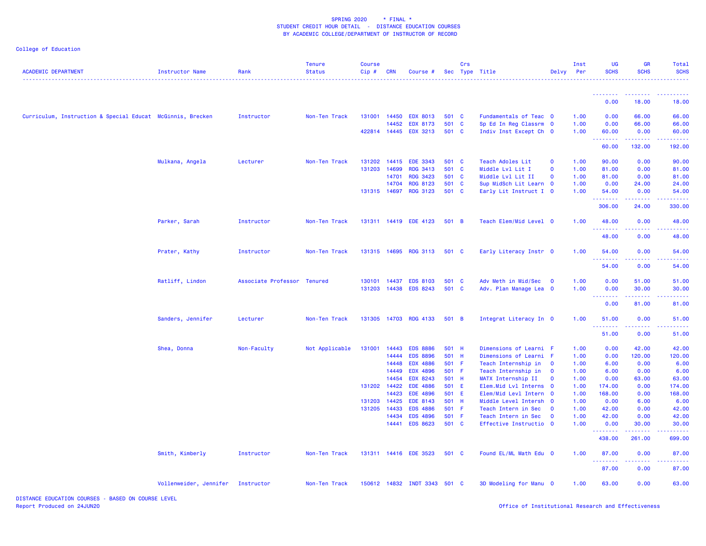### College of Education

| <b>ACADEMIC DEPARTMENT</b>                                 | <b>Instructor Name</b> | Rank                        | <b>Tenure</b><br><b>Status</b><br>. <u>.</u> . | <b>Course</b><br>Cip# | <b>CRN</b>   | Course #                     |       | Crs          | Sec Type Title          | Delvy                   | Inst<br>Per | <b>UG</b><br><b>SCHS</b>                | <b>GR</b><br><b>SCHS</b>                                                                                                                                      | <b>Total</b><br><b>SCHS</b> |
|------------------------------------------------------------|------------------------|-----------------------------|------------------------------------------------|-----------------------|--------------|------------------------------|-------|--------------|-------------------------|-------------------------|-------------|-----------------------------------------|---------------------------------------------------------------------------------------------------------------------------------------------------------------|-----------------------------|
|                                                            |                        |                             |                                                |                       |              |                              |       |              |                         |                         |             | <u> - - - - - - - -</u>                 | $-1 - 1 - 1$                                                                                                                                                  |                             |
|                                                            |                        |                             |                                                |                       |              |                              |       |              |                         |                         |             | 0.00                                    | 18.00                                                                                                                                                         | 18.00                       |
| Curriculum, Instruction & Special Educat McGinnis, Brecken |                        | Instructor                  | Non-Ten Track                                  |                       | 131001 14450 | <b>EDX 8013</b>              | 501 C |              | Fundamentals of Teac 0  |                         | 1.00        | 0.00                                    | 66.00                                                                                                                                                         | 66.00                       |
|                                                            |                        |                             |                                                |                       | 14452        | <b>EDX 8173</b>              | 501   | $\mathbf{C}$ | Sp Ed In Reg Classrm 0  |                         | 1.00        | 0.00                                    | 66.00                                                                                                                                                         | 66.00                       |
|                                                            |                        |                             |                                                |                       |              | 422814 14445 EDX 3213        | 501 C |              | Indiv Inst Except Ch 0  |                         | 1.00        | 60.00<br>.                              | 0.00<br>.                                                                                                                                                     | 60.00<br>.                  |
|                                                            |                        |                             |                                                |                       |              |                              |       |              |                         |                         |             | 60.00                                   | 132.00                                                                                                                                                        | 192.00                      |
|                                                            | Mulkana, Angela        | Lecturer                    | Non-Ten Track                                  | 131202                | 14415        | <b>EDE 3343</b>              | 501 C |              | Teach Adoles Lit        | $\mathbf 0$             | 1.00        | 90.00                                   | 0.00                                                                                                                                                          | 90.00                       |
|                                                            |                        |                             |                                                | 131203                | 14699        | <b>RDG 3413</b>              | 501 C |              | Middle Lvl Lit I        | $\mathbf 0$             | 1.00        | 81.00                                   | 0.00                                                                                                                                                          | 81.00                       |
|                                                            |                        |                             |                                                |                       | 14701        | <b>RDG 3423</b>              | 501 C |              | Middle Lvl Lit II       | $\mathbf 0$             | 1.00        | 81.00                                   | 0.00                                                                                                                                                          | 81.00                       |
|                                                            |                        |                             |                                                |                       | 14704        | <b>RDG 8123</b>              | 501 C |              | Sup MidSch Lit Learn 0  |                         | 1.00        | 0.00                                    | 24.00                                                                                                                                                         | 24.00                       |
|                                                            |                        |                             |                                                |                       | 131315 14697 | <b>RDG 3123</b>              | 501 C |              | Early Lit Instruct I 0  |                         | 1.00        | 54.00<br><u>.</u>                       | 0.00                                                                                                                                                          | 54.00                       |
|                                                            |                        |                             |                                                |                       |              |                              |       |              |                         |                         |             | 306.00                                  | 24.00                                                                                                                                                         | 330.00                      |
|                                                            | Parker, Sarah          | Instructor                  | Non-Ten Track                                  |                       |              | 131311 14419 EDE 4123        | 501 B |              | Teach Elem/Mid Level 0  |                         | 1.00        | 48.00<br><u>.</u>                       | 0.00                                                                                                                                                          | 48.00                       |
|                                                            |                        |                             |                                                |                       |              |                              |       |              |                         |                         |             | 48.00                                   | 0.00                                                                                                                                                          | 48.00                       |
|                                                            | Prater, Kathy          | Instructor                  | Non-Ten Track                                  |                       |              | 131315 14695 RDG 3113 501 C  |       |              | Early Literacy Instr 0  |                         | 1.00        | 54.00                                   | 0.00                                                                                                                                                          | 54.00                       |
|                                                            |                        |                             |                                                |                       |              |                              |       |              |                         |                         |             | 54.00                                   | 0.00                                                                                                                                                          | 54.00                       |
|                                                            | Ratliff, Lindon        | Associate Professor Tenured |                                                | 130101                | 14437        | <b>EDS 8103</b>              | 501 C |              | Adv Meth in Mid/Sec     | $\overline{\mathbf{0}}$ | 1.00        | 0.00                                    | 51.00                                                                                                                                                         | 51.00                       |
|                                                            |                        |                             |                                                | 131203                | 14438        | <b>EDS 8243</b>              | 501 C |              | Adv. Plan Manage Lea 0  |                         | 1.00        | 0.00                                    | 30.00                                                                                                                                                         | 30.00                       |
|                                                            |                        |                             |                                                |                       |              |                              |       |              |                         |                         |             | <b><i><u><u> Literature</u></u></i></b> |                                                                                                                                                               |                             |
|                                                            |                        |                             |                                                |                       |              |                              |       |              |                         |                         |             | 0.00                                    | 81.00                                                                                                                                                         | 81.00                       |
|                                                            | Sanders, Jennifer      | Lecturer                    | Non-Ten Track                                  |                       |              | 131305 14703 RDG 4133        | 501 B |              | Integrat Literacy In 0  |                         | 1.00        | 51.00<br>$\sim$ $\sim$ $\sim$           | 0.00                                                                                                                                                          | 51.00                       |
|                                                            |                        |                             |                                                |                       |              |                              |       |              |                         |                         |             | 51.00                                   | 0.00                                                                                                                                                          | 51.00                       |
|                                                            | Shea, Donna            | Non-Faculty                 | Not Applicable                                 | 131001                | 14443        | <b>EDS 8886</b>              | 501 H |              | Dimensions of Learni F  |                         | 1.00        | 0.00                                    | 42.00                                                                                                                                                         | 42.00                       |
|                                                            |                        |                             |                                                |                       | 14444        | <b>EDS 8896</b>              | 501 H |              | Dimensions of Learni F  |                         | 1.00        | 0.00                                    | 120.00                                                                                                                                                        | 120.00                      |
|                                                            |                        |                             |                                                |                       | 14448        | <b>EDX 4886</b>              | 501 F |              | Teach Internship in     | $\mathbf 0$             | 1.00        | 6.00                                    | 0.00                                                                                                                                                          | 6.00                        |
|                                                            |                        |                             |                                                |                       | 14449        | <b>EDX 4896</b>              | 501 F |              | Teach Internship in     | $\mathbf 0$             | 1.00        | 6.00                                    | 0.00                                                                                                                                                          | 6.00                        |
|                                                            |                        |                             |                                                |                       | 14454        | <b>EDX 8243</b>              | 501 H |              | MATX Internship II      | $\mathbf 0$             | 1.00        | 0.00                                    | 63.00                                                                                                                                                         | 63.00                       |
|                                                            |                        |                             |                                                | 131202 14422          |              | <b>EDE 4886</b>              | 501 E |              | Elem. Mid Lvl Interns 0 |                         | 1.00        | 174.00                                  | 0.00                                                                                                                                                          | 174.00                      |
|                                                            |                        |                             |                                                |                       | 14423        | <b>EDE 4896</b>              | 501 E |              | Elem/Mid Levl Intern 0  |                         | 1.00        | 168.00                                  | 0.00                                                                                                                                                          | 168.00                      |
|                                                            |                        |                             |                                                | 131203                | 14425        | <b>EDE 8143</b>              | 501 H |              | Middle Level Intersh 0  |                         | 1.00        | 0.00                                    | 6.00                                                                                                                                                          | 6.00                        |
|                                                            |                        |                             |                                                | 131205                | 14433        | <b>EDS 4886</b>              | 501 F |              | Teach Intern in Sec     | $\mathbf 0$             | 1.00        | 42.00                                   | 0.00                                                                                                                                                          | 42.00                       |
|                                                            |                        |                             |                                                |                       | 14434        | <b>EDS 4896</b>              | 501 F |              | Teach Intern in Sec     | $\overline{\mathbf{0}}$ | 1.00        | 42.00                                   | 0.00                                                                                                                                                          | 42.00                       |
|                                                            |                        |                             |                                                |                       |              | 14441 EDS 8623               | 501 C |              | Effective Instructio 0  |                         | 1.00        | 0.00<br>.                               | 30.00<br>$\frac{1}{2} \left( \frac{1}{2} \right) \left( \frac{1}{2} \right) \left( \frac{1}{2} \right) \left( \frac{1}{2} \right) \left( \frac{1}{2} \right)$ | 30.00                       |
|                                                            |                        |                             |                                                |                       |              |                              |       |              |                         |                         |             | 438.00                                  | 261.00                                                                                                                                                        | 699.00                      |
|                                                            | Smith, Kimberly        | Instructor                  | Non-Ten Track                                  |                       |              | 131311 14416 EDE 3523        | 501 C |              | Found EL/ML Math Edu 0  |                         | 1.00        | 87.00<br><u> - - - - - - - -</u>        | 0.00                                                                                                                                                          | 87.00                       |
|                                                            |                        |                             |                                                |                       |              |                              |       |              |                         |                         |             | 87.00                                   | 0.00                                                                                                                                                          | 87.00                       |
|                                                            | Vollenweider, Jennifer | Instructor                  | Non-Ten Track                                  |                       |              | 150612 14832 INDT 3343 501 C |       |              | 3D Modeling for Manu 0  |                         | 1.00        | 63.00                                   | 0.00                                                                                                                                                          | 63.00                       |

DISTANCE EDUCATION COURSES - BASED ON COURSE LEVELReport Produced on 24JUN20 Office of Institutional Research and Effectiveness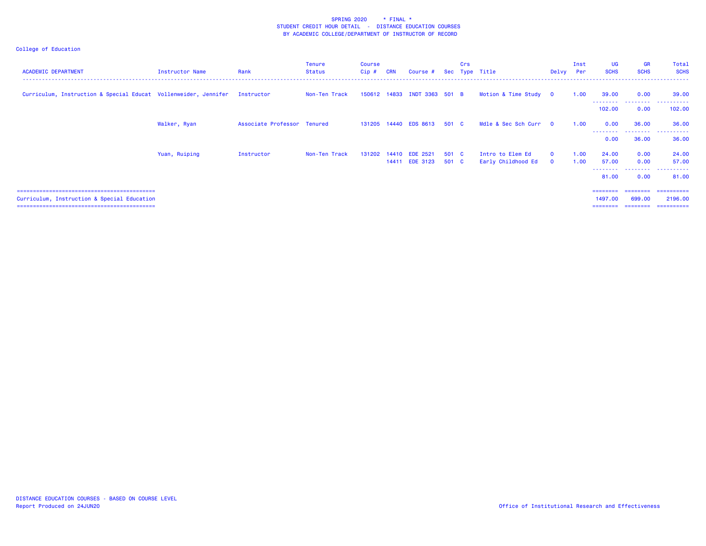| <b>ACADEMIC DEPARTMENT</b>                                                 | Instructor Name | Rank                        | Tenure<br>Status | <b>Course</b><br>$Cip$ # | <b>CRN</b> | Course #                          |                | Crs | Sec Type Title                         | Delvy                | Inst<br>Per  | <b>UG</b><br><b>SCHS</b>             | <b>GR</b><br><b>SCHS</b>        | Total<br><b>SCHS</b>                  |
|----------------------------------------------------------------------------|-----------------|-----------------------------|------------------|--------------------------|------------|-----------------------------------|----------------|-----|----------------------------------------|----------------------|--------------|--------------------------------------|---------------------------------|---------------------------------------|
| Curriculum, Instruction & Special Educat Vollenweider, Jennifer Instructor |                 |                             | Non-Ten Track    |                          |            | 150612 14833 INDT 3363 501 B      |                |     | Motion & Time Study 0                  |                      | 1.00         | 39.00<br>--------                    | 0.00<br>.                       | 39.00<br>.                            |
|                                                                            |                 |                             |                  |                          |            |                                   |                |     |                                        |                      |              | 102.00                               | 0.00                            | 102.00                                |
|                                                                            | Walker, Ryan    | Associate Professor Tenured |                  |                          |            | 131205 14440 EDS 8613 501 C       |                |     | Mdle & Sec Sch Curr 0                  |                      | 1.00         | 0.00                                 | 36.00<br>.                      | 36.00<br>. <u>.</u> .<br>. <u>.</u> . |
|                                                                            |                 |                             |                  |                          |            |                                   |                |     |                                        |                      |              | 0.00                                 | 36.00                           | 36.00                                 |
|                                                                            | Yuan, Ruiping   | Instructor                  | Non-Ten Track    | 131202 14410             |            | <b>EDE 2521</b><br>14411 EDE 3123 | 501 C<br>501 C |     | Intro to Elem Ed<br>Early Childhood Ed | $\Omega$<br>$\Omega$ | 1.00<br>1.00 | 24.00<br>57.00<br>---------<br>81.00 | 0.00<br>0.00<br>.<br>0.00       | 24.00<br>57.00<br>.<br>81.00          |
| Curriculum, Instruction & Special Education                                |                 |                             |                  |                          |            |                                   |                |     |                                        |                      |              | ========<br>1497.00<br>========      | ---------<br>699.00<br>======== | ==========<br>2196.00<br>==========   |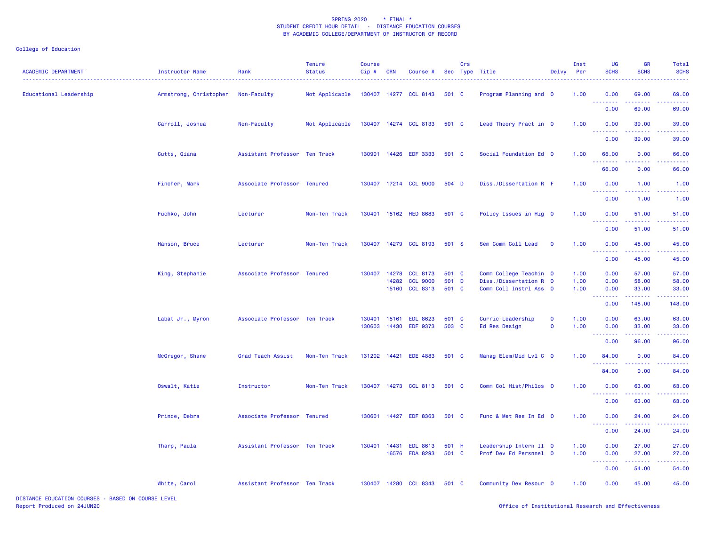College of Education

| <b>ACADEMIC DEPARTMENT</b> | Instructor Name        | Rank                          | <b>Tenure</b><br><b>Status</b> | <b>Course</b><br>$Cip$ # | <b>CRN</b> | Course #                          |                | Crs | Sec Type Title                                   | Delvy       | Inst<br>Per  | UG<br><b>SCHS</b>                   | <b>GR</b><br><b>SCHS</b>                                                                                                                                      | <b>Total</b><br><b>SCHS</b> |
|----------------------------|------------------------|-------------------------------|--------------------------------|--------------------------|------------|-----------------------------------|----------------|-----|--------------------------------------------------|-------------|--------------|-------------------------------------|---------------------------------------------------------------------------------------------------------------------------------------------------------------|-----------------------------|
| Educational Leadership     | Armstrong, Christopher | Non-Faculty                   | Not Applicable                 |                          |            | 130407 14277 CCL 8143             | 501 C          |     | Program Planning and 0                           |             | 1.00         | 0.00<br><b>.</b>                    | 69.00                                                                                                                                                         | 69.00                       |
|                            |                        |                               |                                |                          |            |                                   |                |     |                                                  |             |              | 0.00                                | 69.00                                                                                                                                                         | 69.00                       |
|                            | Carroll, Joshua        | Non-Faculty                   | Not Applicable                 |                          |            | 130407 14274 CCL 8133             | 501 C          |     | Lead Theory Pract in 0                           |             | 1.00         | 0.00<br>$\sim$ $\sim$ $\sim$ $\sim$ | 39.00                                                                                                                                                         | 39.00                       |
|                            |                        |                               |                                |                          |            |                                   |                |     |                                                  |             |              | 0.00                                | 39.00                                                                                                                                                         | 39.00                       |
|                            | Cutts, Qiana           | Assistant Professor Ten Track |                                |                          |            | 130901 14426 EDF 3333             | 501 C          |     | Social Foundation Ed 0                           |             | 1.00         | 66.00                               | 0.00                                                                                                                                                          | 66.00                       |
|                            |                        |                               |                                |                          |            |                                   |                |     |                                                  |             |              | <u>.</u><br>66.00                   | .<br>0.00                                                                                                                                                     | 66.00                       |
|                            | Fincher, Mark          | Associate Professor Tenured   |                                |                          |            | 130407 17214 CCL 9000             | 504 D          |     | Diss./Dissertation R F                           |             | 1.00         | 0.00<br>.<br>22 L                   | 1.00<br>$\frac{1}{2} \left( \frac{1}{2} \right) \left( \frac{1}{2} \right) \left( \frac{1}{2} \right) \left( \frac{1}{2} \right) \left( \frac{1}{2} \right)$  | 1.00<br>.                   |
|                            |                        |                               |                                |                          |            |                                   |                |     |                                                  |             |              | 0.00                                | 1.00                                                                                                                                                          | 1.00                        |
|                            | Fuchko, John           | Lecturer                      | Non-Ten Track                  | 130401                   |            | 15162 HED 8683                    | 501 C          |     | Policy Issues in Hig 0                           |             | 1.00         | 0.00<br>.                           | 51.00<br>$\frac{1}{2} \left( \frac{1}{2} \right) \left( \frac{1}{2} \right) \left( \frac{1}{2} \right) \left( \frac{1}{2} \right) \left( \frac{1}{2} \right)$ | 51.00<br>. <u>.</u>         |
|                            |                        |                               |                                |                          |            |                                   |                |     |                                                  |             |              | 0.00                                | 51.00                                                                                                                                                         | 51.00                       |
|                            | Hanson, Bruce          | Lecturer                      | Non-Ten Track                  | 130407                   |            | 14279 CCL 8193                    | 501 S          |     | Sem Comm Coll Lead                               | $\mathbf 0$ | 1.00         | 0.00                                | 45.00                                                                                                                                                         | 45.00                       |
|                            |                        |                               |                                |                          |            |                                   |                |     |                                                  |             |              | .<br>0.00                           | 45.00                                                                                                                                                         | 45.00                       |
|                            | King, Stephanie        | Associate Professor Tenured   |                                | 130407                   | 14278      | <b>CCL 8173</b>                   | 501 C          |     | Comm College Teachin 0                           |             | 1.00         | 0.00                                | 57.00                                                                                                                                                         | 57.00                       |
|                            |                        |                               |                                |                          | 14282      | <b>CCL 9000</b><br>15160 CCL 8313 | 501 D<br>501 C |     | Diss./Dissertation R 0<br>Comm Coll Instrl Ass 0 |             | 1.00<br>1.00 | 0.00<br>0.00                        | 58.00<br>33.00                                                                                                                                                | 58.00<br>33.00              |
|                            |                        |                               |                                |                          |            |                                   |                |     |                                                  |             |              | -----<br>- - -<br>0.00              | .<br>148.00                                                                                                                                                   | 148.00                      |
|                            | Labat Jr., Myron       | Associate Professor Ten Track |                                | 130401                   | 15161      | <b>EDL 8623</b>                   | 501 C          |     | Curric Leadership                                | $\mathbf 0$ | 1.00         | 0.00                                | 63.00                                                                                                                                                         | 63.00                       |
|                            |                        |                               |                                | 130603                   | 14430      | <b>EDF 9373</b>                   | 503 C          |     | Ed Res Design                                    | $\mathbf 0$ | 1.00         | 0.00<br>.                           | 33.00                                                                                                                                                         | 33.00                       |
|                            |                        |                               |                                |                          |            |                                   |                |     |                                                  |             |              | 0.00                                | 96.00                                                                                                                                                         | 96.00                       |
|                            | McGregor, Shane        | Grad Teach Assist             | Non-Ten Track                  |                          |            | 131202 14421 EDE 4883             | 501 C          |     | Manag Elem/Mid Lvl C 0                           |             | 1.00         | 84.00                               | 0.00                                                                                                                                                          | 84.00                       |
|                            |                        |                               |                                |                          |            |                                   |                |     |                                                  |             |              | .<br>84.00                          | 0.00                                                                                                                                                          | 84.00                       |
|                            | Oswalt, Katie          | Instructor                    | Non-Ten Track                  | 130407                   |            | 14273 CCL 8113                    | 501 C          |     | Comm Col Hist/Philos 0                           |             | 1.00         | 0.00                                | 63.00                                                                                                                                                         | 63.00                       |
|                            |                        |                               |                                |                          |            |                                   |                |     |                                                  |             |              | <u>.</u><br>0.00                    | 63.00                                                                                                                                                         | 63.00                       |
|                            | Prince, Debra          | Associate Professor Tenured   |                                |                          |            | 130601 14427 EDF 8363             | 501 C          |     | Func & Met Res In Ed 0                           |             | 1.00         | 0.00                                | 24.00                                                                                                                                                         | 24.00                       |
|                            |                        |                               |                                |                          |            |                                   |                |     |                                                  |             |              | 0.00                                | 24.00                                                                                                                                                         | 24.00                       |
|                            | Tharp, Paula           | Assistant Professor Ten Track |                                | 130401                   | 14431      | <b>EDL 8613</b>                   | 501 H          |     | Leadership Intern II 0                           |             | 1.00         | 0.00                                | 27.00                                                                                                                                                         | 27.00                       |
|                            |                        |                               |                                |                          |            | 16576 EDA 8293                    | 501 C          |     | Prof Dev Ed Persnnel 0                           |             | 1.00         | 0.00<br>المحامين                    | 27.00<br>$\frac{1}{2} \left( \frac{1}{2} \right) \left( \frac{1}{2} \right) \left( \frac{1}{2} \right) \left( \frac{1}{2} \right) \left( \frac{1}{2} \right)$ | 27.00<br>.                  |
|                            |                        |                               |                                |                          |            |                                   |                |     |                                                  |             |              | 0.00                                | 54.00                                                                                                                                                         | 54.00                       |
|                            | White, Carol           | Assistant Professor Ten Track |                                |                          |            | 130407 14280 CCL 8343             | 501 C          |     | Community Dev Resour 0                           |             | 1.00         | 0.00                                | 45.00                                                                                                                                                         | 45.00                       |
|                            |                        |                               |                                |                          |            |                                   |                |     |                                                  |             |              |                                     |                                                                                                                                                               |                             |

DISTANCE EDUCATION COURSES - BASED ON COURSE LEVEL Report Produced on 24JUN20 Office of Institutional Research and Effectiveness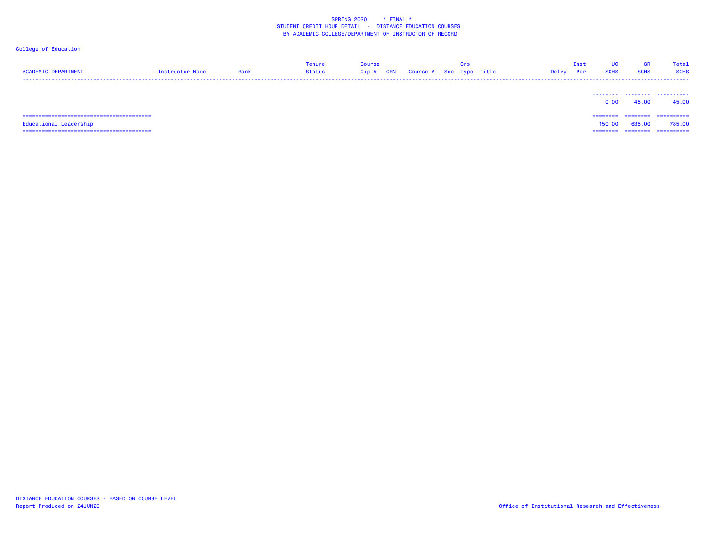## College of Education

| <b>ACADEMIC DEPARTMENT</b> | Instructor Name | Rank | Tenure<br>Status | <b>Course</b><br>Cip# | <b>CRN</b> | Course # Sec Type Title | Crs | Delvy | Inst<br>Per | UG<br><b>SCHS</b>  | GR<br><b>SCHS</b> | Total<br><b>SCHS</b> |
|----------------------------|-----------------|------|------------------|-----------------------|------------|-------------------------|-----|-------|-------------|--------------------|-------------------|----------------------|
|                            |                 |      |                  |                       |            |                         |     |       |             | 0.00               | 45.00             | <br>45.00            |
| Educational Leadership     |                 |      |                  |                       |            |                         |     |       |             | ========<br>150.00 | 635,00            | ==========<br>785,00 |

========================================

======== ======== ==========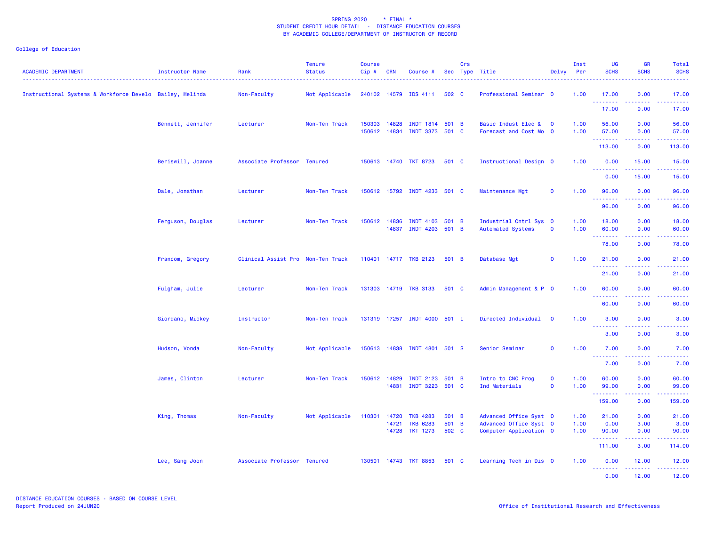| <b>ACADEMIC DEPARTMENT</b>                               | Instructor Name   | Rank<br>----------------          | <b>Tenure</b><br><b>Status</b> | <b>Course</b><br>Cip# | <b>CRN</b>            | Course #                                             |                         | Crs | Sec Type Title                                                             | Delvy                      | Inst<br>Per          | UG<br><b>SCHS</b>                      | <b>GR</b><br><b>SCHS</b>                                                                                                           | Total<br><b>SCHS</b>   |
|----------------------------------------------------------|-------------------|-----------------------------------|--------------------------------|-----------------------|-----------------------|------------------------------------------------------|-------------------------|-----|----------------------------------------------------------------------------|----------------------------|----------------------|----------------------------------------|------------------------------------------------------------------------------------------------------------------------------------|------------------------|
| Instructional Systems & Workforce Develo Bailey, Melinda |                   | Non-Faculty                       | Not Applicable                 |                       |                       | 240102 14579 IDS 4111                                | 502 C                   |     | Professional Seminar 0                                                     |                            | 1.00                 | 17.00<br><u>.</u>                      | 0.00<br>$\frac{1}{2} \left( \frac{1}{2} \right) \left( \frac{1}{2} \right) \left( \frac{1}{2} \right) \left( \frac{1}{2} \right)$  | 17.00                  |
|                                                          |                   |                                   |                                |                       |                       |                                                      |                         |     |                                                                            |                            |                      | 17.00                                  | 0.00                                                                                                                               | 17.00                  |
|                                                          | Bennett, Jennifer | Lecturer                          | Non-Ten Track                  | 150303 14828          |                       | INDT 1814 501 B<br>150612 14834 INDT 3373 501 C      |                         |     | Basic Indust Elec &<br>Forecast and Cost Mo 0                              | $\mathbf 0$                | 1.00<br>1.00         | 56.00<br>57.00                         | 0.00<br>0.00                                                                                                                       | 56.00<br>57.00         |
|                                                          |                   |                                   |                                |                       |                       |                                                      |                         |     |                                                                            |                            |                      | .<br>113.00                            | 0.00                                                                                                                               | 113.00                 |
|                                                          | Beriswill, Joanne | Associate Professor Tenured       |                                |                       |                       | 150613 14740 TKT 8723                                | 501 C                   |     | Instructional Design 0                                                     |                            | 1.00                 | 0.00                                   | 15.00                                                                                                                              | 15.00                  |
|                                                          |                   |                                   |                                |                       |                       |                                                      |                         |     |                                                                            |                            |                      | $\omega_{\rm{max}}$<br>بالأباد<br>0.00 | 15.00                                                                                                                              | 15.00                  |
|                                                          | Dale, Jonathan    | Lecturer                          | Non-Ten Track                  |                       |                       | 150612 15792 INDT 4233 501 C                         |                         |     | Maintenance Mgt                                                            | $\mathbf{o}$               | 1.00                 | 96.00                                  | 0.00                                                                                                                               | 96.00                  |
|                                                          |                   |                                   |                                |                       |                       |                                                      |                         |     |                                                                            |                            |                      | .<br>96.00                             | .<br>0.00                                                                                                                          | .<br>96.00             |
|                                                          | Ferguson, Douglas | Lecturer                          | Non-Ten Track                  |                       | 150612 14836<br>14837 | INDT 4103 501 B<br>INDT 4203 501 B                   |                         |     | Industrial Cntrl Sys 0<br><b>Automated Systems</b>                         | $\mathbf{o}$               | 1.00<br>1.00         | 18.00<br>60.00                         | 0.00<br>0.00                                                                                                                       | 18.00<br>60.00         |
|                                                          |                   |                                   |                                |                       |                       |                                                      |                         |     |                                                                            |                            |                      | .<br>78.00                             | 0.00                                                                                                                               | 78.00                  |
|                                                          | Francom, Gregory  | Clinical Assist Pro Non-Ten Track |                                |                       |                       | 110401 14717 TKB 2123                                | 501 B                   |     | Database Mgt                                                               | $\mathbf 0$                | 1.00                 | 21.00                                  | 0.00                                                                                                                               | 21.00                  |
|                                                          |                   |                                   |                                |                       |                       |                                                      |                         |     |                                                                            |                            |                      | .<br>21.00                             | .<br>0.00                                                                                                                          | .<br>21.00             |
|                                                          | Fulgham, Julie    | Lecturer                          | Non-Ten Track                  |                       |                       | 131303 14719 TKB 3133                                | 501 C                   |     | Admin Management & P 0                                                     |                            | 1.00                 | 60.00<br>.                             | 0.00                                                                                                                               | 60.00                  |
|                                                          |                   |                                   |                                |                       |                       |                                                      |                         |     |                                                                            |                            |                      | 60.00                                  | 0.00                                                                                                                               | 60.00                  |
|                                                          | Giordano, Mickey  | Instructor                        | Non-Ten Track                  |                       |                       | 131319 17257 INDT 4000 501 I                         |                         |     | Directed Individual                                                        | $\mathbf 0$                | 1.00                 | 3.00                                   | 0.00                                                                                                                               | 3.00                   |
|                                                          |                   |                                   |                                |                       |                       |                                                      |                         |     |                                                                            |                            |                      | <u>.</u><br>3.00                       | 0.00                                                                                                                               | 3.00                   |
|                                                          | Hudson, Vonda     | Non-Faculty                       | Not Applicable                 |                       |                       | 150613 14838 INDT 4801 501 S                         |                         |     | Senior Seminar                                                             | $\mathbf 0$                | 1.00                 | 7.00                                   | 0.00                                                                                                                               | 7.00                   |
|                                                          |                   |                                   |                                |                       |                       |                                                      |                         |     |                                                                            |                            |                      | .<br>7.00                              | 0.00                                                                                                                               | 7.00                   |
|                                                          | James, Clinton    | Lecturer                          | Non-Ten Track                  |                       | 150612 14829          | INDT 2123 501 B<br>14831 INDT 3223 501 C             |                         |     | Intro to CNC Prog<br>Ind Materials                                         | $\mathbf 0$<br>$\mathbf 0$ | 1.00<br>1.00         | 60.00<br>99.00                         | 0.00<br>0.00                                                                                                                       | 60.00<br>99.00         |
|                                                          |                   |                                   |                                |                       |                       |                                                      |                         |     |                                                                            |                            |                      | <b><i><u>AAAAAAA</u></i></b><br>159.00 | .<br>0.00                                                                                                                          | .<br>159.00            |
|                                                          | King, Thomas      | Non-Faculty                       | Not Applicable                 | 110301 14720          | 14721                 | <b>TKB 4283</b><br><b>TKB 6283</b><br>14728 TKT 1273 | 501 B<br>501 B<br>502 C |     | Advanced Office Syst 0<br>Advanced Office Syst 0<br>Computer Application 0 |                            | 1.00<br>1.00<br>1.00 | 21.00<br>0.00<br>90.00                 | 0.00<br>3.00<br>0.00                                                                                                               | 21.00<br>3.00<br>90.00 |
|                                                          |                   |                                   |                                |                       |                       |                                                      |                         |     |                                                                            |                            |                      | <u>.</u><br>111.00                     | 3.00                                                                                                                               | 114.00                 |
|                                                          | Lee, Sang Joon    | Associate Professor Tenured       |                                |                       |                       | 130501 14743 TKT 8853                                | 501 C                   |     | Learning Tech in Dis 0                                                     |                            | 1.00                 | 0.00                                   | 12.00                                                                                                                              | 12.00                  |
|                                                          |                   |                                   |                                |                       |                       |                                                      |                         |     |                                                                            |                            |                      | <u>.</u><br>0.00                       | $\frac{1}{2} \left( \frac{1}{2} \right) \left( \frac{1}{2} \right) \left( \frac{1}{2} \right) \left( \frac{1}{2} \right)$<br>12.00 | .<br>12.00             |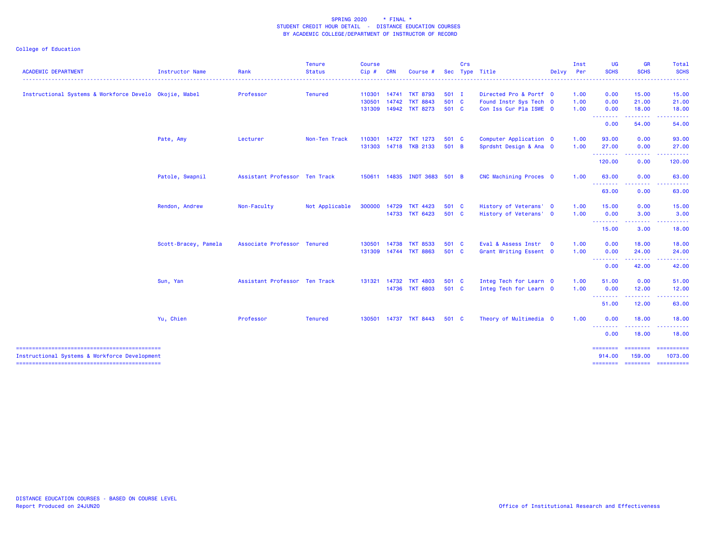|                                                        |                      |                               | <b>Tenure</b>  | <b>Course</b> |            |                              |         | Crs |                        |       | Inst | UG                                                         | <b>GR</b>                                                                                                                                                    | Total                                                                                                                                                                                                                                                                                                                                                                                                                                                                                  |
|--------------------------------------------------------|----------------------|-------------------------------|----------------|---------------|------------|------------------------------|---------|-----|------------------------|-------|------|------------------------------------------------------------|--------------------------------------------------------------------------------------------------------------------------------------------------------------|----------------------------------------------------------------------------------------------------------------------------------------------------------------------------------------------------------------------------------------------------------------------------------------------------------------------------------------------------------------------------------------------------------------------------------------------------------------------------------------|
| <b>ACADEMIC DEPARTMENT</b>                             | Instructor Name      | Rank                          | <b>Status</b>  | Cip#          | <b>CRN</b> | Course #                     |         |     | Sec Type Title         | Delvy | Per  | <b>SCHS</b>                                                | <b>SCHS</b>                                                                                                                                                  | <b>SCHS</b>                                                                                                                                                                                                                                                                                                                                                                                                                                                                            |
| Instructional Systems & Workforce Develo Okojie, Mabel |                      | Professor                     | <b>Tenured</b> | 110301        | 14741      | <b>TKT 8793</b>              | $501$ I |     | Directed Pro & Portf 0 |       | 1.00 | 0.00                                                       | 15.00                                                                                                                                                        | 15.00                                                                                                                                                                                                                                                                                                                                                                                                                                                                                  |
|                                                        |                      |                               |                | 130501        | 14742      | <b>TKT 8843</b>              | 501 C   |     | Found Instr Sys Tech 0 |       | 1.00 | 0.00                                                       | 21.00                                                                                                                                                        | 21.00                                                                                                                                                                                                                                                                                                                                                                                                                                                                                  |
|                                                        |                      |                               |                | 131309        |            | 14942 TKT 8273               | 501 C   |     | Con Iss Cur Pla ISWE 0 |       | 1.00 | 0.00<br><b></b>                                            | 18.00<br>.                                                                                                                                                   | 18.00                                                                                                                                                                                                                                                                                                                                                                                                                                                                                  |
|                                                        |                      |                               |                |               |            |                              |         |     |                        |       |      | 0.00                                                       | 54.00                                                                                                                                                        | 54.00                                                                                                                                                                                                                                                                                                                                                                                                                                                                                  |
|                                                        | Pate, Amy            | Lecturer                      | Non-Ten Track  | 110301        | 14727      | <b>TKT 1273</b>              | 501 C   |     | Computer Application 0 |       | 1.00 | 93.00                                                      | 0.00                                                                                                                                                         | 93.00                                                                                                                                                                                                                                                                                                                                                                                                                                                                                  |
|                                                        |                      |                               |                | 131303        |            | 14718 TKB 2133               | 501 B   |     | Sprdsht Design & Ana 0 |       | 1.00 | 27.00<br>.                                                 | 0.00<br><b></b>                                                                                                                                              | 27.00<br>- - - - - - -                                                                                                                                                                                                                                                                                                                                                                                                                                                                 |
|                                                        |                      |                               |                |               |            |                              |         |     |                        |       |      | 120.00                                                     | 0.00                                                                                                                                                         | 120.00                                                                                                                                                                                                                                                                                                                                                                                                                                                                                 |
|                                                        | Patole, Swapnil      | Assistant Professor Ten Track |                |               |            | 150611 14835 INDT 3683 501 B |         |     | CNC Machining Proces 0 |       | 1.00 | 63.00<br><b><i><u><u> - - - - - - - -</u></u></i></b>      | 0.00<br>$\frac{1}{2} \left( \frac{1}{2} \right) \left( \frac{1}{2} \right) \left( \frac{1}{2} \right) \left( \frac{1}{2} \right) \left( \frac{1}{2} \right)$ | 63.00                                                                                                                                                                                                                                                                                                                                                                                                                                                                                  |
|                                                        |                      |                               |                |               |            |                              |         |     |                        |       |      | 63.00                                                      | 0.00                                                                                                                                                         | .<br>63.00                                                                                                                                                                                                                                                                                                                                                                                                                                                                             |
|                                                        | Rendon, Andrew       | Non-Faculty                   | Not Applicable | 300000        |            | 14729 TKT 4423               | 501 C   |     | History of Veterans' 0 |       | 1.00 | 15.00                                                      | 0.00                                                                                                                                                         | 15.00                                                                                                                                                                                                                                                                                                                                                                                                                                                                                  |
|                                                        |                      |                               |                |               |            | 14733 TKT 6423               | 501 C   |     | History of Veterans' 0 |       | 1.00 | 0.00<br><b><i><u><u><b>a</b></u></u> a a a a a a a</i></b> | 3.00<br>.                                                                                                                                                    | 3.00                                                                                                                                                                                                                                                                                                                                                                                                                                                                                   |
|                                                        |                      |                               |                |               |            |                              |         |     |                        |       |      | 15.00                                                      | 3.00                                                                                                                                                         | 18.00                                                                                                                                                                                                                                                                                                                                                                                                                                                                                  |
|                                                        | Scott-Bracey, Pamela | Associate Professor Tenured   |                | 130501        | 14738      | <b>TKT 8533</b>              | 501 C   |     | Eval & Assess Instr 0  |       | 1.00 | 0.00                                                       | 18,00                                                                                                                                                        | 18.00                                                                                                                                                                                                                                                                                                                                                                                                                                                                                  |
|                                                        |                      |                               |                | 131309        |            | 14744 TKT 8863               | 501 C   |     | Grant Writing Essent 0 |       | 1.00 | 0.00<br>--------                                           | 24.00<br>.                                                                                                                                                   | 24.00<br>.                                                                                                                                                                                                                                                                                                                                                                                                                                                                             |
|                                                        |                      |                               |                |               |            |                              |         |     |                        |       |      | 0.00                                                       | 42.00                                                                                                                                                        | 42.00                                                                                                                                                                                                                                                                                                                                                                                                                                                                                  |
|                                                        | Sun, Yan             | Assistant Professor Ten Track |                | 131321        |            | 14732 TKT 4803               | 501 C   |     | Integ Tech for Learn 0 |       | 1.00 | 51.00                                                      | 0.00                                                                                                                                                         | 51.00                                                                                                                                                                                                                                                                                                                                                                                                                                                                                  |
|                                                        |                      |                               |                |               |            | 14736 TKT 6803               | 501 C   |     | Integ Tech for Learn 0 |       | 1.00 | 0.00<br><u> - - - - - - - -</u>                            | 12.00                                                                                                                                                        | 12.00                                                                                                                                                                                                                                                                                                                                                                                                                                                                                  |
|                                                        |                      |                               |                |               |            |                              |         |     |                        |       |      | 51.00                                                      | 12.00                                                                                                                                                        | 63.00                                                                                                                                                                                                                                                                                                                                                                                                                                                                                  |
|                                                        | Yu, Chien            | Professor                     | <b>Tenured</b> | 130501        |            | 14737 TKT 8443               | 501 C   |     | Theory of Multimedia 0 |       | 1.00 | 0.00<br>--------                                           | 18.00<br>.                                                                                                                                                   | 18.00<br>.                                                                                                                                                                                                                                                                                                                                                                                                                                                                             |
|                                                        |                      |                               |                |               |            |                              |         |     |                        |       |      | 0.00                                                       | 18.00                                                                                                                                                        | 18.00                                                                                                                                                                                                                                                                                                                                                                                                                                                                                  |
|                                                        |                      |                               |                |               |            |                              |         |     |                        |       |      | ========                                                   | <b>ESSESSES</b>                                                                                                                                              | $\begin{array}{cccccccccc} \multicolumn{2}{c}{} & \multicolumn{2}{c}{} & \multicolumn{2}{c}{} & \multicolumn{2}{c}{} & \multicolumn{2}{c}{} & \multicolumn{2}{c}{} & \multicolumn{2}{c}{} & \multicolumn{2}{c}{} & \multicolumn{2}{c}{} & \multicolumn{2}{c}{} & \multicolumn{2}{c}{} & \multicolumn{2}{c}{} & \multicolumn{2}{c}{} & \multicolumn{2}{c}{} & \multicolumn{2}{c}{} & \multicolumn{2}{c}{} & \multicolumn{2}{c}{} & \multicolumn{2}{c}{} & \multicolumn{2}{c}{} & \mult$ |
| Instructional Systems & Workforce Development          |                      |                               |                |               |            |                              |         |     |                        |       |      | 914,00                                                     | 159,00                                                                                                                                                       | 1073.00<br>========= ======== ==========                                                                                                                                                                                                                                                                                                                                                                                                                                               |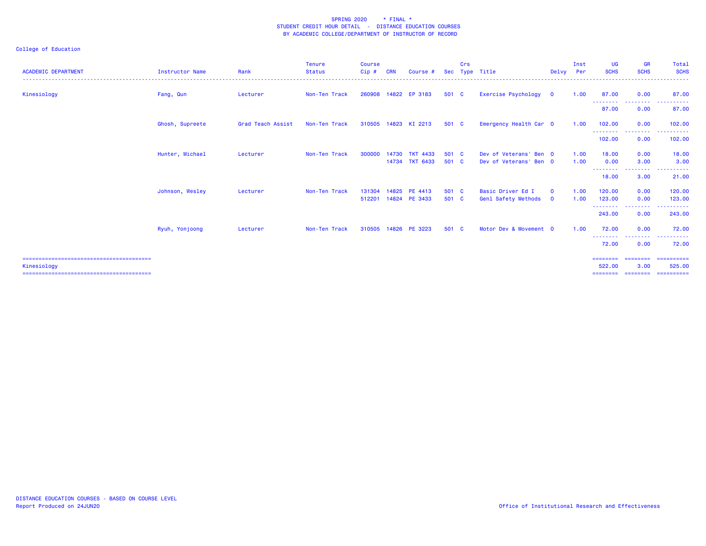| <b>ACADEMIC DEPARTMENT</b> | <b>Instructor Name</b> | Rank              | <b>Tenure</b><br><b>Status</b> | <b>Course</b><br>Cip# | <b>CRN</b>     | Course #                          | <b>Sec</b>     | <b>Crs</b> | Type Title                                       | Delvy                       | Inst<br>Per  | <b>UG</b><br><b>SCHS</b>     | <b>GR</b><br><b>SCHS</b>                | Total<br><b>SCHS</b>                                      |
|----------------------------|------------------------|-------------------|--------------------------------|-----------------------|----------------|-----------------------------------|----------------|------------|--------------------------------------------------|-----------------------------|--------------|------------------------------|-----------------------------------------|-----------------------------------------------------------|
| Kinesiology                | Fang, Qun              | Lecturer          | Non-Ten Track                  | 260908                |                | 14822 EP 3183                     | 501 C          |            | Exercise Psychology                              | $\overline{\mathbf{0}}$     | 1.00         | 87.00                        | 0.00                                    | 87.00                                                     |
|                            |                        |                   |                                |                       |                |                                   |                |            |                                                  |                             |              | --------<br>87.00            | --------<br>0.00                        | .<br>87.00                                                |
|                            | Ghosh, Supreete        | Grad Teach Assist | Non-Ten Track                  | 310505                | 14823          | KI 2213                           | 501 C          |            | Emergency Health Car 0                           |                             | 1.00         | 102.00                       | 0.00                                    | 102,00                                                    |
|                            |                        |                   |                                |                       |                |                                   |                |            |                                                  |                             |              | ---------<br>102,00          | --------<br>0.00                        | . <b>.</b><br>102,00                                      |
|                            | Hunter, Michael        | Lecturer          | Non-Ten Track                  | 300000                | 14730          | <b>TKT 4433</b><br>14734 TKT 6433 | 501<br>501 C   | - C        | Dev of Veterans' Ben 0<br>Dev of Veterans' Ben 0 |                             | 1.00<br>1.00 | 18.00<br>0.00                | 0.00<br>3.00                            | 18.00<br>3.00                                             |
|                            |                        |                   |                                |                       |                |                                   |                |            |                                                  |                             |              | --------<br>18.00            | --------<br>3.00                        | .<br>21.00                                                |
|                            | Johnson, Wesley        | Lecturer          | Non-Ten Track                  | 131304<br>512201      | 14825<br>14824 | PE 4413<br>PE 3433                | 501 C<br>501 C |            | Basic Driver Ed I<br>Genl Safety Methods         | $\mathbf{O}$<br>$\mathbf 0$ | 1.00<br>1.00 | 120,00<br>123.00<br>-------- | 0.00<br>0.00<br><u> - - - - - - - -</u> | 120.00<br>123.00<br>.                                     |
|                            |                        |                   |                                |                       |                |                                   |                |            |                                                  |                             |              | 243.00                       | 0.00                                    | 243.00                                                    |
|                            | Ryuh, Yonjoong         | Lecturer          | Non-Ten Track                  | 310505                | 14826          | PE 3223                           | 501 C          |            | Motor Dev & Movement 0                           |                             | 1.00         | 72.00<br>--------            | 0.00<br><u> - - - - - - - -</u>         | 72.00<br>.                                                |
|                            |                        |                   |                                |                       |                |                                   |                |            |                                                  |                             |              | 72.00                        | 0.00                                    | 72.00                                                     |
| Kinesiology                |                        |                   |                                |                       |                |                                   |                |            |                                                  |                             |              | 522,00<br>======             | 3.00<br>========                        | =================================<br>525,00<br>========== |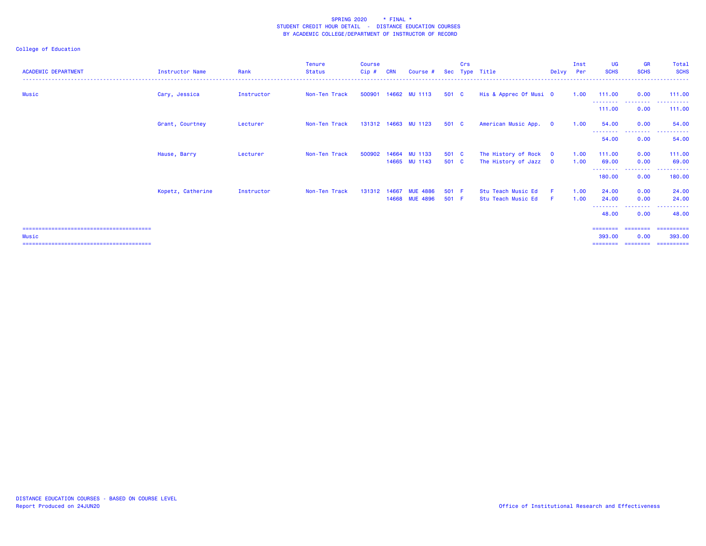| <b>ACADEMIC DEPARTMENT</b> | <b>Instructor Name</b> | Rank       | Tenure<br>Status | <b>Course</b><br>$Cip$ # | <b>CRN</b> | Course #             |       | Crs | Sec Type Title         | Delvy                   | Inst<br>Per | <b>UG</b><br><b>SCHS</b>           | <b>GR</b><br><b>SCHS</b> | Total<br><b>SCHS</b>                      |
|----------------------------|------------------------|------------|------------------|--------------------------|------------|----------------------|-------|-----|------------------------|-------------------------|-------------|------------------------------------|--------------------------|-------------------------------------------|
| Music                      | Cary, Jessica          | Instructor | Non-Ten Track    | 500901                   |            | 14662 MU 1113        | 501 C |     | His & Apprec Of Musi 0 |                         | 1.00        | 111.00<br>- - - - - - - - <b>-</b> | 0.00<br>.                | 111.00<br>-------                         |
|                            |                        |            |                  |                          |            |                      |       |     |                        |                         |             | 111.00                             | 0.00                     | 111.00                                    |
|                            | Grant, Courtney        | Lecturer   | Non-Ten Track    |                          |            | 131312 14663 MU 1123 | 501 C |     | American Music App.    | $\overline{\mathbf{0}}$ | 1.00        | 54.00<br>--------                  | 0.00<br>.                | 54,00<br>.<br>$\sim$ $\sim$ $\sim$ $\sim$ |
|                            |                        |            |                  |                          |            |                      |       |     |                        |                         |             | 54.00                              | 0.00                     | 54.00                                     |
|                            | Hause, Barry           | Lecturer   | Non-Ten Track    | 500902                   |            | 14664 MU 1133        | 501 C |     | The History of Rock 0  |                         | 1.00        | 111.00                             | 0.00                     | 111.00                                    |
|                            |                        |            |                  |                          |            | 14665 MU 1143        | 501 C |     | The History of Jazz 0  |                         | 1.00        | 69.00<br>- - - - - - - - -         | 0.00<br>--------         | 69.00                                     |
|                            |                        |            |                  |                          |            |                      |       |     |                        |                         |             | 180.00                             | 0.00                     | 180.00                                    |
|                            | Kopetz, Catherine      | Instructor | Non-Ten Track    | 131312                   | 14667      | <b>MUE 4886</b>      | 501 F |     | Stu Teach Music Ed     | F.                      | 1.00        | 24.00                              | 0.00                     | 24.00                                     |
|                            |                        |            |                  |                          | 14668      | <b>MUE 4896</b>      | 501 F |     | Stu Teach Music Ed     | F                       | 1.00        | 24.00<br>- - - - - - - - -         | 0.00<br>--------         | 24.00<br>------                           |
|                            |                        |            |                  |                          |            |                      |       |     |                        |                         |             | 48.00                              | 0.00                     | 48.00                                     |
| Music                      |                        |            |                  |                          |            |                      |       |     |                        |                         |             | ========<br>393,00<br>========     | 0.00<br>---------        | 393,00<br>-----------                     |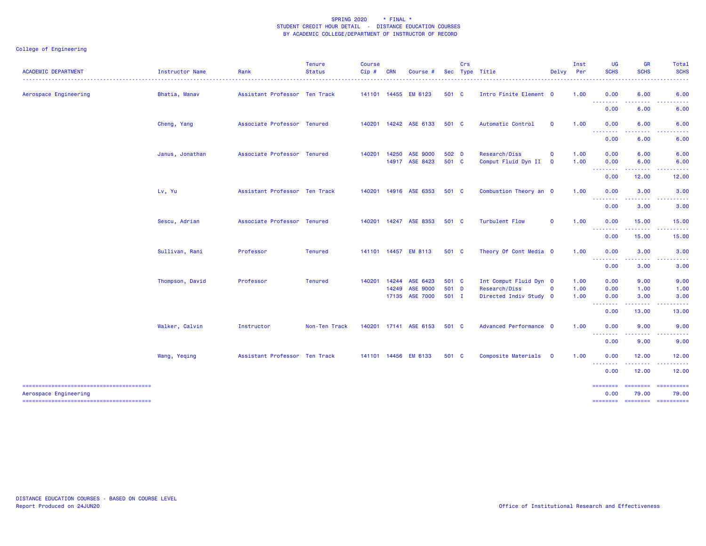| <b>ACADEMIC DEPARTMENT</b> | Instructor Name | Rank                          | <b>Tenure</b><br><b>Status</b> | <b>Course</b><br>Cip# | <b>CRN</b> | Course #                          |                | Crs | Sec Type Title                       | Delvy                      | Inst<br>Per  | <b>UG</b><br><b>SCHS</b>                                                                                                                                                                                                                                                                                                                                                                                                                                                                       | GR<br><b>SCHS</b>                       | Total<br><b>SCHS</b> |
|----------------------------|-----------------|-------------------------------|--------------------------------|-----------------------|------------|-----------------------------------|----------------|-----|--------------------------------------|----------------------------|--------------|------------------------------------------------------------------------------------------------------------------------------------------------------------------------------------------------------------------------------------------------------------------------------------------------------------------------------------------------------------------------------------------------------------------------------------------------------------------------------------------------|-----------------------------------------|----------------------|
| Aerospace Engineering      | Bhatia, Manav   | Assistant Professor Ten Track |                                |                       |            | 141101 14455 EM 6123              | 501 C          |     | Intro Finite Element 0               |                            | 1.00         | 0.00<br>.                                                                                                                                                                                                                                                                                                                                                                                                                                                                                      | 6.00                                    | 6.00                 |
|                            |                 |                               |                                |                       |            |                                   |                |     |                                      |                            |              | 0.00                                                                                                                                                                                                                                                                                                                                                                                                                                                                                           | 6.00                                    | 6.00                 |
|                            | Cheng, Yang     | Associate Professor Tenured   |                                |                       |            | 140201  14242  ASE  6133          | 501 C          |     | Automatic Control                    | $\mathbf{O}$               | 1.00         | 0.00<br><b><i><u><u><b>Little Little</b></u></u></i></b>                                                                                                                                                                                                                                                                                                                                                                                                                                       | 6.00                                    | 6.00                 |
|                            |                 |                               |                                |                       |            |                                   |                |     |                                      |                            |              | 0.00                                                                                                                                                                                                                                                                                                                                                                                                                                                                                           | 6.00                                    | 6.00                 |
|                            | Janus, Jonathan | Associate Professor Tenured   |                                | 140201                | 14250      | <b>ASE 9000</b><br>14917 ASE 8423 | 502 D<br>501 C |     | Research/Diss<br>Comput Fluid Dyn II | $\mathbf 0$<br>$\mathbf 0$ | 1.00<br>1.00 | 0.00<br>0.00                                                                                                                                                                                                                                                                                                                                                                                                                                                                                   | 6.00<br>6.00                            | 6.00<br>6.00         |
|                            |                 |                               |                                |                       |            |                                   |                |     |                                      |                            |              | $\begin{array}{cccccccccccccc} \multicolumn{2}{c}{} & \multicolumn{2}{c}{} & \multicolumn{2}{c}{} & \multicolumn{2}{c}{} & \multicolumn{2}{c}{} & \multicolumn{2}{c}{} & \multicolumn{2}{c}{} & \multicolumn{2}{c}{} & \multicolumn{2}{c}{} & \multicolumn{2}{c}{} & \multicolumn{2}{c}{} & \multicolumn{2}{c}{} & \multicolumn{2}{c}{} & \multicolumn{2}{c}{} & \multicolumn{2}{c}{} & \multicolumn{2}{c}{} & \multicolumn{2}{c}{} & \multicolumn{2}{c}{} & \multicolumn{2}{c}{} & \$<br>0.00 | 12.00                                   | 12.00                |
|                            | Lv, Yu          | Assistant Professor Ten Track |                                | 140201                |            | 14916 ASE 6353                    | 501 C          |     | Combustion Theory an O               |                            | 1.00         | 0.00<br><b>.</b> .                                                                                                                                                                                                                                                                                                                                                                                                                                                                             | 3.00<br>.                               | 3.00                 |
|                            |                 |                               |                                |                       |            |                                   |                |     |                                      |                            |              | 0.00                                                                                                                                                                                                                                                                                                                                                                                                                                                                                           | 3.00                                    | 3.00                 |
|                            | Sescu, Adrian   | Associate Professor Tenured   |                                | 140201                |            | 14247 ASE 8353                    | 501 C          |     | <b>Turbulent Flow</b>                | $\mathbf{o}$               | 1.00         | 0.00<br><b></b>                                                                                                                                                                                                                                                                                                                                                                                                                                                                                | 15.00<br>.                              | 15.00                |
|                            |                 |                               |                                |                       |            |                                   |                |     |                                      |                            |              | 0.00                                                                                                                                                                                                                                                                                                                                                                                                                                                                                           | 15.00                                   | 15.00                |
|                            | Sullivan, Rani  | Professor                     | <b>Tenured</b>                 |                       |            | 141101 14457 EM 8113              | 501 C          |     | Theory Of Cont Media 0               |                            | 1.00         | 0.00<br><b><i><u><u> - - - - - - -</u></u></i></b>                                                                                                                                                                                                                                                                                                                                                                                                                                             | 3.00<br>.                               | 3.00<br>. <b>.</b>   |
|                            |                 |                               |                                |                       |            |                                   |                |     |                                      |                            |              | 0.00                                                                                                                                                                                                                                                                                                                                                                                                                                                                                           | 3.00                                    | 3.00                 |
|                            | Thompson, David | Professor                     | <b>Tenured</b>                 | 140201                |            | 14244 ASE 6423                    | 501 C          |     | Int Comput Fluid Dyn 0               |                            | 1.00         | 0.00                                                                                                                                                                                                                                                                                                                                                                                                                                                                                           | 9.00                                    | 9.00                 |
|                            |                 |                               |                                |                       |            | 14249 ASE 9000                    | 501 D          |     | Research/Diss                        | $\mathbf 0$                | 1.00         | 0.00                                                                                                                                                                                                                                                                                                                                                                                                                                                                                           | 1.00                                    | 1.00                 |
|                            |                 |                               |                                |                       |            | 17135 ASE 7000                    | $501$ I        |     | Directed Indiv Study 0               |                            | 1.00         | 0.00<br>.                                                                                                                                                                                                                                                                                                                                                                                                                                                                                      | 3.00<br><u>.</u>                        | 3.00                 |
|                            |                 |                               |                                |                       |            |                                   |                |     |                                      |                            |              | 0.00                                                                                                                                                                                                                                                                                                                                                                                                                                                                                           | 13.00                                   | 13.00                |
|                            | Walker, Calvin  | Instructor                    | Non-Ten Track                  |                       |            | 140201 17141 ASE 6153             | 501 C          |     | Advanced Performance 0               |                            | 1.00         | 0.00<br>.                                                                                                                                                                                                                                                                                                                                                                                                                                                                                      | 9.00                                    | 9.00                 |
|                            |                 |                               |                                |                       |            |                                   |                |     |                                      |                            |              | 0.00                                                                                                                                                                                                                                                                                                                                                                                                                                                                                           | 9.00                                    | 9.00                 |
|                            | Wang, Yeqing    | Assistant Professor Ten Track |                                |                       |            | 141101 14456 EM 6133              | 501 C          |     | Composite Materials                  | $\overline{\mathbf{0}}$    | 1.00         | 0.00<br>--------                                                                                                                                                                                                                                                                                                                                                                                                                                                                               | 12.00<br>.                              | 12.00                |
|                            |                 |                               |                                |                       |            |                                   |                |     |                                      |                            |              | 0.00                                                                                                                                                                                                                                                                                                                                                                                                                                                                                           | 12.00                                   | 12.00                |
| Aerospace Engineering      |                 |                               |                                |                       |            |                                   |                |     |                                      |                            |              | $=$ = = = = = = =<br>0.00<br><b>SEESEESE</b>                                                                                                                                                                                                                                                                                                                                                                                                                                                   | ========<br>79.00<br>======== ========= | ==========<br>79.00  |
|                            |                 |                               |                                |                       |            |                                   |                |     |                                      |                            |              |                                                                                                                                                                                                                                                                                                                                                                                                                                                                                                |                                         |                      |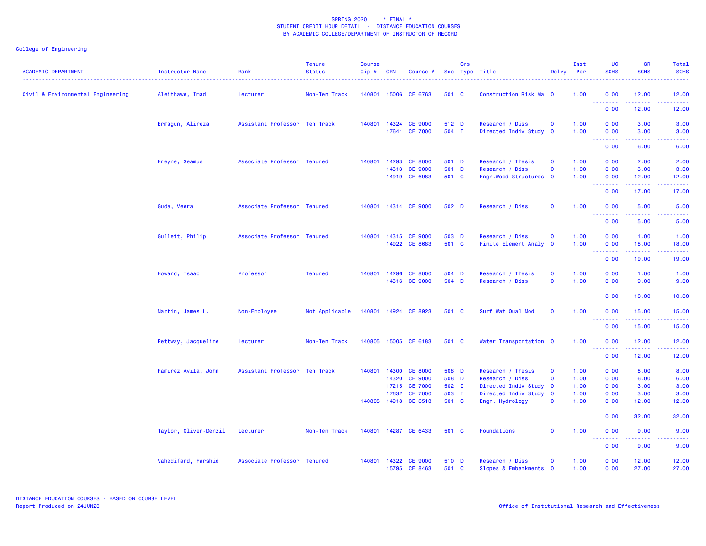| <b>ACADEMIC DEPARTMENT</b>        | Instructor Name       | Rank                          | <b>Tenure</b><br><b>Status</b> | <b>Course</b><br>Cip# | <b>CRN</b>     | Course #                         |                | Crs | Sec Type Title                            | Delvy                                  | Inst<br>Per  | <b>UG</b><br><b>SCHS</b>        | <b>GR</b><br><b>SCHS</b>                                                                | <b>Total</b><br><b>SCHS</b>                                                                                                        |
|-----------------------------------|-----------------------|-------------------------------|--------------------------------|-----------------------|----------------|----------------------------------|----------------|-----|-------------------------------------------|----------------------------------------|--------------|---------------------------------|-----------------------------------------------------------------------------------------|------------------------------------------------------------------------------------------------------------------------------------|
| Civil & Environmental Engineering | Aleithawe, Imad       | Lecturer                      | Non-Ten Track                  | 140801                |                | 15006 CE 6763                    | 501 C          |     | Construction Risk Ma 0                    |                                        | 1.00         | 0.00                            | 12.00<br><b>.</b>                                                                       | 12.00<br>المتمامين                                                                                                                 |
|                                   |                       |                               |                                |                       |                |                                  |                |     |                                           |                                        |              | 0.00                            | 12.00                                                                                   | 12.00                                                                                                                              |
|                                   | Ermagun, Alireza      | Assistant Professor Ten Track |                                | 140801                |                | 14324 CE 9000<br>17641 CE 7000   | 512 D<br>504 I |     | Research / Diss<br>Directed Indiv Study   | $\mathbf 0$<br>$\overline{\mathbf{0}}$ | 1.00<br>1.00 | 0.00<br>0.00                    | 3.00<br>3.00                                                                            | 3.00<br>3.00                                                                                                                       |
|                                   |                       |                               |                                |                       |                |                                  |                |     |                                           |                                        |              | .<br>0.00                       | .<br>6.00                                                                               | -----<br>6.00                                                                                                                      |
|                                   | Freyne, Seamus        | Associate Professor Tenured   |                                | 140801                | 14293<br>14313 | <b>CE 8000</b><br><b>CE 9000</b> | 501 D<br>501 D |     | Research / Thesis<br>Research / Diss      | $\mathbf 0$<br>$\mathbf 0$             | 1.00<br>1.00 | 0.00<br>0.00                    | 2.00<br>3.00                                                                            | 2.00<br>3.00                                                                                                                       |
|                                   |                       |                               |                                |                       |                | 14919 CE 6983                    | 501 C          |     | Engr.Wood Structures 0                    |                                        | 1.00         | 0.00<br>.                       | 12.00<br>.                                                                              | 12.00<br>$\frac{1}{2} \left( \frac{1}{2} \right) \left( \frac{1}{2} \right) \left( \frac{1}{2} \right) \left( \frac{1}{2} \right)$ |
|                                   |                       |                               |                                |                       |                |                                  |                |     |                                           |                                        |              | 0.00                            | 17.00                                                                                   | 17.00                                                                                                                              |
|                                   | Gude, Veera           | Associate Professor Tenured   |                                | 140801                |                | 14314 CE 9000                    | 502 D          |     | Research / Diss                           | $\mathbf 0$                            | 1.00         | 0.00<br>.                       | 5.00<br>د د د د                                                                         | 5.00<br><u>.</u>                                                                                                                   |
|                                   |                       |                               |                                |                       |                |                                  |                |     |                                           |                                        |              | 0.00                            | 5.00                                                                                    | 5.00                                                                                                                               |
|                                   | Gullett, Philip       | Associate Professor Tenured   |                                | 140801                |                | 14315 CE 9000<br>14922 CE 8683   | 503 D<br>501 C |     | Research / Diss<br>Finite Element Analy 0 | $\mathbf 0$                            | 1.00<br>1.00 | 0.00<br>0.00<br>.               | 1.00<br>18.00<br>.                                                                      | 1.00<br>18.00<br>.                                                                                                                 |
|                                   |                       |                               |                                |                       |                |                                  |                |     |                                           |                                        |              | 0.00                            | 19.00                                                                                   | 19.00                                                                                                                              |
|                                   | Howard, Isaac         | Professor                     | <b>Tenured</b>                 | 140801                | 14296          | <b>CE 8000</b><br>14316 CE 9000  | 504 D<br>504 D |     | Research / Thesis<br>Research / Diss      | $\mathbf 0$<br>$\mathbf 0$             | 1.00<br>1.00 | 0.00<br>0.00                    | 1.00<br>9.00                                                                            | 1.00<br>9.00                                                                                                                       |
|                                   |                       |                               |                                |                       |                |                                  |                |     |                                           |                                        |              | <u>.</u><br>0.00                | 10.00                                                                                   | <u>.</u><br>10.00                                                                                                                  |
|                                   | Martin, James L.      | Non-Employee                  | Not Applicable                 |                       |                | 140801 14924 CE 8923             | 501 C          |     | Surf Wat Qual Mod                         | $\mathbf 0$                            | 1.00         | 0.00                            | 15.00<br>.                                                                              | 15.00<br>المستحد                                                                                                                   |
|                                   |                       |                               |                                |                       |                |                                  |                |     |                                           |                                        |              | 0.00                            | 15.00                                                                                   | 15.00                                                                                                                              |
|                                   | Pettway, Jacqueline   | Lecturer                      | Non-Ten Track                  |                       |                | 140805 15005 CE 6183             | 501 C          |     | Water Transportation 0                    |                                        | 1.00         | 0.00<br>.                       | 12.00                                                                                   | 12.00                                                                                                                              |
|                                   |                       |                               |                                |                       |                |                                  |                |     |                                           |                                        |              | 0.00                            | 12.00                                                                                   | 12.00                                                                                                                              |
|                                   | Ramirez Avila, John   | Assistant Professor Ten Track |                                | 140801                | 14300          | <b>CE 8000</b>                   | 508 D          |     | Research / Thesis                         | $\mathbf 0$                            | 1.00         | 0.00                            | 8.00                                                                                    | 8.00                                                                                                                               |
|                                   |                       |                               |                                |                       | 14320          | <b>CE 9000</b>                   | 508 D          |     | Research / Diss                           | $\mathbf 0$                            | 1.00         | 0.00                            | 6.00                                                                                    | 6.00                                                                                                                               |
|                                   |                       |                               |                                |                       | 17632          | 17215 CE 7000<br><b>CE 7000</b>  | 502 I<br>503 I |     | Directed Indiv Study 0                    |                                        | 1.00<br>1.00 | 0.00<br>0.00                    | 3.00<br>3.00                                                                            | 3.00<br>3.00                                                                                                                       |
|                                   |                       |                               |                                |                       |                |                                  |                |     | Directed Indiv Study 0                    |                                        |              |                                 |                                                                                         |                                                                                                                                    |
|                                   |                       |                               |                                | 140805                | 14918          | CE 6513                          | 501 C          |     | Engr. Hydrology                           | $\mathbf 0$                            | 1.00         | 0.00<br>.                       | 12.00                                                                                   | 12.00<br><b>.</b> .                                                                                                                |
|                                   |                       |                               |                                |                       |                |                                  |                |     |                                           |                                        |              | 0.00                            | 32.00                                                                                   | 32.00                                                                                                                              |
|                                   | Taylor, Oliver-Denzil | Lecturer                      | Non-Ten Track                  |                       |                | 140801 14287 CE 6433             | 501 C          |     | Foundations                               | $\mathbf 0$                            | 1.00         | 0.00<br><u> - - - - - - - -</u> | 9.00<br>$\frac{1}{2} \left( \frac{1}{2} \right) \frac{1}{2} \left( \frac{1}{2} \right)$ | 9.00<br>.                                                                                                                          |
|                                   |                       |                               |                                |                       |                |                                  |                |     |                                           |                                        |              | 0.00                            | 9.00                                                                                    | 9.00                                                                                                                               |
|                                   | Vahedifard, Farshid   | Associate Professor Tenured   |                                | 140801                | 14322          | <b>CE 9000</b><br>15795 CE 8463  | 510 D<br>501 C |     | Research / Diss<br>Slopes & Embankments 0 | $\mathbf{o}$                           | 1.00<br>1.00 | 0.00<br>0.00                    | 12.00<br>27.00                                                                          | 12.00<br>27.00                                                                                                                     |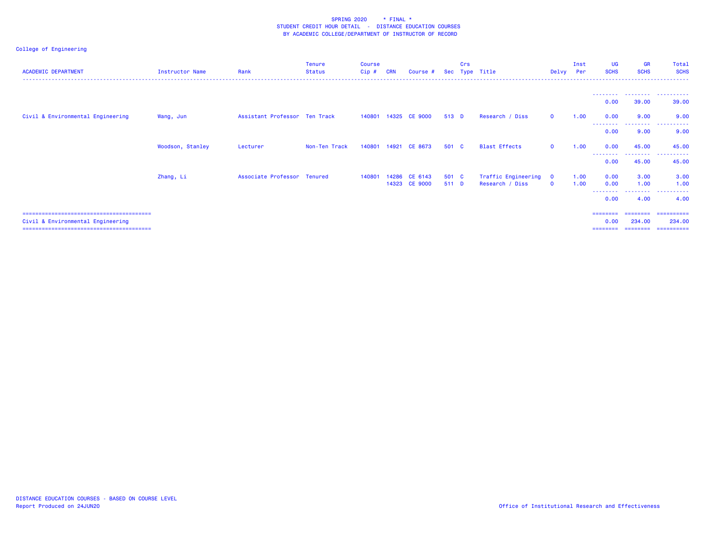| <b>ACADEMIC DEPARTMENT</b>        | Instructor Name  | Rank                          | <b>Tenure</b><br>Status | <b>Course</b><br>Cip# | <b>CRN</b> | Course #             | Sec   | Crs | Type Title           | Delvy                   | Inst<br>Per | UG<br><b>SCHS</b> | <b>GR</b><br><b>SCHS</b> | Total<br><b>SCHS</b>           |
|-----------------------------------|------------------|-------------------------------|-------------------------|-----------------------|------------|----------------------|-------|-----|----------------------|-------------------------|-------------|-------------------|--------------------------|--------------------------------|
|                                   |                  |                               |                         |                       |            |                      |       |     |                      |                         |             |                   |                          |                                |
|                                   |                  |                               |                         |                       |            |                      |       |     |                      |                         |             | 0.00              | 39.00                    | 39.00                          |
| Civil & Environmental Engineering | Wang, Jun        | Assistant Professor Ten Track |                         |                       |            | 140801 14325 CE 9000 | 513 D |     | Research / Diss      | $\mathbf 0$             | 1.00        | 0.00<br>--------  | 9.00<br>---------        | 9.00<br>.                      |
|                                   |                  |                               |                         |                       |            |                      |       |     |                      |                         |             | 0.00              | 9.00                     | 9.00                           |
|                                   | Woodson, Stanley | Lecturer                      | Non-Ten Track           |                       |            | 140801 14921 CE 8673 | 501 C |     | <b>Blast Effects</b> | $\Omega$                | 1.00        | 0.00<br>--------  | 45.00<br>---------       | 45.00<br>.                     |
|                                   |                  |                               |                         |                       |            |                      |       |     |                      |                         |             | 0.00              | 45.00                    | 45.00                          |
|                                   | Zhang, Li        | Associate Professor Tenured   |                         | 140801                | 14286      | CE 6143              | 501 C |     | Traffic Engineering  | $\overline{\mathbf{o}}$ | 1.00        | 0.00              | 3.00                     | 3.00                           |
|                                   |                  |                               |                         |                       |            | 14323 CE 9000        | 511 D |     | Research / Diss      | $\Omega$                | 1.00        | 0.00<br>--------  | 1.00<br>---------        | 1.00<br>. <u>.</u>             |
|                                   |                  |                               |                         |                       |            |                      |       |     |                      |                         |             | 0.00              | 4.00                     | 4.00                           |
| Civil & Environmental Engineering |                  |                               |                         |                       |            |                      |       |     |                      |                         |             | ========<br>0.00  | 234,00                   | ========= ==========<br>234,00 |
|                                   |                  |                               |                         |                       |            |                      |       |     |                      |                         |             | ----              |                          | ==========                     |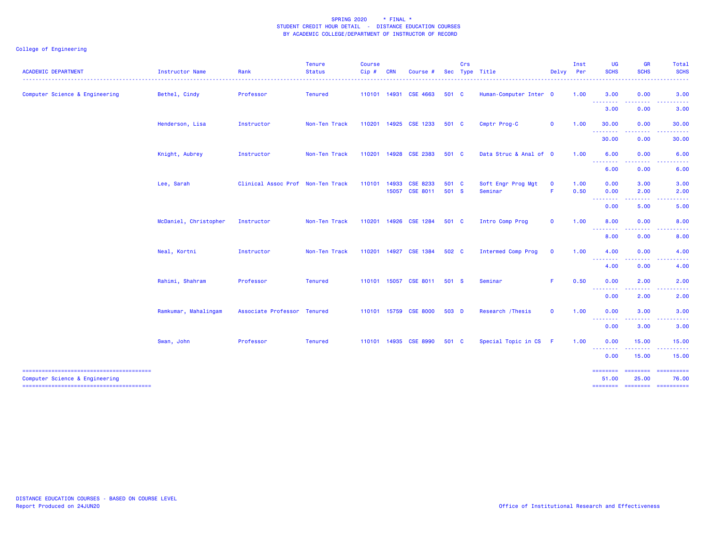| 501 C<br>Human-Computer Inter 0<br>0.00<br>Computer Science & Engineering<br>Bethel, Cindy<br>Professor<br><b>Tenured</b><br>110101 14931<br><b>CSE 4663</b><br>1.00<br>3.00<br>3.00<br>.<br>.<br>3.00<br>0.00<br>3.00<br>110201 14925 CSE 1233<br>$\mathbf 0$<br>1.00<br>0.00<br>Henderson, Lisa<br>Non-Ten Track<br>501 C<br>Cmptr Prog-C<br>30.00<br>30.00<br>Instructor<br>.<br>.<br>30.00<br>0.00<br>30.00<br>Data Struc & Anal of 0<br>Knight, Aubrey<br>Non-Ten Track<br>110201<br>14928 CSE 2383<br>501 C<br>1.00<br>6.00<br>0.00<br>6.00<br>Instructor<br><b></b><br>.<br>$\frac{1}{2} \left( \frac{1}{2} \right) \left( \frac{1}{2} \right) \left( \frac{1}{2} \right) \left( \frac{1}{2} \right) \left( \frac{1}{2} \right)$<br>6.00<br>0.00<br>6.00<br>Lee, Sarah<br>Clinical Assoc Prof Non-Ten Track<br>CSE 8233<br>501 C<br>Soft Engr Prog Mgt<br>1.00<br>0.00<br>3.00<br>3.00<br>110101<br>14933<br>$\mathbf 0$<br><b>CSE 8011</b><br>501 S<br>F.<br>0.50<br>2.00<br>15057<br>Seminar<br>0.00<br>2.00<br>.<br>.<br>0.00<br>5.00<br>5.00<br>McDaniel, Christopher<br>110201 14926 CSE 1284<br>$\mathbf 0$<br>1.00<br>0.00<br>Non-Ten Track<br>501 C<br>Intro Comp Prog<br>8.00<br>8.00<br>Instructor<br>$\begin{array}{cccccccccc} \multicolumn{2}{c}{} & \multicolumn{2}{c}{} & \multicolumn{2}{c}{} & \multicolumn{2}{c}{} & \multicolumn{2}{c}{} & \multicolumn{2}{c}{} & \multicolumn{2}{c}{} & \multicolumn{2}{c}{} & \multicolumn{2}{c}{} & \multicolumn{2}{c}{} & \multicolumn{2}{c}{} & \multicolumn{2}{c}{} & \multicolumn{2}{c}{} & \multicolumn{2}{c}{} & \multicolumn{2}{c}{} & \multicolumn{2}{c}{} & \multicolumn{2}{c}{} & \multicolumn{2}{c}{} & \multicolumn{2}{c}{} & \mult$<br>د د د د<br>8.00<br>0.00<br>8.00<br>Neal, Kortni<br>110201 14927<br><b>CSE 1384</b><br>502 C<br>Intermed Comp Prog<br>$\mathbf 0$<br>1.00<br>4.00<br>0.00<br>4.00<br>Instructor<br>Non-Ten Track<br>--------<br>4.00<br>0.00<br>4.00<br>Rahimi, Shahram<br>F.<br>Professor<br><b>Tenured</b><br>110101 15057<br><b>CSE 8011</b><br>501 S<br>Seminar<br>0.50<br>0.00<br>2.00<br>2.00<br>المتمامين<br>$\frac{1}{2} \left( \frac{1}{2} \right) \left( \frac{1}{2} \right) \left( \frac{1}{2} \right) \left( \frac{1}{2} \right) \left( \frac{1}{2} \right)$<br>0.00<br>2.00<br>2.00<br>Ramkumar, Mahalingam<br>Associate Professor Tenured<br>110101 15759 CSE 8000<br>503 D<br>Research / Thesis<br>$\mathbf 0$<br>1.00<br>0.00<br>3.00<br>3.00<br>$\begin{array}{cccccccccccccc} \multicolumn{2}{c}{} & \multicolumn{2}{c}{} & \multicolumn{2}{c}{} & \multicolumn{2}{c}{} & \multicolumn{2}{c}{} & \multicolumn{2}{c}{} & \multicolumn{2}{c}{} & \multicolumn{2}{c}{} & \multicolumn{2}{c}{} & \multicolumn{2}{c}{} & \multicolumn{2}{c}{} & \multicolumn{2}{c}{} & \multicolumn{2}{c}{} & \multicolumn{2}{c}{} & \multicolumn{2}{c}{} & \multicolumn{2}{c}{} & \multicolumn{2}{c}{} & \multicolumn{2}{c}{} & \multicolumn{2}{c}{} & \$<br>.<br>0.00<br>3.00<br>3.00<br>Special Topic in CS F<br>Swan, John<br>Professor<br><b>Tenured</b><br>110101 14935 CSE 8990<br>501 C<br>1.00<br>0.00<br>15.00<br>15.00<br>.<br>0.00<br>15.00<br>15.00<br>========<br>========<br>-----------<br>Computer Science & Engineering<br>51.00<br>25.00<br>76.00 | <b>ACADEMIC DEPARTMENT</b> | Instructor Name | Rank | <b>Tenure</b><br><b>Status</b> | <b>Course</b><br>Cip# | <b>CRN</b> | Course # | <b>Sec</b> | Crs | Type Title<br>------------------ | Delvy | Inst<br><b>Per</b> | <b>UG</b><br><b>SCHS</b> | <b>GR</b><br><b>SCHS</b> | <b>Total</b><br><b>SCHS</b><br>$\frac{1}{2} \left( \frac{1}{2} \right) \left( \frac{1}{2} \right) \left( \frac{1}{2} \right) \left( \frac{1}{2} \right) \left( \frac{1}{2} \right)$ |
|-------------------------------------------------------------------------------------------------------------------------------------------------------------------------------------------------------------------------------------------------------------------------------------------------------------------------------------------------------------------------------------------------------------------------------------------------------------------------------------------------------------------------------------------------------------------------------------------------------------------------------------------------------------------------------------------------------------------------------------------------------------------------------------------------------------------------------------------------------------------------------------------------------------------------------------------------------------------------------------------------------------------------------------------------------------------------------------------------------------------------------------------------------------------------------------------------------------------------------------------------------------------------------------------------------------------------------------------------------------------------------------------------------------------------------------------------------------------------------------------------------------------------------------------------------------------------------------------------------------------------------------------------------------------------------------------------------------------------------------------------------------------------------------------------------------------------------------------------------------------------------------------------------------------------------------------------------------------------------------------------------------------------------------------------------------------------------------------------------------------------------------------------------------------------------------------------------------------------------------------------------------------------------------------------------------------------------------------------------------------------------------------------------------------------------------------------------------------------------------------------------------------------------------------------------------------------------------------------------------------------------------------------------------------------------------------------------------------------------------------------------------------------------------------------------------------------------------------------------------------------------------------------------------------------------------------------------------------------------------------------------------------------------------------------------------------------------------------------------------------------------------------------------------------------------------------------------------------------------------------------------------------|----------------------------|-----------------|------|--------------------------------|-----------------------|------------|----------|------------|-----|----------------------------------|-------|--------------------|--------------------------|--------------------------|-------------------------------------------------------------------------------------------------------------------------------------------------------------------------------------|
|                                                                                                                                                                                                                                                                                                                                                                                                                                                                                                                                                                                                                                                                                                                                                                                                                                                                                                                                                                                                                                                                                                                                                                                                                                                                                                                                                                                                                                                                                                                                                                                                                                                                                                                                                                                                                                                                                                                                                                                                                                                                                                                                                                                                                                                                                                                                                                                                                                                                                                                                                                                                                                                                                                                                                                                                                                                                                                                                                                                                                                                                                                                                                                                                                                                                   |                            |                 |      |                                |                       |            |          |            |     |                                  |       |                    |                          |                          |                                                                                                                                                                                     |
|                                                                                                                                                                                                                                                                                                                                                                                                                                                                                                                                                                                                                                                                                                                                                                                                                                                                                                                                                                                                                                                                                                                                                                                                                                                                                                                                                                                                                                                                                                                                                                                                                                                                                                                                                                                                                                                                                                                                                                                                                                                                                                                                                                                                                                                                                                                                                                                                                                                                                                                                                                                                                                                                                                                                                                                                                                                                                                                                                                                                                                                                                                                                                                                                                                                                   |                            |                 |      |                                |                       |            |          |            |     |                                  |       |                    |                          |                          |                                                                                                                                                                                     |
|                                                                                                                                                                                                                                                                                                                                                                                                                                                                                                                                                                                                                                                                                                                                                                                                                                                                                                                                                                                                                                                                                                                                                                                                                                                                                                                                                                                                                                                                                                                                                                                                                                                                                                                                                                                                                                                                                                                                                                                                                                                                                                                                                                                                                                                                                                                                                                                                                                                                                                                                                                                                                                                                                                                                                                                                                                                                                                                                                                                                                                                                                                                                                                                                                                                                   |                            |                 |      |                                |                       |            |          |            |     |                                  |       |                    |                          |                          |                                                                                                                                                                                     |
|                                                                                                                                                                                                                                                                                                                                                                                                                                                                                                                                                                                                                                                                                                                                                                                                                                                                                                                                                                                                                                                                                                                                                                                                                                                                                                                                                                                                                                                                                                                                                                                                                                                                                                                                                                                                                                                                                                                                                                                                                                                                                                                                                                                                                                                                                                                                                                                                                                                                                                                                                                                                                                                                                                                                                                                                                                                                                                                                                                                                                                                                                                                                                                                                                                                                   |                            |                 |      |                                |                       |            |          |            |     |                                  |       |                    |                          |                          |                                                                                                                                                                                     |
|                                                                                                                                                                                                                                                                                                                                                                                                                                                                                                                                                                                                                                                                                                                                                                                                                                                                                                                                                                                                                                                                                                                                                                                                                                                                                                                                                                                                                                                                                                                                                                                                                                                                                                                                                                                                                                                                                                                                                                                                                                                                                                                                                                                                                                                                                                                                                                                                                                                                                                                                                                                                                                                                                                                                                                                                                                                                                                                                                                                                                                                                                                                                                                                                                                                                   |                            |                 |      |                                |                       |            |          |            |     |                                  |       |                    |                          |                          |                                                                                                                                                                                     |
|                                                                                                                                                                                                                                                                                                                                                                                                                                                                                                                                                                                                                                                                                                                                                                                                                                                                                                                                                                                                                                                                                                                                                                                                                                                                                                                                                                                                                                                                                                                                                                                                                                                                                                                                                                                                                                                                                                                                                                                                                                                                                                                                                                                                                                                                                                                                                                                                                                                                                                                                                                                                                                                                                                                                                                                                                                                                                                                                                                                                                                                                                                                                                                                                                                                                   |                            |                 |      |                                |                       |            |          |            |     |                                  |       |                    |                          |                          |                                                                                                                                                                                     |
|                                                                                                                                                                                                                                                                                                                                                                                                                                                                                                                                                                                                                                                                                                                                                                                                                                                                                                                                                                                                                                                                                                                                                                                                                                                                                                                                                                                                                                                                                                                                                                                                                                                                                                                                                                                                                                                                                                                                                                                                                                                                                                                                                                                                                                                                                                                                                                                                                                                                                                                                                                                                                                                                                                                                                                                                                                                                                                                                                                                                                                                                                                                                                                                                                                                                   |                            |                 |      |                                |                       |            |          |            |     |                                  |       |                    |                          |                          |                                                                                                                                                                                     |
|                                                                                                                                                                                                                                                                                                                                                                                                                                                                                                                                                                                                                                                                                                                                                                                                                                                                                                                                                                                                                                                                                                                                                                                                                                                                                                                                                                                                                                                                                                                                                                                                                                                                                                                                                                                                                                                                                                                                                                                                                                                                                                                                                                                                                                                                                                                                                                                                                                                                                                                                                                                                                                                                                                                                                                                                                                                                                                                                                                                                                                                                                                                                                                                                                                                                   |                            |                 |      |                                |                       |            |          |            |     |                                  |       |                    |                          |                          |                                                                                                                                                                                     |
|                                                                                                                                                                                                                                                                                                                                                                                                                                                                                                                                                                                                                                                                                                                                                                                                                                                                                                                                                                                                                                                                                                                                                                                                                                                                                                                                                                                                                                                                                                                                                                                                                                                                                                                                                                                                                                                                                                                                                                                                                                                                                                                                                                                                                                                                                                                                                                                                                                                                                                                                                                                                                                                                                                                                                                                                                                                                                                                                                                                                                                                                                                                                                                                                                                                                   |                            |                 |      |                                |                       |            |          |            |     |                                  |       |                    |                          |                          |                                                                                                                                                                                     |
|                                                                                                                                                                                                                                                                                                                                                                                                                                                                                                                                                                                                                                                                                                                                                                                                                                                                                                                                                                                                                                                                                                                                                                                                                                                                                                                                                                                                                                                                                                                                                                                                                                                                                                                                                                                                                                                                                                                                                                                                                                                                                                                                                                                                                                                                                                                                                                                                                                                                                                                                                                                                                                                                                                                                                                                                                                                                                                                                                                                                                                                                                                                                                                                                                                                                   |                            |                 |      |                                |                       |            |          |            |     |                                  |       |                    |                          |                          |                                                                                                                                                                                     |
|                                                                                                                                                                                                                                                                                                                                                                                                                                                                                                                                                                                                                                                                                                                                                                                                                                                                                                                                                                                                                                                                                                                                                                                                                                                                                                                                                                                                                                                                                                                                                                                                                                                                                                                                                                                                                                                                                                                                                                                                                                                                                                                                                                                                                                                                                                                                                                                                                                                                                                                                                                                                                                                                                                                                                                                                                                                                                                                                                                                                                                                                                                                                                                                                                                                                   |                            |                 |      |                                |                       |            |          |            |     |                                  |       |                    |                          |                          |                                                                                                                                                                                     |
|                                                                                                                                                                                                                                                                                                                                                                                                                                                                                                                                                                                                                                                                                                                                                                                                                                                                                                                                                                                                                                                                                                                                                                                                                                                                                                                                                                                                                                                                                                                                                                                                                                                                                                                                                                                                                                                                                                                                                                                                                                                                                                                                                                                                                                                                                                                                                                                                                                                                                                                                                                                                                                                                                                                                                                                                                                                                                                                                                                                                                                                                                                                                                                                                                                                                   |                            |                 |      |                                |                       |            |          |            |     |                                  |       |                    |                          |                          |                                                                                                                                                                                     |
|                                                                                                                                                                                                                                                                                                                                                                                                                                                                                                                                                                                                                                                                                                                                                                                                                                                                                                                                                                                                                                                                                                                                                                                                                                                                                                                                                                                                                                                                                                                                                                                                                                                                                                                                                                                                                                                                                                                                                                                                                                                                                                                                                                                                                                                                                                                                                                                                                                                                                                                                                                                                                                                                                                                                                                                                                                                                                                                                                                                                                                                                                                                                                                                                                                                                   |                            |                 |      |                                |                       |            |          |            |     |                                  |       |                    |                          |                          |                                                                                                                                                                                     |
|                                                                                                                                                                                                                                                                                                                                                                                                                                                                                                                                                                                                                                                                                                                                                                                                                                                                                                                                                                                                                                                                                                                                                                                                                                                                                                                                                                                                                                                                                                                                                                                                                                                                                                                                                                                                                                                                                                                                                                                                                                                                                                                                                                                                                                                                                                                                                                                                                                                                                                                                                                                                                                                                                                                                                                                                                                                                                                                                                                                                                                                                                                                                                                                                                                                                   |                            |                 |      |                                |                       |            |          |            |     |                                  |       |                    |                          |                          |                                                                                                                                                                                     |
|                                                                                                                                                                                                                                                                                                                                                                                                                                                                                                                                                                                                                                                                                                                                                                                                                                                                                                                                                                                                                                                                                                                                                                                                                                                                                                                                                                                                                                                                                                                                                                                                                                                                                                                                                                                                                                                                                                                                                                                                                                                                                                                                                                                                                                                                                                                                                                                                                                                                                                                                                                                                                                                                                                                                                                                                                                                                                                                                                                                                                                                                                                                                                                                                                                                                   |                            |                 |      |                                |                       |            |          |            |     |                                  |       |                    |                          |                          |                                                                                                                                                                                     |
|                                                                                                                                                                                                                                                                                                                                                                                                                                                                                                                                                                                                                                                                                                                                                                                                                                                                                                                                                                                                                                                                                                                                                                                                                                                                                                                                                                                                                                                                                                                                                                                                                                                                                                                                                                                                                                                                                                                                                                                                                                                                                                                                                                                                                                                                                                                                                                                                                                                                                                                                                                                                                                                                                                                                                                                                                                                                                                                                                                                                                                                                                                                                                                                                                                                                   |                            |                 |      |                                |                       |            |          |            |     |                                  |       |                    |                          |                          |                                                                                                                                                                                     |
|                                                                                                                                                                                                                                                                                                                                                                                                                                                                                                                                                                                                                                                                                                                                                                                                                                                                                                                                                                                                                                                                                                                                                                                                                                                                                                                                                                                                                                                                                                                                                                                                                                                                                                                                                                                                                                                                                                                                                                                                                                                                                                                                                                                                                                                                                                                                                                                                                                                                                                                                                                                                                                                                                                                                                                                                                                                                                                                                                                                                                                                                                                                                                                                                                                                                   |                            |                 |      |                                |                       |            |          |            |     |                                  |       |                    |                          |                          |                                                                                                                                                                                     |
|                                                                                                                                                                                                                                                                                                                                                                                                                                                                                                                                                                                                                                                                                                                                                                                                                                                                                                                                                                                                                                                                                                                                                                                                                                                                                                                                                                                                                                                                                                                                                                                                                                                                                                                                                                                                                                                                                                                                                                                                                                                                                                                                                                                                                                                                                                                                                                                                                                                                                                                                                                                                                                                                                                                                                                                                                                                                                                                                                                                                                                                                                                                                                                                                                                                                   |                            |                 |      |                                |                       |            |          |            |     |                                  |       |                    |                          |                          |                                                                                                                                                                                     |
|                                                                                                                                                                                                                                                                                                                                                                                                                                                                                                                                                                                                                                                                                                                                                                                                                                                                                                                                                                                                                                                                                                                                                                                                                                                                                                                                                                                                                                                                                                                                                                                                                                                                                                                                                                                                                                                                                                                                                                                                                                                                                                                                                                                                                                                                                                                                                                                                                                                                                                                                                                                                                                                                                                                                                                                                                                                                                                                                                                                                                                                                                                                                                                                                                                                                   |                            |                 |      |                                |                       |            |          |            |     |                                  |       |                    |                          |                          |                                                                                                                                                                                     |
|                                                                                                                                                                                                                                                                                                                                                                                                                                                                                                                                                                                                                                                                                                                                                                                                                                                                                                                                                                                                                                                                                                                                                                                                                                                                                                                                                                                                                                                                                                                                                                                                                                                                                                                                                                                                                                                                                                                                                                                                                                                                                                                                                                                                                                                                                                                                                                                                                                                                                                                                                                                                                                                                                                                                                                                                                                                                                                                                                                                                                                                                                                                                                                                                                                                                   |                            |                 |      |                                |                       |            |          |            |     |                                  |       |                    |                          |                          |                                                                                                                                                                                     |
| ======== ======== ==========                                                                                                                                                                                                                                                                                                                                                                                                                                                                                                                                                                                                                                                                                                                                                                                                                                                                                                                                                                                                                                                                                                                                                                                                                                                                                                                                                                                                                                                                                                                                                                                                                                                                                                                                                                                                                                                                                                                                                                                                                                                                                                                                                                                                                                                                                                                                                                                                                                                                                                                                                                                                                                                                                                                                                                                                                                                                                                                                                                                                                                                                                                                                                                                                                                      |                            |                 |      |                                |                       |            |          |            |     |                                  |       |                    |                          |                          |                                                                                                                                                                                     |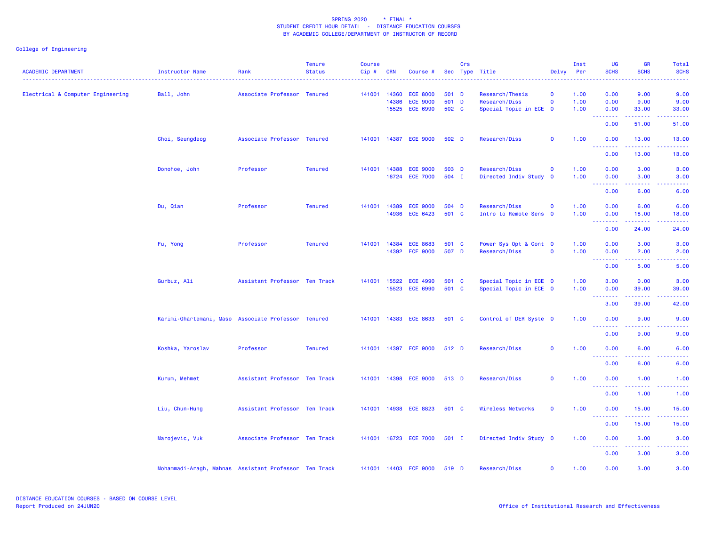| <b>ACADEMIC DEPARTMENT</b>        | <b>Instructor Name</b>                                | Rank                          | <b>Tenure</b><br><b>Status</b> | <b>Course</b><br>Cip# | <b>CRN</b> | Course #                                             |                         | Crs | Sec Type Title                                             | Delvy Per                               | Inst                 | UG<br><b>SCHS</b>                                                                                                                                                    | <b>GR</b><br><b>SCHS</b>                                                                                                           | Total<br><b>SCHS</b>                                                                                                              |
|-----------------------------------|-------------------------------------------------------|-------------------------------|--------------------------------|-----------------------|------------|------------------------------------------------------|-------------------------|-----|------------------------------------------------------------|-----------------------------------------|----------------------|----------------------------------------------------------------------------------------------------------------------------------------------------------------------|------------------------------------------------------------------------------------------------------------------------------------|-----------------------------------------------------------------------------------------------------------------------------------|
| Electrical & Computer Engineering | Ball, John                                            | Associate Professor Tenured   |                                | 141001 14360          | 14386      | <b>ECE 8000</b><br><b>ECE 9000</b><br>15525 ECE 6990 | 501 D<br>501 D<br>502 C |     | Research/Thesis<br>Research/Diss<br>Special Topic in ECE 0 | $\mathbf{o}$<br>$\mathbf 0$             | 1.00<br>1.00<br>1.00 | 0.00<br>0.00<br>0.00                                                                                                                                                 | 9.00<br>9.00<br>33.00                                                                                                              | 9.00<br>9.00<br>33.00                                                                                                             |
|                                   |                                                       |                               |                                |                       |            |                                                      |                         |     |                                                            |                                         |                      | --------<br>0.00                                                                                                                                                     | .<br>51.00                                                                                                                         | .<br>51.00                                                                                                                        |
|                                   | Choi, Seungdeog                                       | Associate Professor Tenured   |                                |                       |            | 141001 14387 ECE 9000                                | $502$ D                 |     | Research/Diss                                              | $\mathbf 0$                             | 1.00                 | 0.00<br>.                                                                                                                                                            | 13.00<br>$\frac{1}{2} \left( \frac{1}{2} \right) \left( \frac{1}{2} \right) \left( \frac{1}{2} \right) \left( \frac{1}{2} \right)$ | 13.00                                                                                                                             |
|                                   |                                                       |                               |                                |                       |            |                                                      |                         |     |                                                            |                                         |                      | 0.00                                                                                                                                                                 | 13.00                                                                                                                              | 13.00                                                                                                                             |
|                                   | Donohoe, John                                         | Professor                     | <b>Tenured</b>                 |                       |            | 141001 14388 ECE 9000<br>16724 ECE 7000              | 503 D<br>504 I          |     | Research/Diss<br>Directed Indiv Study                      | $\mathbf 0$<br>$\overline{\mathbf{0}}$  | 1.00<br>1.00         | 0.00<br>0.00                                                                                                                                                         | 3.00<br>3.00                                                                                                                       | 3.00<br>3.00                                                                                                                      |
|                                   |                                                       |                               |                                |                       |            |                                                      |                         |     |                                                            |                                         |                      | .<br>0.00                                                                                                                                                            | وبالاناد<br>6.00                                                                                                                   | $\frac{1}{2} \left( \frac{1}{2} \right) \left( \frac{1}{2} \right) \left( \frac{1}{2} \right) \left( \frac{1}{2} \right)$<br>6.00 |
|                                   | Du, Qian                                              | Professor                     | <b>Tenured</b>                 | 141001 14389          | 14936      | <b>ECE 9000</b><br><b>ECE 6423</b>                   | 504 D<br>501 C          |     | Research/Diss<br>Intro to Remote Sens                      | $\mathbf{o}$<br>$\overline{\mathbf{0}}$ | 1.00<br>1.00         | 0.00<br>0.00<br>$\frac{1}{2} \left( \frac{1}{2} \right) \left( \frac{1}{2} \right) \left( \frac{1}{2} \right) \left( \frac{1}{2} \right) \left( \frac{1}{2} \right)$ | 6.00<br>18.00                                                                                                                      | 6.00<br>18.00                                                                                                                     |
|                                   |                                                       |                               |                                |                       |            |                                                      |                         |     |                                                            |                                         |                      | 0.00                                                                                                                                                                 | 24.00                                                                                                                              | 24.00                                                                                                                             |
|                                   | Fu, Yong                                              | Professor                     | <b>Tenured</b>                 |                       |            | 141001  14384  ECE  8683<br>14392 ECE 9000           | 501 C<br>507 D          |     | Power Sys Opt & Cont 0<br>Research/Diss                    | $\mathbf{o}$                            | 1.00<br>1.00         | 0.00<br>0.00<br><b><i><u><u> - - - - - - -</u></u></i></b>                                                                                                           | 3.00<br>2.00<br>المتمالين                                                                                                          | 3.00<br>2.00<br>وعاعاه                                                                                                            |
|                                   |                                                       |                               |                                |                       |            |                                                      |                         |     |                                                            |                                         |                      | 0.00                                                                                                                                                                 | 5.00                                                                                                                               | 5.00                                                                                                                              |
|                                   | Gurbuz, Ali                                           | Assistant Professor Ten Track |                                | 141001 15522          |            | <b>ECE 4990</b><br>15523 ECE 6990                    | 501 C<br>501 C          |     | Special Topic in ECE 0<br>Special Topic in ECE 0           |                                         | 1.00<br>1.00         | 3.00<br>0.00                                                                                                                                                         | 0.00<br>39.00<br>والمستناء                                                                                                         | 3.00<br>39.00                                                                                                                     |
|                                   |                                                       |                               |                                |                       |            |                                                      |                         |     |                                                            |                                         |                      | 3.00                                                                                                                                                                 | 39.00                                                                                                                              | 42.00                                                                                                                             |
|                                   | Karimi-Ghartemani, Maso Associate Professor Tenured   |                               |                                |                       |            | 141001 14383 ECE 8633                                | 501 C                   |     | Control of DER Syste 0                                     |                                         | 1.00                 | 0.00<br><u> - - - - - - - -</u>                                                                                                                                      | 9.00<br>.                                                                                                                          | 9.00<br>.                                                                                                                         |
|                                   |                                                       |                               |                                |                       |            |                                                      |                         |     |                                                            |                                         |                      | 0.00                                                                                                                                                                 | 9.00                                                                                                                               | 9.00                                                                                                                              |
|                                   | Koshka, Yaroslav                                      | Professor                     | <b>Tenured</b>                 |                       |            | 141001 14397 ECE 9000                                | 512 D                   |     | Research/Diss                                              | $\mathbf 0$                             | 1.00                 | 0.00<br>.                                                                                                                                                            | 6.00                                                                                                                               | 6.00                                                                                                                              |
|                                   |                                                       |                               |                                |                       |            |                                                      |                         |     |                                                            |                                         |                      | 0.00                                                                                                                                                                 | 6.00                                                                                                                               | 6.00                                                                                                                              |
|                                   | Kurum, Mehmet                                         | Assistant Professor Ten Track |                                |                       |            | 141001 14398 ECE 9000 513 D                          |                         |     | Research/Diss                                              | $\mathbf{o}$                            | 1.00                 | 0.00<br>.                                                                                                                                                            | 1.00<br>.                                                                                                                          | 1.00<br>.                                                                                                                         |
|                                   | Liu, Chun-Hung                                        | Assistant Professor Ten Track |                                |                       |            | 141001 14938 ECE 8823                                | 501 C                   |     | Wireless Networks                                          | $\mathbf{o}$                            | 1.00                 | 0.00<br>0.00                                                                                                                                                         | 1.00<br>15.00                                                                                                                      | 1.00<br>15.00                                                                                                                     |
|                                   |                                                       |                               |                                |                       |            |                                                      |                         |     |                                                            |                                         |                      | - - - - - - - -<br>0.00                                                                                                                                              | 15.00                                                                                                                              | 15.00                                                                                                                             |
|                                   | Marojevic, Vuk                                        | Associate Professor Ten Track |                                |                       |            | 141001 16723 ECE 7000                                | $501$ I                 |     | Directed Indiv Study 0                                     |                                         | 1.00                 | 0.00                                                                                                                                                                 | 3.00                                                                                                                               | 3.00                                                                                                                              |
|                                   |                                                       |                               |                                |                       |            |                                                      |                         |     |                                                            |                                         |                      | <u>.</u><br>0.00                                                                                                                                                     | 3.00                                                                                                                               | 3.00                                                                                                                              |
|                                   | Mohammadi-Aragh, Mahnas Assistant Professor Ten Track |                               |                                |                       |            | 141001 14403 ECE 9000 519 D                          |                         |     | Research/Diss                                              | $\mathbf 0$                             | 1.00                 | 0.00                                                                                                                                                                 | 3.00                                                                                                                               | 3.00                                                                                                                              |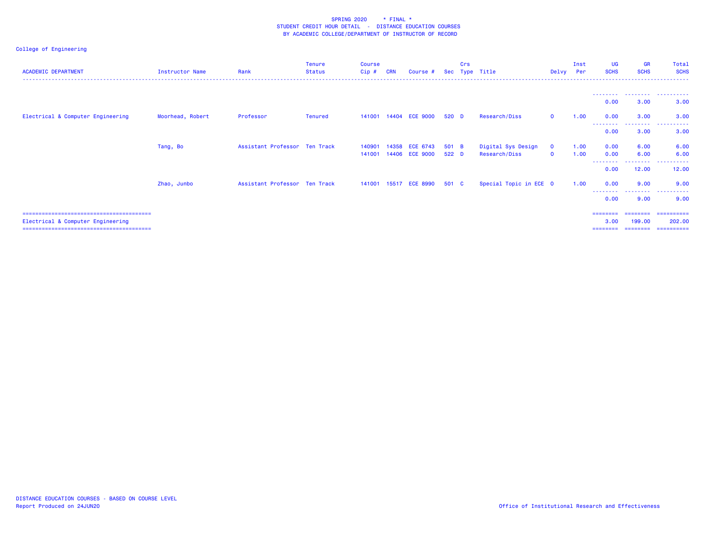| <b>ACADEMIC DEPARTMENT</b>        | <b>Instructor Name</b> | Rank                          | Tenure<br><b>Status</b> | <b>Course</b><br>Cip# | <b>CRN</b> | Course #                 | <b>Sec</b> | Crs<br>Type | Title                  | Delvy        | Inst<br>Per | <b>UG</b><br><b>SCHS</b> | <b>GR</b><br><b>SCHS</b> | Total<br><b>SCHS</b>                |
|-----------------------------------|------------------------|-------------------------------|-------------------------|-----------------------|------------|--------------------------|------------|-------------|------------------------|--------------|-------------|--------------------------|--------------------------|-------------------------------------|
|                                   |                        |                               |                         |                       |            |                          |            |             |                        |              |             | --------                 | .                        | .                                   |
|                                   |                        | Professor                     |                         |                       |            | 141001  14404  ECE  9000 | 520 D      |             | Research/Diss          | $\mathbf 0$  |             | 0.00<br>0.00             | 3.00<br>3.00             | 3.00<br>3.00                        |
| Electrical & Computer Engineering | Moorhead, Robert       |                               | Tenured                 |                       |            |                          |            |             |                        |              | 1.00        | --------<br>0.00         | . <b>.</b> .<br>3.00     | $\sim$ $\sim$ $\sim$ $\sim$<br>3.00 |
|                                   | Tang, Bo               | Assistant Professor Ten Track |                         | 140901                | 14358      | <b>ECE 6743</b>          | 501 B      |             | Digital Sys Design     | $\mathbf{O}$ | 1.00        | 0.00                     | 6.00                     | 6.00                                |
|                                   |                        |                               |                         | 141001                |            | 14406 ECE 9000           | 522 D      |             | Research/Diss          | $\mathbf{0}$ | 1.00        | 0.00<br>--------         | 6.00<br>.                | 6.00<br>.                           |
|                                   |                        | Assistant Professor Ten Track |                         | 141001                | 15517      | <b>ECE 8990</b>          | 501 C      |             | Special Topic in ECE 0 |              | 1.00        | 0.00<br>0.00             | 12.00<br>9.00            | 12.00<br>9.00                       |
|                                   | Zhao, Junbo            |                               |                         |                       |            |                          |            |             |                        |              |             | - - - - - - - -<br>0.00  | --------<br>9.00         | .<br>9.00                           |
|                                   |                        |                               |                         |                       |            |                          |            |             |                        |              |             | ========                 |                          | ========= ==========                |
| Electrical & Computer Engineering |                        |                               |                         |                       |            |                          |            |             |                        |              |             | 3.00                     | 199.00<br>========       | 202.00<br>-----------               |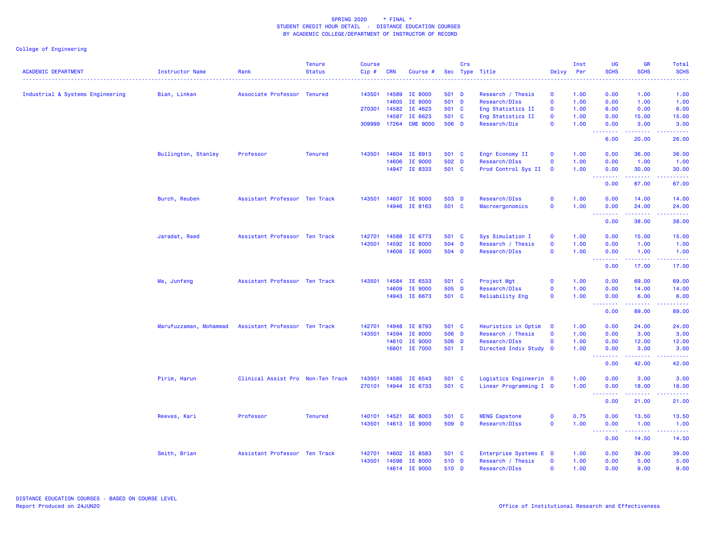| Sec Type Title<br>Delvy Per<br>Industrial & Systems Engineering<br>Bian, Linkan<br>Associate Professor Tenured<br>143501 14589<br><b>IE 8000</b><br>501 D<br>Research / Thesis<br>$\mathbf 0$<br>1.00<br>0.00<br>1.00<br>1.00<br>14605<br>501 D<br>$\mathbf 0$<br>IE 9000<br>Research/DIss<br>1.00<br>0.00<br>1.00<br>1.00<br>270301 14582 IE 4623<br>501 C<br>Eng Statistics II<br>1.00<br>6.00<br>0.00<br>6.00<br>$\mathbf{O}$<br>14587<br>IE 6623<br>501 C<br>Eng Statistics II<br>$\mathbf 0$<br>1.00<br>0.00<br>15.00<br>15.00<br>17264 CME 9000<br>506 D<br>309999<br>Research/Dis<br>$\mathbf{o}$<br>1.00<br>0.00<br>3.00<br>3.00<br><u>.</u><br>$\frac{1}{2} \left( \frac{1}{2} \right) \left( \frac{1}{2} \right) \left( \frac{1}{2} \right) \left( \frac{1}{2} \right)$<br>.<br>6.00<br>20.00<br>26.00<br>0.00<br>Bullington, Stanley<br>Professor<br>143501<br>14604 IE 8913<br>501 C<br>Engr Economy II<br>1.00<br>36.00<br>36.00<br><b>Tenured</b><br>$\mathbf{o}$<br>14606 IE 9000<br>502 D<br>Research/DIss<br>$\mathbf 0$<br>1.00<br>0.00<br>1.00<br>1.00<br>14947 IE 8333<br>501 C<br>Prod Control Sys II<br>1.00<br>0.00<br>30.00<br>30.00<br>$\overline{\mathbf{o}}$<br>0.00<br>67.00<br>67.00<br>Burch, Reuben<br>Assistant Professor Ten Track<br>143501 14607 IE 9000<br>503 D<br>Research/DIss<br>$\mathbf 0$<br>1.00<br>0.00<br>14.00<br>14.00<br>14946 IE 8163<br>501 C<br>Macroergonomics<br>$\mathbf 0$<br>1.00<br>0.00<br>24.00<br>24.00<br>.<br>$\begin{array}{cccccccccccccc} \multicolumn{2}{c}{} & \multicolumn{2}{c}{} & \multicolumn{2}{c}{} & \multicolumn{2}{c}{} & \multicolumn{2}{c}{} & \multicolumn{2}{c}{} & \multicolumn{2}{c}{} & \multicolumn{2}{c}{} & \multicolumn{2}{c}{} & \multicolumn{2}{c}{} & \multicolumn{2}{c}{} & \multicolumn{2}{c}{} & \multicolumn{2}{c}{} & \multicolumn{2}{c}{} & \multicolumn{2}{c}{} & \multicolumn{2}{c}{} & \multicolumn{2}{c}{} & \multicolumn{2}{c}{} & \multicolumn{2}{c}{} & \$<br>.<br>0.00<br>38.00<br>38.00<br>Assistant Professor Ten Track<br>14588 IE 6773<br>501 C<br>Sys Simulation I<br>0.00<br>15.00<br>Jaradat, Raed<br>142701<br>$\mathbf 0$<br>1.00<br>15.00<br>143501<br>14592<br><b>IE 8000</b><br>504 D<br>$\mathbf{O}$<br>1.00<br>0.00<br>1.00<br>Research / Thesis<br>1.00<br>14608 IE 9000<br>504 D<br>Research/DIss<br>$\mathbf 0$<br>1.00<br>0.00<br>1.00<br>1.00<br>$\begin{array}{cccccccccccccc} \multicolumn{2}{c}{} & \multicolumn{2}{c}{} & \multicolumn{2}{c}{} & \multicolumn{2}{c}{} & \multicolumn{2}{c}{} & \multicolumn{2}{c}{} & \multicolumn{2}{c}{} & \multicolumn{2}{c}{} & \multicolumn{2}{c}{} & \multicolumn{2}{c}{} & \multicolumn{2}{c}{} & \multicolumn{2}{c}{} & \multicolumn{2}{c}{} & \multicolumn{2}{c}{} & \multicolumn{2}{c}{} & \multicolumn{2}{c}{} & \multicolumn{2}{c}{} & \multicolumn{2}{c}{} & \multicolumn{2}{c}{} & \$<br>.<br><u>.</u><br>0.00<br>17.00<br>17.00<br>Assistant Professor Ten Track<br>14584 IE 6533<br>501 C<br>1.00<br>0.00<br>69.00<br>69.00<br>Ma, Junfeng<br>143501<br>Project Mgt<br>$\mathbf 0$<br>14609 IE 9000<br>505 D<br>Research/DIss<br>$\mathbf 0$<br>1.00<br>0.00<br>14.00<br>14.00<br>14943 IE 6673<br>501 C<br>Reliability Eng<br>1.00<br>0.00<br>6.00<br>$\mathbf 0$<br>6.00<br>$\frac{1}{2} \left( \frac{1}{2} \right) \left( \frac{1}{2} \right) \left( \frac{1}{2} \right) \left( \frac{1}{2} \right) \left( \frac{1}{2} \right)$<br>.<br>0.00<br>89.00<br>89.00<br>14948 IE 8793<br>0.00<br>24.00<br>Marufuzzaman, Mohammad<br>Assistant Professor Ten Track<br>142701<br>501 C<br>Heuristics in Optim<br>$\mathbf 0$<br>1.00<br>24.00<br>143501<br>14594 IE 8000<br>506 D<br>1.00<br>Research / Thesis<br>$\mathbf 0$<br>0.00<br>3.00<br>3.00<br>14610 IE 9000<br>506 D<br>Research/DIss<br>$\mathbf 0$<br>1.00<br>0.00<br>12.00<br>12.00<br>16801 IE 7000<br>501 I<br>Directed Indiv Study 0<br>1.00<br>0.00<br>3.00<br>3.00<br><b></b><br>$\frac{1}{2} \left( \frac{1}{2} \right) \left( \frac{1}{2} \right) \left( \frac{1}{2} \right) \left( \frac{1}{2} \right) \left( \frac{1}{2} \right)$<br>.<br>0.00<br>42.00<br>42.00<br>Pirim, Harun<br>Clinical Assist Pro Non-Ten Track<br>14585 IE 6543<br>501 C<br>Logistics Engineerin 0<br>1.00<br>0.00<br>3.00<br>3.00<br>143501<br>270101 14944 IE 6733<br>501 C<br>Linear Programming I 0<br>1.00<br>0.00<br>18.00<br>18.00<br><u>.</u><br>.<br>0.00<br>21.00<br>21.00<br>Professor<br>$\mathbf 0$<br>0.75<br>Reeves, Kari<br><b>Tenured</b><br>140101 14521 GE 8003<br>501 C<br><b>MENG Capstone</b><br>0.00<br>13.50<br>13.50<br>509 D<br>1.00<br>143501<br>14613 IE 9000<br>Research/DIss<br>$\mathbf 0$<br>0.00<br>1.00<br>1.00<br><b></b><br>.<br>0.00<br>14.50<br>14.50<br>Smith, Brian<br>Assistant Professor Ten Track<br>14602 IE 8583<br>501 C<br>Enterprise Systems E 0<br>1.00<br>0.00<br>39.00<br>39.00<br>142701<br>143501<br>510 D<br>$\mathbf 0$<br>1.00<br>0.00<br>14598<br><b>IE 8000</b><br>Research / Thesis<br>5.00<br>5.00<br>14614 IE 9000<br>510 D<br>Research/DIss<br>$\mathbf{O}$<br>1.00<br>0.00<br>9.00<br>9.00 | <b>ACADEMIC DEPARTMENT</b> |                 |      | <b>Tenure</b> | <b>Course</b> |            |          | Crs |  | Inst | <b>UG</b><br><b>SCHS</b> | <b>GR</b><br><b>SCHS</b> | Total<br><b>SCHS</b> |
|-------------------------------------------------------------------------------------------------------------------------------------------------------------------------------------------------------------------------------------------------------------------------------------------------------------------------------------------------------------------------------------------------------------------------------------------------------------------------------------------------------------------------------------------------------------------------------------------------------------------------------------------------------------------------------------------------------------------------------------------------------------------------------------------------------------------------------------------------------------------------------------------------------------------------------------------------------------------------------------------------------------------------------------------------------------------------------------------------------------------------------------------------------------------------------------------------------------------------------------------------------------------------------------------------------------------------------------------------------------------------------------------------------------------------------------------------------------------------------------------------------------------------------------------------------------------------------------------------------------------------------------------------------------------------------------------------------------------------------------------------------------------------------------------------------------------------------------------------------------------------------------------------------------------------------------------------------------------------------------------------------------------------------------------------------------------------------------------------------------------------------------------------------------------------------------------------------------------------------------------------------------------------------------------------------------------------------------------------------------------------------------------------------------------------------------------------------------------------------------------------------------------------------------------------------------------------------------------------------------------------------------------------------------------------------------------------------------------------------------------------------------------------------------------------------------------------------------------------------------------------------------------------------------------------------------------------------------------------------------------------------------------------------------------------------------------------------------------------------------------------------------------------------------------------------------------------------------------------------------------------------------------------------------------------------------------------------------------------------------------------------------------------------------------------------------------------------------------------------------------------------------------------------------------------------------------------------------------------------------------------------------------------------------------------------------------------------------------------------------------------------------------------------------------------------------------------------------------------------------------------------------------------------------------------------------------------------------------------------------------------------------------------------------------------------------------------------------------------------------------------------------------------------------------------------------------------------------------------------------------------------------------------------------------------------------------------------------------------------------------------------------------------------------------------------------------------------------------------------------------------------------------------------------------------------------------------------------------------------------------------------------------------------------------------------------------------------------------------------------------------------------------------------------------------------------------------------------------------------------------------------------------------------------------------------------------------------------------------------------------------------------------------------------------------------------------------------------|----------------------------|-----------------|------|---------------|---------------|------------|----------|-----|--|------|--------------------------|--------------------------|----------------------|
|                                                                                                                                                                                                                                                                                                                                                                                                                                                                                                                                                                                                                                                                                                                                                                                                                                                                                                                                                                                                                                                                                                                                                                                                                                                                                                                                                                                                                                                                                                                                                                                                                                                                                                                                                                                                                                                                                                                                                                                                                                                                                                                                                                                                                                                                                                                                                                                                                                                                                                                                                                                                                                                                                                                                                                                                                                                                                                                                                                                                                                                                                                                                                                                                                                                                                                                                                                                                                                                                                                                                                                                                                                                                                                                                                                                                                                                                                                                                                                                                                                                                                                                                                                                                                                                                                                                                                                                                                                                                                                                                                                                                                                                                                                                                                                                                                                                                                                                                                                                                                                                                                     |                            | Instructor Name | Rank | <b>Status</b> | Cip#          | <b>CRN</b> | Course # |     |  |      |                          |                          |                      |
|                                                                                                                                                                                                                                                                                                                                                                                                                                                                                                                                                                                                                                                                                                                                                                                                                                                                                                                                                                                                                                                                                                                                                                                                                                                                                                                                                                                                                                                                                                                                                                                                                                                                                                                                                                                                                                                                                                                                                                                                                                                                                                                                                                                                                                                                                                                                                                                                                                                                                                                                                                                                                                                                                                                                                                                                                                                                                                                                                                                                                                                                                                                                                                                                                                                                                                                                                                                                                                                                                                                                                                                                                                                                                                                                                                                                                                                                                                                                                                                                                                                                                                                                                                                                                                                                                                                                                                                                                                                                                                                                                                                                                                                                                                                                                                                                                                                                                                                                                                                                                                                                                     |                            |                 |      |               |               |            |          |     |  |      |                          |                          |                      |
|                                                                                                                                                                                                                                                                                                                                                                                                                                                                                                                                                                                                                                                                                                                                                                                                                                                                                                                                                                                                                                                                                                                                                                                                                                                                                                                                                                                                                                                                                                                                                                                                                                                                                                                                                                                                                                                                                                                                                                                                                                                                                                                                                                                                                                                                                                                                                                                                                                                                                                                                                                                                                                                                                                                                                                                                                                                                                                                                                                                                                                                                                                                                                                                                                                                                                                                                                                                                                                                                                                                                                                                                                                                                                                                                                                                                                                                                                                                                                                                                                                                                                                                                                                                                                                                                                                                                                                                                                                                                                                                                                                                                                                                                                                                                                                                                                                                                                                                                                                                                                                                                                     |                            |                 |      |               |               |            |          |     |  |      |                          |                          |                      |
|                                                                                                                                                                                                                                                                                                                                                                                                                                                                                                                                                                                                                                                                                                                                                                                                                                                                                                                                                                                                                                                                                                                                                                                                                                                                                                                                                                                                                                                                                                                                                                                                                                                                                                                                                                                                                                                                                                                                                                                                                                                                                                                                                                                                                                                                                                                                                                                                                                                                                                                                                                                                                                                                                                                                                                                                                                                                                                                                                                                                                                                                                                                                                                                                                                                                                                                                                                                                                                                                                                                                                                                                                                                                                                                                                                                                                                                                                                                                                                                                                                                                                                                                                                                                                                                                                                                                                                                                                                                                                                                                                                                                                                                                                                                                                                                                                                                                                                                                                                                                                                                                                     |                            |                 |      |               |               |            |          |     |  |      |                          |                          |                      |
|                                                                                                                                                                                                                                                                                                                                                                                                                                                                                                                                                                                                                                                                                                                                                                                                                                                                                                                                                                                                                                                                                                                                                                                                                                                                                                                                                                                                                                                                                                                                                                                                                                                                                                                                                                                                                                                                                                                                                                                                                                                                                                                                                                                                                                                                                                                                                                                                                                                                                                                                                                                                                                                                                                                                                                                                                                                                                                                                                                                                                                                                                                                                                                                                                                                                                                                                                                                                                                                                                                                                                                                                                                                                                                                                                                                                                                                                                                                                                                                                                                                                                                                                                                                                                                                                                                                                                                                                                                                                                                                                                                                                                                                                                                                                                                                                                                                                                                                                                                                                                                                                                     |                            |                 |      |               |               |            |          |     |  |      |                          |                          |                      |
|                                                                                                                                                                                                                                                                                                                                                                                                                                                                                                                                                                                                                                                                                                                                                                                                                                                                                                                                                                                                                                                                                                                                                                                                                                                                                                                                                                                                                                                                                                                                                                                                                                                                                                                                                                                                                                                                                                                                                                                                                                                                                                                                                                                                                                                                                                                                                                                                                                                                                                                                                                                                                                                                                                                                                                                                                                                                                                                                                                                                                                                                                                                                                                                                                                                                                                                                                                                                                                                                                                                                                                                                                                                                                                                                                                                                                                                                                                                                                                                                                                                                                                                                                                                                                                                                                                                                                                                                                                                                                                                                                                                                                                                                                                                                                                                                                                                                                                                                                                                                                                                                                     |                            |                 |      |               |               |            |          |     |  |      |                          |                          |                      |
|                                                                                                                                                                                                                                                                                                                                                                                                                                                                                                                                                                                                                                                                                                                                                                                                                                                                                                                                                                                                                                                                                                                                                                                                                                                                                                                                                                                                                                                                                                                                                                                                                                                                                                                                                                                                                                                                                                                                                                                                                                                                                                                                                                                                                                                                                                                                                                                                                                                                                                                                                                                                                                                                                                                                                                                                                                                                                                                                                                                                                                                                                                                                                                                                                                                                                                                                                                                                                                                                                                                                                                                                                                                                                                                                                                                                                                                                                                                                                                                                                                                                                                                                                                                                                                                                                                                                                                                                                                                                                                                                                                                                                                                                                                                                                                                                                                                                                                                                                                                                                                                                                     |                            |                 |      |               |               |            |          |     |  |      |                          |                          |                      |
|                                                                                                                                                                                                                                                                                                                                                                                                                                                                                                                                                                                                                                                                                                                                                                                                                                                                                                                                                                                                                                                                                                                                                                                                                                                                                                                                                                                                                                                                                                                                                                                                                                                                                                                                                                                                                                                                                                                                                                                                                                                                                                                                                                                                                                                                                                                                                                                                                                                                                                                                                                                                                                                                                                                                                                                                                                                                                                                                                                                                                                                                                                                                                                                                                                                                                                                                                                                                                                                                                                                                                                                                                                                                                                                                                                                                                                                                                                                                                                                                                                                                                                                                                                                                                                                                                                                                                                                                                                                                                                                                                                                                                                                                                                                                                                                                                                                                                                                                                                                                                                                                                     |                            |                 |      |               |               |            |          |     |  |      |                          |                          |                      |
|                                                                                                                                                                                                                                                                                                                                                                                                                                                                                                                                                                                                                                                                                                                                                                                                                                                                                                                                                                                                                                                                                                                                                                                                                                                                                                                                                                                                                                                                                                                                                                                                                                                                                                                                                                                                                                                                                                                                                                                                                                                                                                                                                                                                                                                                                                                                                                                                                                                                                                                                                                                                                                                                                                                                                                                                                                                                                                                                                                                                                                                                                                                                                                                                                                                                                                                                                                                                                                                                                                                                                                                                                                                                                                                                                                                                                                                                                                                                                                                                                                                                                                                                                                                                                                                                                                                                                                                                                                                                                                                                                                                                                                                                                                                                                                                                                                                                                                                                                                                                                                                                                     |                            |                 |      |               |               |            |          |     |  |      |                          |                          |                      |
|                                                                                                                                                                                                                                                                                                                                                                                                                                                                                                                                                                                                                                                                                                                                                                                                                                                                                                                                                                                                                                                                                                                                                                                                                                                                                                                                                                                                                                                                                                                                                                                                                                                                                                                                                                                                                                                                                                                                                                                                                                                                                                                                                                                                                                                                                                                                                                                                                                                                                                                                                                                                                                                                                                                                                                                                                                                                                                                                                                                                                                                                                                                                                                                                                                                                                                                                                                                                                                                                                                                                                                                                                                                                                                                                                                                                                                                                                                                                                                                                                                                                                                                                                                                                                                                                                                                                                                                                                                                                                                                                                                                                                                                                                                                                                                                                                                                                                                                                                                                                                                                                                     |                            |                 |      |               |               |            |          |     |  |      |                          |                          |                      |
|                                                                                                                                                                                                                                                                                                                                                                                                                                                                                                                                                                                                                                                                                                                                                                                                                                                                                                                                                                                                                                                                                                                                                                                                                                                                                                                                                                                                                                                                                                                                                                                                                                                                                                                                                                                                                                                                                                                                                                                                                                                                                                                                                                                                                                                                                                                                                                                                                                                                                                                                                                                                                                                                                                                                                                                                                                                                                                                                                                                                                                                                                                                                                                                                                                                                                                                                                                                                                                                                                                                                                                                                                                                                                                                                                                                                                                                                                                                                                                                                                                                                                                                                                                                                                                                                                                                                                                                                                                                                                                                                                                                                                                                                                                                                                                                                                                                                                                                                                                                                                                                                                     |                            |                 |      |               |               |            |          |     |  |      |                          |                          |                      |
|                                                                                                                                                                                                                                                                                                                                                                                                                                                                                                                                                                                                                                                                                                                                                                                                                                                                                                                                                                                                                                                                                                                                                                                                                                                                                                                                                                                                                                                                                                                                                                                                                                                                                                                                                                                                                                                                                                                                                                                                                                                                                                                                                                                                                                                                                                                                                                                                                                                                                                                                                                                                                                                                                                                                                                                                                                                                                                                                                                                                                                                                                                                                                                                                                                                                                                                                                                                                                                                                                                                                                                                                                                                                                                                                                                                                                                                                                                                                                                                                                                                                                                                                                                                                                                                                                                                                                                                                                                                                                                                                                                                                                                                                                                                                                                                                                                                                                                                                                                                                                                                                                     |                            |                 |      |               |               |            |          |     |  |      |                          |                          |                      |
|                                                                                                                                                                                                                                                                                                                                                                                                                                                                                                                                                                                                                                                                                                                                                                                                                                                                                                                                                                                                                                                                                                                                                                                                                                                                                                                                                                                                                                                                                                                                                                                                                                                                                                                                                                                                                                                                                                                                                                                                                                                                                                                                                                                                                                                                                                                                                                                                                                                                                                                                                                                                                                                                                                                                                                                                                                                                                                                                                                                                                                                                                                                                                                                                                                                                                                                                                                                                                                                                                                                                                                                                                                                                                                                                                                                                                                                                                                                                                                                                                                                                                                                                                                                                                                                                                                                                                                                                                                                                                                                                                                                                                                                                                                                                                                                                                                                                                                                                                                                                                                                                                     |                            |                 |      |               |               |            |          |     |  |      |                          |                          |                      |
|                                                                                                                                                                                                                                                                                                                                                                                                                                                                                                                                                                                                                                                                                                                                                                                                                                                                                                                                                                                                                                                                                                                                                                                                                                                                                                                                                                                                                                                                                                                                                                                                                                                                                                                                                                                                                                                                                                                                                                                                                                                                                                                                                                                                                                                                                                                                                                                                                                                                                                                                                                                                                                                                                                                                                                                                                                                                                                                                                                                                                                                                                                                                                                                                                                                                                                                                                                                                                                                                                                                                                                                                                                                                                                                                                                                                                                                                                                                                                                                                                                                                                                                                                                                                                                                                                                                                                                                                                                                                                                                                                                                                                                                                                                                                                                                                                                                                                                                                                                                                                                                                                     |                            |                 |      |               |               |            |          |     |  |      |                          |                          |                      |
|                                                                                                                                                                                                                                                                                                                                                                                                                                                                                                                                                                                                                                                                                                                                                                                                                                                                                                                                                                                                                                                                                                                                                                                                                                                                                                                                                                                                                                                                                                                                                                                                                                                                                                                                                                                                                                                                                                                                                                                                                                                                                                                                                                                                                                                                                                                                                                                                                                                                                                                                                                                                                                                                                                                                                                                                                                                                                                                                                                                                                                                                                                                                                                                                                                                                                                                                                                                                                                                                                                                                                                                                                                                                                                                                                                                                                                                                                                                                                                                                                                                                                                                                                                                                                                                                                                                                                                                                                                                                                                                                                                                                                                                                                                                                                                                                                                                                                                                                                                                                                                                                                     |                            |                 |      |               |               |            |          |     |  |      |                          |                          |                      |
|                                                                                                                                                                                                                                                                                                                                                                                                                                                                                                                                                                                                                                                                                                                                                                                                                                                                                                                                                                                                                                                                                                                                                                                                                                                                                                                                                                                                                                                                                                                                                                                                                                                                                                                                                                                                                                                                                                                                                                                                                                                                                                                                                                                                                                                                                                                                                                                                                                                                                                                                                                                                                                                                                                                                                                                                                                                                                                                                                                                                                                                                                                                                                                                                                                                                                                                                                                                                                                                                                                                                                                                                                                                                                                                                                                                                                                                                                                                                                                                                                                                                                                                                                                                                                                                                                                                                                                                                                                                                                                                                                                                                                                                                                                                                                                                                                                                                                                                                                                                                                                                                                     |                            |                 |      |               |               |            |          |     |  |      |                          |                          |                      |
|                                                                                                                                                                                                                                                                                                                                                                                                                                                                                                                                                                                                                                                                                                                                                                                                                                                                                                                                                                                                                                                                                                                                                                                                                                                                                                                                                                                                                                                                                                                                                                                                                                                                                                                                                                                                                                                                                                                                                                                                                                                                                                                                                                                                                                                                                                                                                                                                                                                                                                                                                                                                                                                                                                                                                                                                                                                                                                                                                                                                                                                                                                                                                                                                                                                                                                                                                                                                                                                                                                                                                                                                                                                                                                                                                                                                                                                                                                                                                                                                                                                                                                                                                                                                                                                                                                                                                                                                                                                                                                                                                                                                                                                                                                                                                                                                                                                                                                                                                                                                                                                                                     |                            |                 |      |               |               |            |          |     |  |      |                          |                          |                      |
|                                                                                                                                                                                                                                                                                                                                                                                                                                                                                                                                                                                                                                                                                                                                                                                                                                                                                                                                                                                                                                                                                                                                                                                                                                                                                                                                                                                                                                                                                                                                                                                                                                                                                                                                                                                                                                                                                                                                                                                                                                                                                                                                                                                                                                                                                                                                                                                                                                                                                                                                                                                                                                                                                                                                                                                                                                                                                                                                                                                                                                                                                                                                                                                                                                                                                                                                                                                                                                                                                                                                                                                                                                                                                                                                                                                                                                                                                                                                                                                                                                                                                                                                                                                                                                                                                                                                                                                                                                                                                                                                                                                                                                                                                                                                                                                                                                                                                                                                                                                                                                                                                     |                            |                 |      |               |               |            |          |     |  |      |                          |                          |                      |
|                                                                                                                                                                                                                                                                                                                                                                                                                                                                                                                                                                                                                                                                                                                                                                                                                                                                                                                                                                                                                                                                                                                                                                                                                                                                                                                                                                                                                                                                                                                                                                                                                                                                                                                                                                                                                                                                                                                                                                                                                                                                                                                                                                                                                                                                                                                                                                                                                                                                                                                                                                                                                                                                                                                                                                                                                                                                                                                                                                                                                                                                                                                                                                                                                                                                                                                                                                                                                                                                                                                                                                                                                                                                                                                                                                                                                                                                                                                                                                                                                                                                                                                                                                                                                                                                                                                                                                                                                                                                                                                                                                                                                                                                                                                                                                                                                                                                                                                                                                                                                                                                                     |                            |                 |      |               |               |            |          |     |  |      |                          |                          |                      |
|                                                                                                                                                                                                                                                                                                                                                                                                                                                                                                                                                                                                                                                                                                                                                                                                                                                                                                                                                                                                                                                                                                                                                                                                                                                                                                                                                                                                                                                                                                                                                                                                                                                                                                                                                                                                                                                                                                                                                                                                                                                                                                                                                                                                                                                                                                                                                                                                                                                                                                                                                                                                                                                                                                                                                                                                                                                                                                                                                                                                                                                                                                                                                                                                                                                                                                                                                                                                                                                                                                                                                                                                                                                                                                                                                                                                                                                                                                                                                                                                                                                                                                                                                                                                                                                                                                                                                                                                                                                                                                                                                                                                                                                                                                                                                                                                                                                                                                                                                                                                                                                                                     |                            |                 |      |               |               |            |          |     |  |      |                          |                          |                      |
|                                                                                                                                                                                                                                                                                                                                                                                                                                                                                                                                                                                                                                                                                                                                                                                                                                                                                                                                                                                                                                                                                                                                                                                                                                                                                                                                                                                                                                                                                                                                                                                                                                                                                                                                                                                                                                                                                                                                                                                                                                                                                                                                                                                                                                                                                                                                                                                                                                                                                                                                                                                                                                                                                                                                                                                                                                                                                                                                                                                                                                                                                                                                                                                                                                                                                                                                                                                                                                                                                                                                                                                                                                                                                                                                                                                                                                                                                                                                                                                                                                                                                                                                                                                                                                                                                                                                                                                                                                                                                                                                                                                                                                                                                                                                                                                                                                                                                                                                                                                                                                                                                     |                            |                 |      |               |               |            |          |     |  |      |                          |                          |                      |
|                                                                                                                                                                                                                                                                                                                                                                                                                                                                                                                                                                                                                                                                                                                                                                                                                                                                                                                                                                                                                                                                                                                                                                                                                                                                                                                                                                                                                                                                                                                                                                                                                                                                                                                                                                                                                                                                                                                                                                                                                                                                                                                                                                                                                                                                                                                                                                                                                                                                                                                                                                                                                                                                                                                                                                                                                                                                                                                                                                                                                                                                                                                                                                                                                                                                                                                                                                                                                                                                                                                                                                                                                                                                                                                                                                                                                                                                                                                                                                                                                                                                                                                                                                                                                                                                                                                                                                                                                                                                                                                                                                                                                                                                                                                                                                                                                                                                                                                                                                                                                                                                                     |                            |                 |      |               |               |            |          |     |  |      |                          |                          |                      |
|                                                                                                                                                                                                                                                                                                                                                                                                                                                                                                                                                                                                                                                                                                                                                                                                                                                                                                                                                                                                                                                                                                                                                                                                                                                                                                                                                                                                                                                                                                                                                                                                                                                                                                                                                                                                                                                                                                                                                                                                                                                                                                                                                                                                                                                                                                                                                                                                                                                                                                                                                                                                                                                                                                                                                                                                                                                                                                                                                                                                                                                                                                                                                                                                                                                                                                                                                                                                                                                                                                                                                                                                                                                                                                                                                                                                                                                                                                                                                                                                                                                                                                                                                                                                                                                                                                                                                                                                                                                                                                                                                                                                                                                                                                                                                                                                                                                                                                                                                                                                                                                                                     |                            |                 |      |               |               |            |          |     |  |      |                          |                          |                      |
|                                                                                                                                                                                                                                                                                                                                                                                                                                                                                                                                                                                                                                                                                                                                                                                                                                                                                                                                                                                                                                                                                                                                                                                                                                                                                                                                                                                                                                                                                                                                                                                                                                                                                                                                                                                                                                                                                                                                                                                                                                                                                                                                                                                                                                                                                                                                                                                                                                                                                                                                                                                                                                                                                                                                                                                                                                                                                                                                                                                                                                                                                                                                                                                                                                                                                                                                                                                                                                                                                                                                                                                                                                                                                                                                                                                                                                                                                                                                                                                                                                                                                                                                                                                                                                                                                                                                                                                                                                                                                                                                                                                                                                                                                                                                                                                                                                                                                                                                                                                                                                                                                     |                            |                 |      |               |               |            |          |     |  |      |                          |                          |                      |
|                                                                                                                                                                                                                                                                                                                                                                                                                                                                                                                                                                                                                                                                                                                                                                                                                                                                                                                                                                                                                                                                                                                                                                                                                                                                                                                                                                                                                                                                                                                                                                                                                                                                                                                                                                                                                                                                                                                                                                                                                                                                                                                                                                                                                                                                                                                                                                                                                                                                                                                                                                                                                                                                                                                                                                                                                                                                                                                                                                                                                                                                                                                                                                                                                                                                                                                                                                                                                                                                                                                                                                                                                                                                                                                                                                                                                                                                                                                                                                                                                                                                                                                                                                                                                                                                                                                                                                                                                                                                                                                                                                                                                                                                                                                                                                                                                                                                                                                                                                                                                                                                                     |                            |                 |      |               |               |            |          |     |  |      |                          |                          |                      |
|                                                                                                                                                                                                                                                                                                                                                                                                                                                                                                                                                                                                                                                                                                                                                                                                                                                                                                                                                                                                                                                                                                                                                                                                                                                                                                                                                                                                                                                                                                                                                                                                                                                                                                                                                                                                                                                                                                                                                                                                                                                                                                                                                                                                                                                                                                                                                                                                                                                                                                                                                                                                                                                                                                                                                                                                                                                                                                                                                                                                                                                                                                                                                                                                                                                                                                                                                                                                                                                                                                                                                                                                                                                                                                                                                                                                                                                                                                                                                                                                                                                                                                                                                                                                                                                                                                                                                                                                                                                                                                                                                                                                                                                                                                                                                                                                                                                                                                                                                                                                                                                                                     |                            |                 |      |               |               |            |          |     |  |      |                          |                          |                      |
|                                                                                                                                                                                                                                                                                                                                                                                                                                                                                                                                                                                                                                                                                                                                                                                                                                                                                                                                                                                                                                                                                                                                                                                                                                                                                                                                                                                                                                                                                                                                                                                                                                                                                                                                                                                                                                                                                                                                                                                                                                                                                                                                                                                                                                                                                                                                                                                                                                                                                                                                                                                                                                                                                                                                                                                                                                                                                                                                                                                                                                                                                                                                                                                                                                                                                                                                                                                                                                                                                                                                                                                                                                                                                                                                                                                                                                                                                                                                                                                                                                                                                                                                                                                                                                                                                                                                                                                                                                                                                                                                                                                                                                                                                                                                                                                                                                                                                                                                                                                                                                                                                     |                            |                 |      |               |               |            |          |     |  |      |                          |                          |                      |
|                                                                                                                                                                                                                                                                                                                                                                                                                                                                                                                                                                                                                                                                                                                                                                                                                                                                                                                                                                                                                                                                                                                                                                                                                                                                                                                                                                                                                                                                                                                                                                                                                                                                                                                                                                                                                                                                                                                                                                                                                                                                                                                                                                                                                                                                                                                                                                                                                                                                                                                                                                                                                                                                                                                                                                                                                                                                                                                                                                                                                                                                                                                                                                                                                                                                                                                                                                                                                                                                                                                                                                                                                                                                                                                                                                                                                                                                                                                                                                                                                                                                                                                                                                                                                                                                                                                                                                                                                                                                                                                                                                                                                                                                                                                                                                                                                                                                                                                                                                                                                                                                                     |                            |                 |      |               |               |            |          |     |  |      |                          |                          |                      |
|                                                                                                                                                                                                                                                                                                                                                                                                                                                                                                                                                                                                                                                                                                                                                                                                                                                                                                                                                                                                                                                                                                                                                                                                                                                                                                                                                                                                                                                                                                                                                                                                                                                                                                                                                                                                                                                                                                                                                                                                                                                                                                                                                                                                                                                                                                                                                                                                                                                                                                                                                                                                                                                                                                                                                                                                                                                                                                                                                                                                                                                                                                                                                                                                                                                                                                                                                                                                                                                                                                                                                                                                                                                                                                                                                                                                                                                                                                                                                                                                                                                                                                                                                                                                                                                                                                                                                                                                                                                                                                                                                                                                                                                                                                                                                                                                                                                                                                                                                                                                                                                                                     |                            |                 |      |               |               |            |          |     |  |      |                          |                          |                      |
|                                                                                                                                                                                                                                                                                                                                                                                                                                                                                                                                                                                                                                                                                                                                                                                                                                                                                                                                                                                                                                                                                                                                                                                                                                                                                                                                                                                                                                                                                                                                                                                                                                                                                                                                                                                                                                                                                                                                                                                                                                                                                                                                                                                                                                                                                                                                                                                                                                                                                                                                                                                                                                                                                                                                                                                                                                                                                                                                                                                                                                                                                                                                                                                                                                                                                                                                                                                                                                                                                                                                                                                                                                                                                                                                                                                                                                                                                                                                                                                                                                                                                                                                                                                                                                                                                                                                                                                                                                                                                                                                                                                                                                                                                                                                                                                                                                                                                                                                                                                                                                                                                     |                            |                 |      |               |               |            |          |     |  |      |                          |                          |                      |
|                                                                                                                                                                                                                                                                                                                                                                                                                                                                                                                                                                                                                                                                                                                                                                                                                                                                                                                                                                                                                                                                                                                                                                                                                                                                                                                                                                                                                                                                                                                                                                                                                                                                                                                                                                                                                                                                                                                                                                                                                                                                                                                                                                                                                                                                                                                                                                                                                                                                                                                                                                                                                                                                                                                                                                                                                                                                                                                                                                                                                                                                                                                                                                                                                                                                                                                                                                                                                                                                                                                                                                                                                                                                                                                                                                                                                                                                                                                                                                                                                                                                                                                                                                                                                                                                                                                                                                                                                                                                                                                                                                                                                                                                                                                                                                                                                                                                                                                                                                                                                                                                                     |                            |                 |      |               |               |            |          |     |  |      |                          |                          |                      |
|                                                                                                                                                                                                                                                                                                                                                                                                                                                                                                                                                                                                                                                                                                                                                                                                                                                                                                                                                                                                                                                                                                                                                                                                                                                                                                                                                                                                                                                                                                                                                                                                                                                                                                                                                                                                                                                                                                                                                                                                                                                                                                                                                                                                                                                                                                                                                                                                                                                                                                                                                                                                                                                                                                                                                                                                                                                                                                                                                                                                                                                                                                                                                                                                                                                                                                                                                                                                                                                                                                                                                                                                                                                                                                                                                                                                                                                                                                                                                                                                                                                                                                                                                                                                                                                                                                                                                                                                                                                                                                                                                                                                                                                                                                                                                                                                                                                                                                                                                                                                                                                                                     |                            |                 |      |               |               |            |          |     |  |      |                          |                          |                      |
|                                                                                                                                                                                                                                                                                                                                                                                                                                                                                                                                                                                                                                                                                                                                                                                                                                                                                                                                                                                                                                                                                                                                                                                                                                                                                                                                                                                                                                                                                                                                                                                                                                                                                                                                                                                                                                                                                                                                                                                                                                                                                                                                                                                                                                                                                                                                                                                                                                                                                                                                                                                                                                                                                                                                                                                                                                                                                                                                                                                                                                                                                                                                                                                                                                                                                                                                                                                                                                                                                                                                                                                                                                                                                                                                                                                                                                                                                                                                                                                                                                                                                                                                                                                                                                                                                                                                                                                                                                                                                                                                                                                                                                                                                                                                                                                                                                                                                                                                                                                                                                                                                     |                            |                 |      |               |               |            |          |     |  |      |                          |                          |                      |
|                                                                                                                                                                                                                                                                                                                                                                                                                                                                                                                                                                                                                                                                                                                                                                                                                                                                                                                                                                                                                                                                                                                                                                                                                                                                                                                                                                                                                                                                                                                                                                                                                                                                                                                                                                                                                                                                                                                                                                                                                                                                                                                                                                                                                                                                                                                                                                                                                                                                                                                                                                                                                                                                                                                                                                                                                                                                                                                                                                                                                                                                                                                                                                                                                                                                                                                                                                                                                                                                                                                                                                                                                                                                                                                                                                                                                                                                                                                                                                                                                                                                                                                                                                                                                                                                                                                                                                                                                                                                                                                                                                                                                                                                                                                                                                                                                                                                                                                                                                                                                                                                                     |                            |                 |      |               |               |            |          |     |  |      |                          |                          |                      |
|                                                                                                                                                                                                                                                                                                                                                                                                                                                                                                                                                                                                                                                                                                                                                                                                                                                                                                                                                                                                                                                                                                                                                                                                                                                                                                                                                                                                                                                                                                                                                                                                                                                                                                                                                                                                                                                                                                                                                                                                                                                                                                                                                                                                                                                                                                                                                                                                                                                                                                                                                                                                                                                                                                                                                                                                                                                                                                                                                                                                                                                                                                                                                                                                                                                                                                                                                                                                                                                                                                                                                                                                                                                                                                                                                                                                                                                                                                                                                                                                                                                                                                                                                                                                                                                                                                                                                                                                                                                                                                                                                                                                                                                                                                                                                                                                                                                                                                                                                                                                                                                                                     |                            |                 |      |               |               |            |          |     |  |      |                          |                          |                      |
|                                                                                                                                                                                                                                                                                                                                                                                                                                                                                                                                                                                                                                                                                                                                                                                                                                                                                                                                                                                                                                                                                                                                                                                                                                                                                                                                                                                                                                                                                                                                                                                                                                                                                                                                                                                                                                                                                                                                                                                                                                                                                                                                                                                                                                                                                                                                                                                                                                                                                                                                                                                                                                                                                                                                                                                                                                                                                                                                                                                                                                                                                                                                                                                                                                                                                                                                                                                                                                                                                                                                                                                                                                                                                                                                                                                                                                                                                                                                                                                                                                                                                                                                                                                                                                                                                                                                                                                                                                                                                                                                                                                                                                                                                                                                                                                                                                                                                                                                                                                                                                                                                     |                            |                 |      |               |               |            |          |     |  |      |                          |                          |                      |
|                                                                                                                                                                                                                                                                                                                                                                                                                                                                                                                                                                                                                                                                                                                                                                                                                                                                                                                                                                                                                                                                                                                                                                                                                                                                                                                                                                                                                                                                                                                                                                                                                                                                                                                                                                                                                                                                                                                                                                                                                                                                                                                                                                                                                                                                                                                                                                                                                                                                                                                                                                                                                                                                                                                                                                                                                                                                                                                                                                                                                                                                                                                                                                                                                                                                                                                                                                                                                                                                                                                                                                                                                                                                                                                                                                                                                                                                                                                                                                                                                                                                                                                                                                                                                                                                                                                                                                                                                                                                                                                                                                                                                                                                                                                                                                                                                                                                                                                                                                                                                                                                                     |                            |                 |      |               |               |            |          |     |  |      |                          |                          |                      |
|                                                                                                                                                                                                                                                                                                                                                                                                                                                                                                                                                                                                                                                                                                                                                                                                                                                                                                                                                                                                                                                                                                                                                                                                                                                                                                                                                                                                                                                                                                                                                                                                                                                                                                                                                                                                                                                                                                                                                                                                                                                                                                                                                                                                                                                                                                                                                                                                                                                                                                                                                                                                                                                                                                                                                                                                                                                                                                                                                                                                                                                                                                                                                                                                                                                                                                                                                                                                                                                                                                                                                                                                                                                                                                                                                                                                                                                                                                                                                                                                                                                                                                                                                                                                                                                                                                                                                                                                                                                                                                                                                                                                                                                                                                                                                                                                                                                                                                                                                                                                                                                                                     |                            |                 |      |               |               |            |          |     |  |      |                          |                          |                      |
|                                                                                                                                                                                                                                                                                                                                                                                                                                                                                                                                                                                                                                                                                                                                                                                                                                                                                                                                                                                                                                                                                                                                                                                                                                                                                                                                                                                                                                                                                                                                                                                                                                                                                                                                                                                                                                                                                                                                                                                                                                                                                                                                                                                                                                                                                                                                                                                                                                                                                                                                                                                                                                                                                                                                                                                                                                                                                                                                                                                                                                                                                                                                                                                                                                                                                                                                                                                                                                                                                                                                                                                                                                                                                                                                                                                                                                                                                                                                                                                                                                                                                                                                                                                                                                                                                                                                                                                                                                                                                                                                                                                                                                                                                                                                                                                                                                                                                                                                                                                                                                                                                     |                            |                 |      |               |               |            |          |     |  |      |                          |                          |                      |
|                                                                                                                                                                                                                                                                                                                                                                                                                                                                                                                                                                                                                                                                                                                                                                                                                                                                                                                                                                                                                                                                                                                                                                                                                                                                                                                                                                                                                                                                                                                                                                                                                                                                                                                                                                                                                                                                                                                                                                                                                                                                                                                                                                                                                                                                                                                                                                                                                                                                                                                                                                                                                                                                                                                                                                                                                                                                                                                                                                                                                                                                                                                                                                                                                                                                                                                                                                                                                                                                                                                                                                                                                                                                                                                                                                                                                                                                                                                                                                                                                                                                                                                                                                                                                                                                                                                                                                                                                                                                                                                                                                                                                                                                                                                                                                                                                                                                                                                                                                                                                                                                                     |                            |                 |      |               |               |            |          |     |  |      |                          |                          |                      |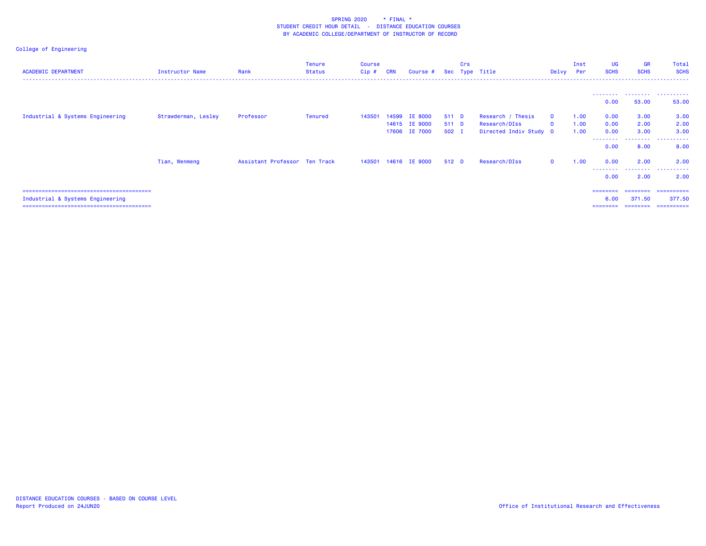| <b>ACADEMIC DEPARTMENT</b>       | Instructor Name     | Rank                          | <b>Tenure</b><br><b>Status</b> | Course<br>$Cip$ # | <b>CRN</b> | Course #                                         |                         | Crs | Sec Type Title                                               | Delvy Per                    | Inst                 | <b>UG</b><br><b>SCHS</b>             | <b>GR</b><br><b>SCHS</b>                | Total<br><b>SCHS</b>                       |
|----------------------------------|---------------------|-------------------------------|--------------------------------|-------------------|------------|--------------------------------------------------|-------------------------|-----|--------------------------------------------------------------|------------------------------|----------------------|--------------------------------------|-----------------------------------------|--------------------------------------------|
|                                  |                     |                               |                                |                   |            |                                                  |                         |     |                                                              |                              |                      | ---------<br>0.00                    | 53.00                                   | 53.00                                      |
| Industrial & Systems Engineering | Strawderman, Lesley | Professor                     | <b>Tenured</b>                 | 143501            | 14599      | <b>IE 8000</b><br>14615 IE 9000<br>17606 IE 7000 | 511 D<br>511 D<br>502 I |     | Research / Thesis<br>Research/DIss<br>Directed Indiv Study 0 | $\mathbf{0}$<br>$\mathbf{0}$ | 1.00<br>1.00<br>1.00 | 0.00<br>0.00<br>0.00<br>--------     | 3.00<br>2.00<br>3.00<br>.               | 3.00<br>2.00<br>3.00<br>.                  |
|                                  | Tian, Wenmeng       | Assistant Professor Ten Track |                                | 143501            |            | 14616 IE 9000                                    | 512 D                   |     | Research/DIss                                                | $\Omega$                     | 1.00                 | 0.00<br>0.00<br>---------            | 8.00<br>2.00<br>.                       | 8.00<br>2.00<br>.                          |
| Industrial & Systems Engineering |                     |                               |                                |                   |            |                                                  |                         |     |                                                              |                              |                      | 0.00<br>========<br>6.00<br>======== | 2.00<br>---------<br>371.50<br>======== | 2.00<br>==========<br>377.50<br>========== |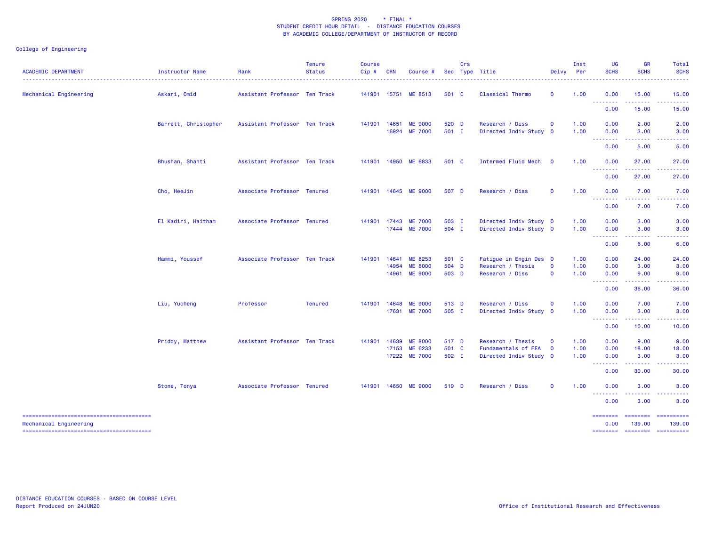| <b>ACADEMIC DEPARTMENT</b> | Instructor Name      | Rank                          | <b>Tenure</b><br><b>Status</b> | <b>Course</b><br>Cip# | <b>CRN</b> | Course #                        |                | Crs | Sec Type Title                            | Delvy Per    | Inst         | UG<br><b>SCHS</b>                                                                                                                                                                                                                                                                                                                                                                                                                                                                              | <b>GR</b><br><b>SCHS</b>                                                                                                                                     | Total<br><b>SCHS</b>                                                                                                                                                                                                                                                                                                                                                                                                                                                                   |
|----------------------------|----------------------|-------------------------------|--------------------------------|-----------------------|------------|---------------------------------|----------------|-----|-------------------------------------------|--------------|--------------|------------------------------------------------------------------------------------------------------------------------------------------------------------------------------------------------------------------------------------------------------------------------------------------------------------------------------------------------------------------------------------------------------------------------------------------------------------------------------------------------|--------------------------------------------------------------------------------------------------------------------------------------------------------------|----------------------------------------------------------------------------------------------------------------------------------------------------------------------------------------------------------------------------------------------------------------------------------------------------------------------------------------------------------------------------------------------------------------------------------------------------------------------------------------|
| Mechanical Engineering     | Askari, Omid         | Assistant Professor Ten Track |                                |                       |            | 141901 15751 ME 8513            | 501 C          |     | Classical Thermo                          | $\mathbf 0$  | 1.00         | 0.00<br><b><i><u><u> - - - - - - -</u></u></i></b>                                                                                                                                                                                                                                                                                                                                                                                                                                             | 15.00<br>2.2.2.2.2                                                                                                                                           | 15.00<br>.                                                                                                                                                                                                                                                                                                                                                                                                                                                                             |
|                            |                      |                               |                                |                       |            |                                 |                |     |                                           |              |              | 0.00                                                                                                                                                                                                                                                                                                                                                                                                                                                                                           | 15.00                                                                                                                                                        | 15.00                                                                                                                                                                                                                                                                                                                                                                                                                                                                                  |
|                            | Barrett, Christopher | Assistant Professor Ten Track |                                | 141901 14651          |            | <b>ME 9000</b><br>16924 ME 7000 | 520 D<br>501 I |     | Research / Diss<br>Directed Indiv Study 0 | $\mathbf{O}$ | 1.00<br>1.00 | 0.00<br>0.00                                                                                                                                                                                                                                                                                                                                                                                                                                                                                   | 2.00<br>3.00                                                                                                                                                 | 2.00<br>3.00<br><u>.</u>                                                                                                                                                                                                                                                                                                                                                                                                                                                               |
|                            |                      |                               |                                |                       |            |                                 |                |     |                                           |              |              | <b><i><u><u> Liston List</u></u></i></b><br>0.00                                                                                                                                                                                                                                                                                                                                                                                                                                               | .<br>5.00                                                                                                                                                    | 5.00                                                                                                                                                                                                                                                                                                                                                                                                                                                                                   |
|                            | Bhushan, Shanti      | Assistant Professor Ten Track |                                |                       |            | 141901 14950 ME 6833            | 501 C          |     | Intermed Fluid Mech                       | $\mathbf 0$  | 1.00         | 0.00<br><b>.</b> .                                                                                                                                                                                                                                                                                                                                                                                                                                                                             | 27.00<br>.                                                                                                                                                   | 27.00<br>.                                                                                                                                                                                                                                                                                                                                                                                                                                                                             |
|                            |                      |                               |                                |                       |            |                                 |                |     |                                           |              |              | 0.00                                                                                                                                                                                                                                                                                                                                                                                                                                                                                           | 27.00                                                                                                                                                        | 27.00                                                                                                                                                                                                                                                                                                                                                                                                                                                                                  |
|                            | Cho, HeeJin          | Associate Professor Tenured   |                                |                       |            | 141901 14645 ME 9000            | 507 D          |     | Research / Diss                           | $\mathbf 0$  | 1.00         | 0.00<br>$\begin{array}{cccccccccccccc} \multicolumn{2}{c}{} & \multicolumn{2}{c}{} & \multicolumn{2}{c}{} & \multicolumn{2}{c}{} & \multicolumn{2}{c}{} & \multicolumn{2}{c}{} & \multicolumn{2}{c}{} & \multicolumn{2}{c}{} & \multicolumn{2}{c}{} & \multicolumn{2}{c}{} & \multicolumn{2}{c}{} & \multicolumn{2}{c}{} & \multicolumn{2}{c}{} & \multicolumn{2}{c}{} & \multicolumn{2}{c}{} & \multicolumn{2}{c}{} & \multicolumn{2}{c}{} & \multicolumn{2}{c}{} & \multicolumn{2}{c}{} & \$ | 7.00<br>22222                                                                                                                                                | 7.00<br>$\frac{1}{2} \left( \frac{1}{2} \right) \left( \frac{1}{2} \right) \left( \frac{1}{2} \right) \left( \frac{1}{2} \right)$                                                                                                                                                                                                                                                                                                                                                      |
|                            |                      |                               |                                |                       |            |                                 |                |     |                                           |              |              | 0.00                                                                                                                                                                                                                                                                                                                                                                                                                                                                                           | 7.00                                                                                                                                                         | 7.00                                                                                                                                                                                                                                                                                                                                                                                                                                                                                   |
|                            | El Kadiri, Haitham   | Associate Professor Tenured   |                                | 141901 17443          |            | <b>ME 7000</b>                  | 503 I          |     | Directed Indiv Study 0                    |              | 1.00         | 0.00                                                                                                                                                                                                                                                                                                                                                                                                                                                                                           | 3.00                                                                                                                                                         | 3.00                                                                                                                                                                                                                                                                                                                                                                                                                                                                                   |
|                            |                      |                               |                                |                       |            | 17444 ME 7000                   | 504 I          |     | Directed Indiv Study 0                    |              | 1.00         | 0.00                                                                                                                                                                                                                                                                                                                                                                                                                                                                                           | 3.00                                                                                                                                                         | 3.00                                                                                                                                                                                                                                                                                                                                                                                                                                                                                   |
|                            |                      |                               |                                |                       |            |                                 |                |     |                                           |              |              | <b></b><br>0.00                                                                                                                                                                                                                                                                                                                                                                                                                                                                                | 6.00                                                                                                                                                         | 6.00                                                                                                                                                                                                                                                                                                                                                                                                                                                                                   |
|                            | Hammi, Youssef       | Associate Professor Ten Track |                                | 141901                | 14641      | ME 8253                         | 501 C          |     | Fatigue in Engin Des 0                    |              | 1.00         | 0.00                                                                                                                                                                                                                                                                                                                                                                                                                                                                                           | 24.00                                                                                                                                                        | 24.00                                                                                                                                                                                                                                                                                                                                                                                                                                                                                  |
|                            |                      |                               |                                |                       | 14954      | <b>ME 8000</b>                  | 504 D          |     | Research / Thesis                         | $\mathbf 0$  | 1.00         | 0.00                                                                                                                                                                                                                                                                                                                                                                                                                                                                                           | 3.00                                                                                                                                                         | 3.00                                                                                                                                                                                                                                                                                                                                                                                                                                                                                   |
|                            |                      |                               |                                |                       | 14961      | <b>ME 9000</b>                  | 503 D          |     | Research / Diss                           | $\mathbf 0$  | 1.00         | 0.00<br><b></b>                                                                                                                                                                                                                                                                                                                                                                                                                                                                                | 9.00<br>$\frac{1}{2} \left( \frac{1}{2} \right) \left( \frac{1}{2} \right) \left( \frac{1}{2} \right) \left( \frac{1}{2} \right) \left( \frac{1}{2} \right)$ | 9.00<br>------                                                                                                                                                                                                                                                                                                                                                                                                                                                                         |
|                            |                      |                               |                                |                       |            |                                 |                |     |                                           |              |              | 0.00                                                                                                                                                                                                                                                                                                                                                                                                                                                                                           | 36.00                                                                                                                                                        | 36.00                                                                                                                                                                                                                                                                                                                                                                                                                                                                                  |
|                            | Liu, Yucheng         | Professor                     | <b>Tenured</b>                 | 141901 14648          |            | <b>ME 9000</b>                  | 513 D          |     | Research / Diss                           | $\mathbf 0$  | 1.00         | 0.00                                                                                                                                                                                                                                                                                                                                                                                                                                                                                           | 7.00                                                                                                                                                         | 7.00                                                                                                                                                                                                                                                                                                                                                                                                                                                                                   |
|                            |                      |                               |                                |                       |            | 17631 ME 7000                   | 505 I          |     | Directed Indiv Study 0                    |              | 1.00         | 0.00<br><b><i><u><u> - - - - - - -</u></u></i></b>                                                                                                                                                                                                                                                                                                                                                                                                                                             | 3.00<br>$-2 - 2 - 2 = 0$                                                                                                                                     | 3.00<br>.                                                                                                                                                                                                                                                                                                                                                                                                                                                                              |
|                            |                      |                               |                                |                       |            |                                 |                |     |                                           |              |              | 0.00                                                                                                                                                                                                                                                                                                                                                                                                                                                                                           | 10.00                                                                                                                                                        | 10.00                                                                                                                                                                                                                                                                                                                                                                                                                                                                                  |
|                            | Priddy, Matthew      | Assistant Professor Ten Track |                                | 141901                | 14639      | <b>ME 8000</b>                  | 517 D          |     | Research / Thesis                         | $\mathbf{O}$ | 1.00         | 0.00                                                                                                                                                                                                                                                                                                                                                                                                                                                                                           | 9.00                                                                                                                                                         | 9.00                                                                                                                                                                                                                                                                                                                                                                                                                                                                                   |
|                            |                      |                               |                                |                       | 17153      | ME 6233                         | 501 C          |     | Fundamentals of FEA                       | $\mathbf 0$  | 1.00         | 0.00                                                                                                                                                                                                                                                                                                                                                                                                                                                                                           | 18.00                                                                                                                                                        | 18.00                                                                                                                                                                                                                                                                                                                                                                                                                                                                                  |
|                            |                      |                               |                                |                       |            | 17222 ME 7000                   | 502 I          |     | Directed Indiv Study 0                    |              | 1.00         | 0.00                                                                                                                                                                                                                                                                                                                                                                                                                                                                                           | 3.00<br>.                                                                                                                                                    | 3.00<br><u>.</u>                                                                                                                                                                                                                                                                                                                                                                                                                                                                       |
|                            |                      |                               |                                |                       |            |                                 |                |     |                                           |              |              | --------<br>0.00                                                                                                                                                                                                                                                                                                                                                                                                                                                                               | 30.00                                                                                                                                                        | 30.00                                                                                                                                                                                                                                                                                                                                                                                                                                                                                  |
|                            | Stone, Tonya         | Associate Professor Tenured   |                                |                       |            | 141901 14650 ME 9000            | 519 D          |     | Research / Diss                           | $\mathbf 0$  | 1.00         | 0.00                                                                                                                                                                                                                                                                                                                                                                                                                                                                                           | 3.00<br>.                                                                                                                                                    | 3.00                                                                                                                                                                                                                                                                                                                                                                                                                                                                                   |
|                            |                      |                               |                                |                       |            |                                 |                |     |                                           |              |              | <b></b><br>0.00                                                                                                                                                                                                                                                                                                                                                                                                                                                                                | 3.00                                                                                                                                                         | 3.00                                                                                                                                                                                                                                                                                                                                                                                                                                                                                   |
| Mechanical Engineering     |                      |                               |                                |                       |            |                                 |                |     |                                           |              |              | $=$ =======<br>0.00                                                                                                                                                                                                                                                                                                                                                                                                                                                                            | 139.00                                                                                                                                                       | ======== ==========<br>139.00                                                                                                                                                                                                                                                                                                                                                                                                                                                          |
|                            |                      |                               |                                |                       |            |                                 |                |     |                                           |              |              | ========                                                                                                                                                                                                                                                                                                                                                                                                                                                                                       | <b>CONSIDER</b>                                                                                                                                              | $\begin{array}{cccccccccc} \multicolumn{2}{c}{} & \multicolumn{2}{c}{} & \multicolumn{2}{c}{} & \multicolumn{2}{c}{} & \multicolumn{2}{c}{} & \multicolumn{2}{c}{} & \multicolumn{2}{c}{} & \multicolumn{2}{c}{} & \multicolumn{2}{c}{} & \multicolumn{2}{c}{} & \multicolumn{2}{c}{} & \multicolumn{2}{c}{} & \multicolumn{2}{c}{} & \multicolumn{2}{c}{} & \multicolumn{2}{c}{} & \multicolumn{2}{c}{} & \multicolumn{2}{c}{} & \multicolumn{2}{c}{} & \multicolumn{2}{c}{} & \mult$ |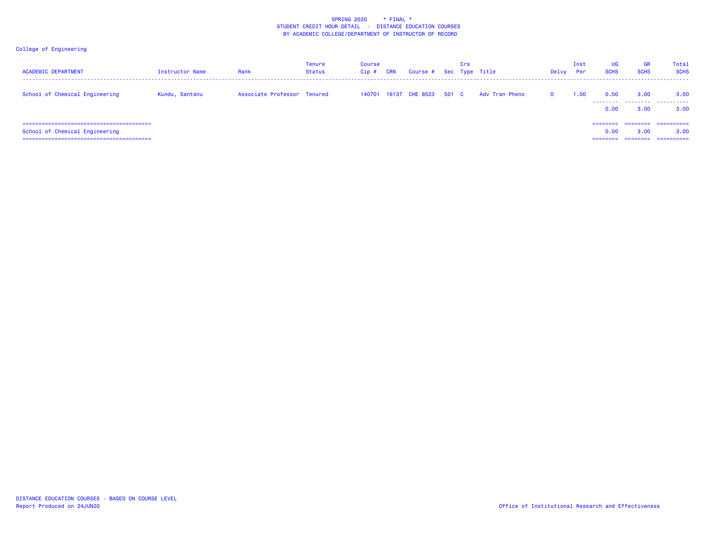| <b>ACADEMIC DEPARTMENT</b>     | Instructor Name | Rank                        | Tenure<br>Status | Course<br>Cip# | <b>CRN</b> | Course # Sec Type Title | Crs |                | Delvy    | Inst<br><b>Per</b> | <b>UG</b><br><b>SCHS</b>  | <b>GR</b><br><b>SCHS</b> | <b>Total</b><br><b>SCHS</b>      |
|--------------------------------|-----------------|-----------------------------|------------------|----------------|------------|-------------------------|-----|----------------|----------|--------------------|---------------------------|--------------------------|----------------------------------|
| School of Chemical Engineering | Kundu, Santanu  | Associate Professor Tenured |                  | 140701         |            | 16137 CHE 8523 501 C    |     | Adv Tran Pheno | $\Omega$ | 1.00               | 0.00<br>0.00              | 3.00<br>3.00             | 3.00<br>3.00                     |
| School of Chemical Engineering |                 |                             |                  |                |            |                         |     |                |          |                    | ========<br>0.00<br>===== | ---------<br>3.00        | ==========<br>3.00<br>========== |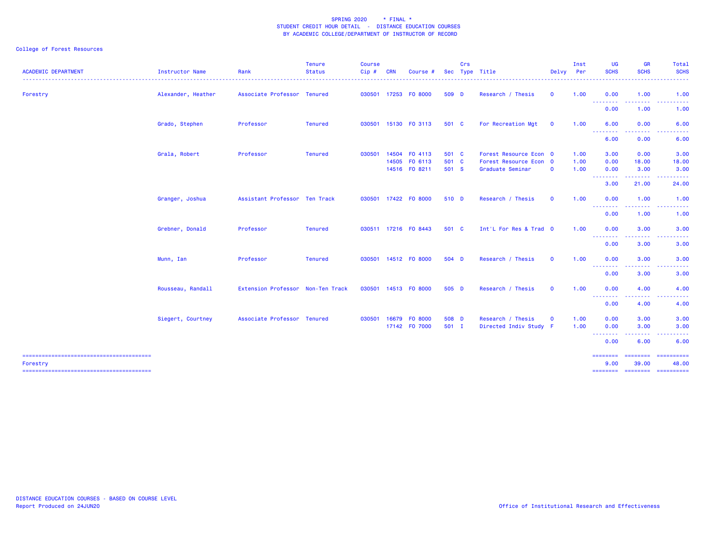## College of Forest Resources

| <b>ACADEMIC DEPARTMENT</b> | Instructor Name    | Rank                              | <b>Tenure</b><br><b>Status</b> | <b>Course</b><br>Cip# | <b>CRN</b> | Course #                                        |                         | Crs | Sec Type Title                                                       | Delvy Per               | Inst                 | UG<br><b>SCHS</b>    | <b>GR</b><br><b>SCHS</b>        | Total<br><b>SCHS</b>                                                                                                                                          |
|----------------------------|--------------------|-----------------------------------|--------------------------------|-----------------------|------------|-------------------------------------------------|-------------------------|-----|----------------------------------------------------------------------|-------------------------|----------------------|----------------------|---------------------------------|---------------------------------------------------------------------------------------------------------------------------------------------------------------|
| Forestry                   | Alexander, Heather | Associate Professor Tenured       |                                |                       |            | 030501 17253 FO 8000                            | 509 D                   |     | Research / Thesis                                                    | $\mathbf 0$             | 1.00                 | 0.00<br>.            | 1.00<br>.                       | 1.00                                                                                                                                                          |
|                            |                    |                                   |                                |                       |            |                                                 |                         |     |                                                                      |                         |                      | 0.00                 | 1.00                            | .<br>1.00                                                                                                                                                     |
|                            | Grado, Stephen     | Professor                         | <b>Tenured</b>                 |                       |            | 030501 15130 F0 3113                            | 501 C                   |     | For Recreation Mgt                                                   | $\overline{\mathbf{0}}$ | 1.00                 | 6.00<br>---------    | 0.00<br><u> - - - - - - - -</u> | 6.00<br>. <u>.</u> .                                                                                                                                          |
|                            |                    |                                   |                                |                       |            |                                                 |                         |     |                                                                      |                         |                      | 6.00                 | 0.00                            | 6.00                                                                                                                                                          |
|                            | Grala, Robert      | Professor                         | Tenured                        | 030501                |            | 14504 FO 4113<br>14505 FO 6113<br>14516 FO 8211 | 501 C<br>501 C<br>501 S |     | Forest Resource Econ 0<br>Forest Resource Econ 0<br>Graduate Seminar | $\mathbf 0$             | 1.00<br>1.00<br>1.00 | 3.00<br>0.00<br>0.00 | 0.00<br>18.00<br>3.00           | 3.00<br>18.00<br>3.00                                                                                                                                         |
|                            |                    |                                   |                                |                       |            |                                                 |                         |     |                                                                      |                         |                      | --------<br>3.00     | .<br>21.00                      | $\frac{1}{2} \left( \frac{1}{2} \right) \left( \frac{1}{2} \right) \left( \frac{1}{2} \right) \left( \frac{1}{2} \right) \left( \frac{1}{2} \right)$<br>24.00 |
|                            | Granger, Joshua    | Assistant Professor Ten Track     |                                |                       |            | 030501 17422 F0 8000                            | 510 D                   |     | Research / Thesis                                                    | $\mathbf{o}$            | 1.00                 | 0.00                 | 1.00                            | 1.00                                                                                                                                                          |
|                            |                    |                                   |                                |                       |            |                                                 |                         |     |                                                                      |                         |                      | <b></b><br>0.00      | -----<br>1.00                   | د د د د د<br>1.00                                                                                                                                             |
|                            | Grebner, Donald    | Professor                         | Tenured                        |                       |            | 030511 17216 FO 8443                            | 501 C                   |     | Int'L For Res & Trad 0                                               |                         | 1.00                 | 0.00<br>--------     | 3.00<br>.                       | 3.00<br>.                                                                                                                                                     |
|                            |                    |                                   |                                |                       |            |                                                 |                         |     |                                                                      |                         |                      | 0.00                 | 3.00                            | 3.00                                                                                                                                                          |
|                            | Munn, Ian          | Professor                         | Tenured                        |                       |            | 030501 14512 F0 8000                            | 504 D                   |     | Research / Thesis                                                    | $\mathbf{o}$            | 1.00                 | 0.00<br>--------     | 3.00<br>-----                   | 3.00<br>$\cdots$                                                                                                                                              |
|                            |                    |                                   |                                |                       |            |                                                 |                         |     |                                                                      |                         |                      | 0.00                 | 3.00                            | 3.00                                                                                                                                                          |
|                            | Rousseau, Randall  | Extension Professor Non-Ten Track |                                |                       |            | 030501 14513 FO 8000                            | 505 D                   |     | Research / Thesis                                                    | $\mathbf 0$             | 1.00                 | 0.00<br>--------     | 4.00<br>.                       | 4.00                                                                                                                                                          |
|                            |                    |                                   |                                |                       |            |                                                 |                         |     |                                                                      |                         |                      | 0.00                 | 4.00                            | 4.00                                                                                                                                                          |
|                            | Siegert, Courtney  | Associate Professor Tenured       |                                | 030501 16679          |            | FO 8000<br>17142 F0 7000                        | 508 D<br>501 I          |     | Research / Thesis<br>Directed Indiv Study F                          | $\mathbf 0$             | 1.00<br>1.00         | 0.00<br>0.00         | 3.00<br>3.00                    | 3.00<br>3.00                                                                                                                                                  |
|                            |                    |                                   |                                |                       |            |                                                 |                         |     |                                                                      |                         |                      | ---------<br>0.00    | <u> 22222222</u><br>6.00        | $\cdots$<br>6.00                                                                                                                                              |
|                            |                    |                                   |                                |                       |            |                                                 |                         |     |                                                                      |                         |                      | ========             | ======                          | $=$ = = = = = = = = =                                                                                                                                         |
| Forestry                   |                    |                                   |                                |                       |            |                                                 |                         |     |                                                                      |                         |                      | 9.00                 | 39.00                           | 48.00                                                                                                                                                         |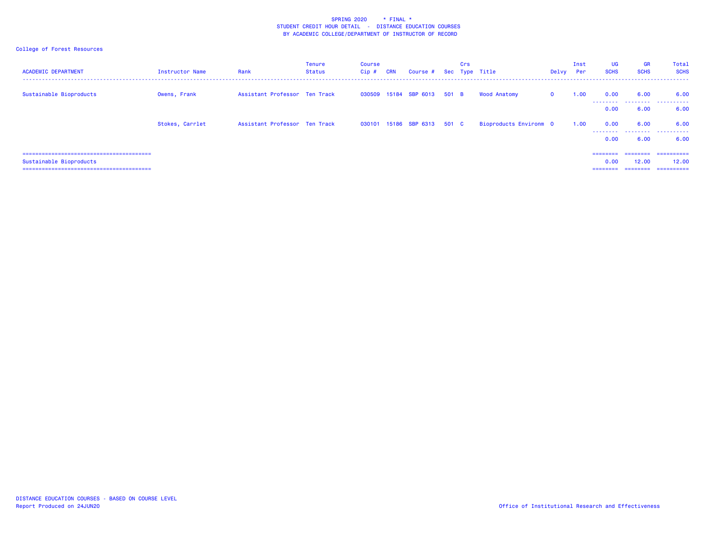## College of Forest Resources

| <b>ACADEMIC DEPARTMENT</b> | Instructor Name | Rank                          | <b>Tenure</b><br>Status | <b>Course</b><br>Cip# | <b>CRN</b> | Course # Sec Type Title     | Crs |                        | Delvy        | Inst<br><b>Per</b> | UG<br><b>SCHS</b>            | <b>GR</b><br><b>SCHS</b>      | Total<br><b>SCHS</b>               |
|----------------------------|-----------------|-------------------------------|-------------------------|-----------------------|------------|-----------------------------|-----|------------------------|--------------|--------------------|------------------------------|-------------------------------|------------------------------------|
| Sustainable Bioproducts    | Owens, Frank    | Assistant Professor Ten Track |                         |                       |            | 030509 15184 SBP 6013 501 B |     | <b>Wood Anatomy</b>    | $\mathbf{0}$ | 1.00               | 0.00                         | 6.00                          | 6.00<br>                           |
|                            |                 |                               |                         |                       |            |                             |     |                        |              |                    | 0.00                         | 6.00                          | 6.00                               |
|                            | Stokes, Carrlet | Assistant Professor Ten Track |                         |                       |            | 030101 15186 SBP 6313 501 C |     | Bioproducts Environm 0 |              | 1.00               | 0.00<br>.                    | 6.00                          | 6.00<br>.                          |
|                            |                 |                               |                         |                       |            |                             |     |                        |              |                    | 0.00                         | 6.00                          | 6.00                               |
| Sustainable Bioproducts    |                 |                               |                         |                       |            |                             |     |                        |              |                    | ========<br>0.00<br>======== | ========<br>12.00<br>======== | -----------<br>12,00<br>========== |